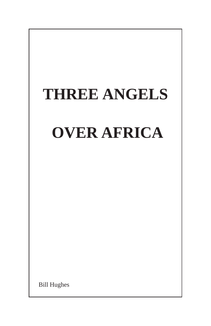# **THREE ANGELS**

# **OVER AFRICA**

Bill Hughes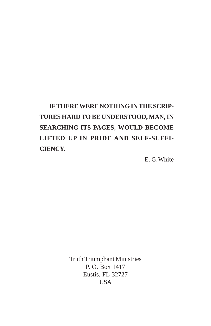# **IF THERE WERE NOTHING IN THE SCRIP-TURES HARD TO BE UNDERSTOOD, MAN, IN SEARCHING ITS PAGES, WOULD BECOME LIFTED UP IN PRIDE AND SELF-SUFFI-CIENCY.**

E. G. White

Truth Triumphant Ministries P. O. Box 1417 Eustis, FL 32727 **USA**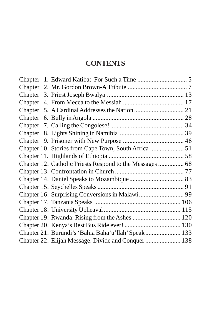# **CONTENTS**

| Chapter 10. Stories from Cape Town, South Africa  51 |  |
|------------------------------------------------------|--|
|                                                      |  |
|                                                      |  |
|                                                      |  |
|                                                      |  |
|                                                      |  |
| Chapter 16. Surprising Conversions in Malawi  99     |  |
|                                                      |  |
|                                                      |  |
|                                                      |  |
|                                                      |  |
| Chapter 21. Burundi's 'Bahia Baha'u'llah' Speak 133  |  |
|                                                      |  |
|                                                      |  |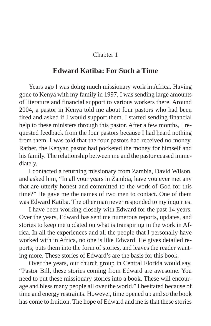# **Edward Katiba: For Such a Time**

Years ago I was doing much missionary work in Africa. Having gone to Kenya with my family in 1997, I was sending large amounts of literature and financial support to various workers there. Around 2004, a pastor in Kenya told me about four pastors who had been fired and asked if I would support them. I started sending financial help to these ministers through this pastor. After a few months, I requested feedback from the four pastors because I had heard nothing from them. I was told that the four pastors had received no money. Rather, the Kenyan pastor had pocketed the money for himself and his family. The relationship between me and the pastor ceased immediately.

I contacted a returning missionary from Zambia, David Wilson, and asked him, "In all your years in Zambia, have you ever met any that are utterly honest and committed to the work of God for this time?" He gave me the names of two men to contact. One of them was Edward Katiba. The other man never responded to my inquiries.

I have been working closely with Edward for the past 14 years. Over the years, Edward has sent me numerous reports, updates, and stories to keep me updated on what is transpiring in the work in Africa. In all the experiences and all the people that I personally have worked with in Africa, no one is like Edward. He gives detailed reports; puts them into the form of stories, and leaves the reader wanting more. These stories of Edward's are the basis for this book.

Over the years, our church group in Central Florida would say, "Pastor Bill, these stories coming from Edward are awesome. You need to put these missionary stories into a book. These will encourage and bless many people all over the world." I hesitated because of time and energy restraints. However, time opened up and so the book has come to fruition. The hope of Edward and me is that these stories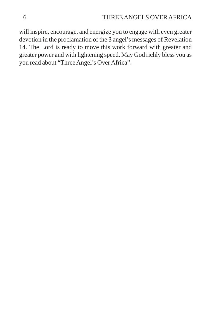will inspire, encourage, and energize you to engage with even greater devotion in the proclamation of the 3 angel's messages of Revelation 14. The Lord is ready to move this work forward with greater and greater power and with lightening speed. May God richly bless you as you read about "Three Angel's Over Africa".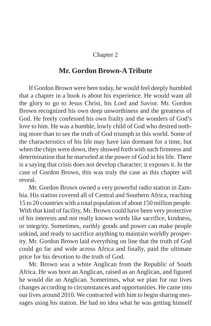## **Mr. Gordon Brown-A Tribute**

If Gordon Brown were here today, he would feel deeply humbled that a chapter in a book is about his experience. He would want all the glory to go to Jesus Christ, his Lord and Savior. Mr. Gordon Brown recognized his own deep unworthiness and the greatness of God. He freely confessed his own frailty and the wonders of God's love to him. He was a humble, lowly child of God who desired nothing more than to see the truth of God triumph in this world. Some of the characteristics of his life may have lain dormant for a time, but when the chips were down, they showed forth with such firmness and determination that he marveled at the power of God in his life. There is a saying that crisis does not develop character; it exposes it. In the case of Gordon Brown, this was truly the case as this chapter will reveal.

Mr. Gordon Brown owned a very powerful radio station in Zambia. His station covered all of Central and Southern Africa, reaching 15 to 20 countries with a total population of about 150 million people. With that kind of facility, Mr. Brown could have been very protective of his interests and not really known words like sacrifice, kindness, or integrity. Sometimes, earthly goods and power can make people unkind, and ready to sacrifice anything to maintain worldly prosperity. Mr. Gordon Brown laid everything on line that the truth of God could go far and wide across Africa and finally, paid the ultimate price for his devotion to the truth of God.

Mr. Brown was a white Anglican from the Republic of South Africa. He was born an Anglican, raised as an Anglican, and figured he would die an Anglican. Sometimes, what we plan for our lives changes according to circumstances and opportunities. He came into our lives around 2010. We contracted with him to begin sharing messages using his station. He had no idea what he was getting himself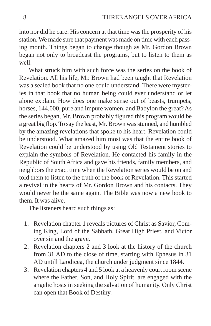into nor did he care. His concern at that time was the prosperity of his station. We made sure that payment was made on time with each passing month. Things began to change though as Mr. Gordon Brown began not only to broadcast the programs, but to listen to them as well.

What struck him with such force was the series on the book of Revelation. All his life, Mr. Brown had been taught that Revelation was a sealed book that no one could understand. There were mysteries in that book that no human being could ever understand or let alone explain. How does one make sense out of beasts, trumpets, horses, 144,000, pure and impure women, and Babylon the great? As the series began, Mr. Brown probably figured this program would be a great big flop. To say the least, Mr. Brown was stunned, and humbled by the amazing revelations that spoke to his heart. Revelation could be understood. What amazed him most was that the entire book of Revelation could be understood by using Old Testament stories to explain the symbols of Revelation. He contacted his family in the Republic of South Africa and gave his friends, family members, and neighbors the exact time when the Revelation series would be on and told them to listen to the truth of the book of Revelation. This started a revival in the hearts of Mr. Gordon Brown and his contacts. They would never be the same again. The Bible was now a new book to them. It was alive.

The listeners heard such things as:

- 1. Revelation chapter 1 reveals pictures of Christ as Savior, Coming King, Lord of the Sabbath, Great High Priest, and Victor over sin and the grave.
- 2. Revelation chapters 2 and 3 look at the history of the church from 31 AD to the close of time, starting with Ephesus in 31 AD untill Laodicea, the church under judgment since 1844.
- 3. Revelation chapters 4 and 5 look at a heavenly court room scene where the Father, Son, and Holy Spirit, are engaged with the angelic hosts in seeking the salvation of humanity. Only Christ can open that Book of Destiny.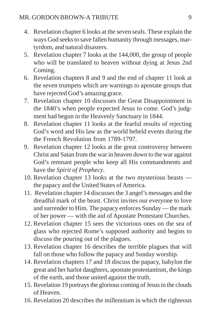## MR. GORDON BROWN-A TRIBUTE

- 4. Revelation chapter 6 looks at the seven seals. These explain the ways God seeks to save fallen humanity through messages, martyrdom, and natural disasters.
- 5. Revelation chapter 7 looks at the 144,000, the group of people who will be translated to heaven without dying at Jesus 2nd Coming.
- 6. Revelation chapters 8 and 9 and the end of chapter 11 look at the seven trumpets which are warnings to apostate groups that have rejected God's amazing grace.
- 7. Revelation chapter 10 discusses the Great Disappointment in the 1840's when people expected Jesus to come. God's judgment had begun in the Heavenly Sanctuary in 1844.
- 8. Revelation chapter 11 looks at the fearful results of rejecting God's word and His law as the world beheld events during the the French Revolution from 1789-1797.
- 9. Revelation chapter 12 looks at the great controversy between Christ and Satan from the war in heaven down to the war against God's remnant people who keep all His commandments and have the *Spirit of Prophecy*.
- 10. Revelation chapter 13 looks at the two mysterious beasts the papacy and the United States of America.
- 11. Revelation chapter 14 discusses the 3 angel's messages and the dreadful mark of the beast. Christ invites our everyone to love and surrender to Him. The papacy enforces Sunday — the mark of her power — with the aid of Apostate Protestant Churches.
- 12. Revelation chapter 15 sees the victorious ones on the sea of glass who rejected Rome's supposed authority and begins to discuss the pouring out of the plagues.
- 13. Revelation chapter 16 describes the terrible plagues that will fall on those who follow the papacy and Sunday worship.
- 14. Revelation chapters 17 and 18 discuss the papacy, babylon the great and her harlot daughters, apostate protestantism, the kings of the earth, and those united against the truth.
- 15. Revelation 19 portrays the glorious coming of Jesus in the clouds of Heaven.
- 16. Revelation 20 describes the millennium in which the righteous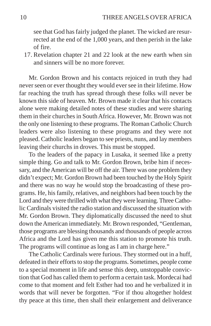see that God has fairly judged the planet. The wicked are resurrected at the end of the 1,000 years, and then perish in the lake of fire.

17. Revelation chapter 21 and 22 look at the new earth when sin and sinners will be no more forever.

Mr. Gordon Brown and his contacts rejoiced in truth they had never seen or ever thought they would ever see in their lifetime. How far reaching the truth has spread through these folks will never be known this side of heaven. Mr. Brown made it clear that his contacts alone were making detailed notes of these studies and were sharing them in their churches in South Africa. However, Mr. Brown was not the only one listening to these programs. The Roman Catholic Church leaders were also listening to these programs and they were not pleased. Catholic leaders began to see priests, nuns, and lay members leaving their churchs in droves. This must be stopped.

To the leaders of the papacy in Lusaka, it seemed like a pretty simple thing. Go and talk to Mr. Gordon Brown, bribe him if necessary, and the American will be off the air. There was one problem they didn't expect; Mr. Gordon Brown had been touched by the Holy Spirit and there was no way he would stop the broadcasting of these programs. He, his family, relatives, and neighbors had been touch by the Lord and they were thrilled with what they were learning. Three Catholic Cardinals visited the radio station and discussed the situation with Mr. Gordon Brown. They diplomatically discussed the need to shut down the American immediately. Mr. Brown responded, "Gentleman, those programs are blessing thousands and thousands of people across Africa and the Lord has given me this station to promote his truth. The programs will continue as long as I am in charge here."

The Catholic Cardinals were furious. They stormed out in a huff, defeated in their efforts to stop the programs. Sometimes, people come to a special moment in life and sense this deep, unstoppable conviction that God has called them to perform a certain task. Mordecai had come to that moment and felt Esther had too and he verbalized it in words that will never be forgotten. "For if thou altogether holdest thy peace at this time, then shall their enlargement and deliverance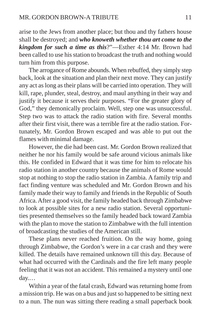arise to the Jews from another place; but thou and thy fathers house shall be destroyed; and *who knoweth whether thou art come to the kingdom for such a time as this*?"—Esther 4:14 Mr. Brown had been called to use his station to broadcast the truth and nothing would turn him from this purpose.

The arrogance of Rome abounds. When rebuffed, they simply step back, look at the situation and plan their next move. They can justify any act as long as their plans will be carried into operation. They will kill, rape, plunder, steal, destroy, and maul anything in their way and justify it because it serves their purposes. "For the greater glory of God," they demonically proclaim. Well, step one was unsuccessful. Step two was to attack the radio station with fire. Several months after their first visit, there was a terrible fire at the radio station. Fortunately, Mr. Gordon Brown escaped and was able to put out the flames with minimal damage.

However, the die had been cast. Mr. Gordon Brown realized that neither he nor his family would be safe around vicious animals like this. He confided in Edward that it was time for him to relocate his radio station in another country because the animals of Rome would stop at nothing to stop the radio station in Zambia. A family trip and fact finding venture was scheduled and Mr. Gordon Brown and his family made their way to family and friends in the Republic of South Africa. After a good visit, the family headed back through Zimbabwe to look at possible sites for a new radio station. Several opportunities presented themselves so the family headed back toward Zambia with the plan to move the station to Zimbabwe with the full intention of broadcasting the studies of the American still.

These plans never reached fruition. On the way home, going through Zimbabwe, the Gordon's were in a car crash and they were killed. The details have remained unknown till this day. Because of what had occurred with the Cardinals and the fire left many people feeling that it was not an accident. This remained a mystery until one day.…

Within a year of the fatal crash, Edward was returning home from a mission trip. He was on a bus and just so happened to be sitting next to a nun. The nun was sitting there reading a small paperback book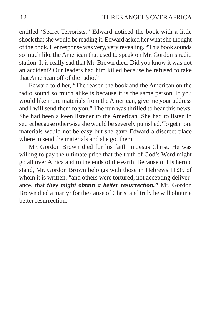entitled 'Secret Terrorists." Edward noticed the book with a little shock that she would be reading it. Edward asked her what she thought of the book. Her response was very, very revealing. "This book sounds so much like the American that used to speak on Mr. Gordon's radio station. It is really sad that Mr. Brown died. Did you know it was not an accident? Our leaders had him killed because he refused to take that American off of the radio."

Edward told her, "The reason the book and the American on the radio sound so much alike is because it is the same person. If you would like more materials from the American, give me your address and I will send them to you." The nun was thrilled to hear this news. She had been a keen listener to the American. She had to listen in secret because otherwise she would be severely punished. To get more materials would not be easy but she gave Edward a discreet place where to send the materials and she got them.

Mr. Gordon Brown died for his faith in Jesus Christ. He was willing to pay the ultimate price that the truth of God's Word might go all over Africa and to the ends of the earth. Because of his heroic stand, Mr. Gordon Brown belongs with those in Hebrews 11:35 of whom it is written, "and others were tortured, not accepting deliverance, that *they might obtain a better resurrection."* Mr. Gordon Brown died a martyr for the cause of Christ and truly he will obtain a better resurrection.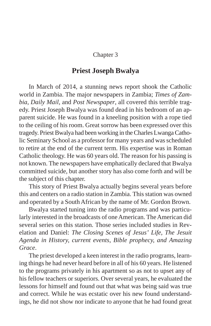# **Priest Joseph Bwalya**

In March of 2014, a stunning news report shook the Catholic world in Zambia. The major newspapers in Zambia; *Times of Zambia*, *Daily Mail*, and *Post Newspaper*, all covered this terrible tragedy. Priest Joseph Bwalya was found dead in his bedroom of an apparent suicide. He was found in a kneeling position with a rope tied to the ceiling of his room. Great sorrow has been expressed over this tragedy. Priest Bwalya had been working in the Charles Lwanga Catholic Seminary School as a professor for many years and was scheduled to retire at the end of the current term. His expertise was in Roman Catholic theology. He was 60 years old. The reason for his passing is not known. The newspapers have emphatically declared that Bwalya committed suicide, but another story has also come forth and will be the subject of this chapter.

This story of Priest Bwalya actually begins several years before this and centers on a radio station in Zambia. This station was owned and operated by a South African by the name of Mr. Gordon Brown.

Bwalya started tuning into the radio programs and was particularly interested in the broadcasts of one American. The American did several series on this station. Those series included studies in Revelation and Daniel: *The Closing Scenes of Jesus' Life, The Jesuit Agenda in History, current events, Bible prophecy, and Amazing Grace*.

The priest developed a keen interest in the radio programs, learning things he had never heard before in all of his 60 years. He listened to the programs privately in his apartment so as not to upset any of his fellow teachers or superiors. Over several years, he evaluated the lessons for himself and found out that what was being said was true and correct. While he was ecstatic over his new found understandings, he did not show nor indicate to anyone that he had found great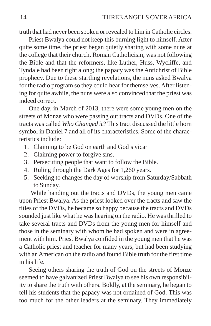truth that had never been spoken or revealed to him in Catholic circles.

Priest Bwalya could not keep this burning light to himself. After quite some time, the priest began quietly sharing with some nuns at the college that their church, Roman Catholicism, was not following the Bible and that the reformers, like Luther, Huss, Wycliffe, and Tyndale had been right along; the papacy was the Antichrist of Bible prophecy. Due to these startling revelations, the nuns asked Bwalya for the radio program so they could hear for themselves. After listening for quite awhile, the nuns were also convinced that the priest was indeed correct.

One day, in March of 2013, there were some young men on the streets of Monze who were passing out tracts and DVDs. One of the tracts was called *Who Changed it?* This tract discussed the little horn symbol in Daniel 7 and all of its characteristics. Some of the characteristics include:

- 1. Claiming to be God on earth and God's vicar
- 2. Claiming power to forgive sins.
- 3. Persecuting people that want to follow the Bible.
- 4. Ruling through the Dark Ages for 1,260 years.
- 5. Seeking to changes the day of worship from Saturday/Sabbath to Sunday.

 While handing out the tracts and DVDs, the young men came upon Priest Bwalya. As the priest looked over the tracts and saw the titles of the DVDs, he became so happy because the tracts and DVDs sounded just like what he was hearing on the radio. He was thrilled to take several tracts and DVDs from the young men for himself and those in the seminary with whom he had spoken and were in agreement with him. Priest Bwalya confided in the young men that he was a Catholic priest and teacher for many years, but had been studying with an American on the radio and found Bible truth for the first time in his life.

Seeing others sharing the truth of God on the streets of Monze seemed to have galvanized Priest Bwalya to see his own responsibility to share the truth with others. Boldly, at the seminary, he began to tell his students that the papacy was not ordained of God. This was too much for the other leaders at the seminary. They immediately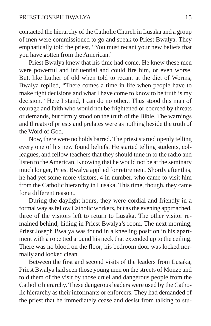contacted the hierarchy of the Catholic Church in Lusaka and a group of men were commissioned to go and speak to Priest Bwalya. They emphatically told the priest, "You must recant your new beliefs that you have gotten from the American."

Priest Bwalya knew that his time had come. He knew these men were powerful and influential and could fire him, or even worse. But, like Luther of old when told to recant at the diet of Worms, Bwalya replied, "There comes a time in life when people have to make right decisions and what I have come to know to be truth is my decision." Here I stand, I can do no other.. Thus stood this man of courage and faith who would not be frightened or coerced by threats or demands, but firmly stood on the truth of the Bible. The warnings and threats of priests and prelates were as nothing beside the truth of the Word of God..

Now, there were no holds barred. The priest started openly telling every one of his new found beliefs. He started telling students, colleagues, and fellow teachers that they should tune in to the radio and listen to the American. Knowing that he would not be at the seminary much longer, Priest Bwalya applied for retirement. Shortly after this, he had yet some more visitors, 4 in number, who came to visit him from the Catholic hierarchy in Lusaka. This time, though, they came for a different reason..

During the daylight hours, they were cordial and friendly in a formal way as fellow Catholic workers, but as the evening approached, three of the visitors left to return to Lusaka. The other visitor remained behind, hiding in Priest Bwalya's room. The next morning, Priest Joseph Bwalya was found in a kneeling position in his apartment with a rope tied around his neck that extended up to the ceiling. There was no blood on the floor; his bedroom door was locked normally and looked clean.

Between the first and second visits of the leaders from Lusaka, Priest Bwalya had seen those young men on the streets of Monze and told them of the visit by those cruel and dangerous people from the Catholic hierarchy. These dangerous leaders were used by the Catholic hierarchy as their informants or enforcers. They had demanded of the priest that he immediately cease and desist from talking to stu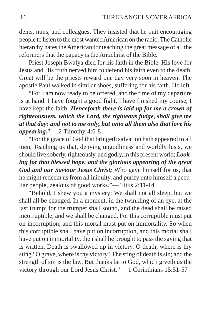dents, nuns, and colleagues. They insisted that he quit encouraging people to listen to the most wanted American on the radio. The Catholic hierarchy hates the American for teaching the great message of all the reformers that the papacy is the Antichrist of the Bible.

Priest Joseph Bwalya died for his faith in the Bible. His love for Jesus and His truth nerved him to defend his faith even to the death. Great will be the priests reward one day very soon in heaven. The apostle Paul walked in similar shoes, suffering for his faith. He left

"For I am now ready to be offered, and the time of my departure is at hand. I have fought a good fight, I have finished my course, I have kept the faith: *Henceforth there is laid up for me a crown of righteousness, which the Lord, the righteous judge, shall give me at that day: and not to me only, but unto all them also that love his appearing.*"— 2 Timothy 4:6-8

"For the grace of God that bringeth salvation hath appeared to all men, Teaching us that, denying ungodliness and worldly lusts, we should live soberly, righteously, and godly, in this present world; *Looking for that blessed hope, and the glorious appearing of the great God and our Saviour Jesus Christ;* Who gave himself for us, that he might redeem us from all iniquity, and purify unto himself a peculiar people, zealous of good works."— Titus 2:11-14

"Behold, I shew you a mystery; We shall not all sleep, but we shall all be changed, In a moment, in the twinkling of an eye, at the last trump: for the trumpet shall sound, and the dead shall be raised incorruptible, and we shall be changed. For this corruptible must put on incorruption, and this mortal must put on immortality. So when this corruptible shall have put on incorruption, and this mortal shall have put on immortality, then shall be brought to pass the saying that is written, Death is swallowed up in victory. O death, where is thy sting? O grave, where is thy victory? The sting of death is sin; and the strength of sin is the law. But thanks be to God, which giveth us the victory through our Lord Jesus Christ."— 1 Corinthians 15:51-57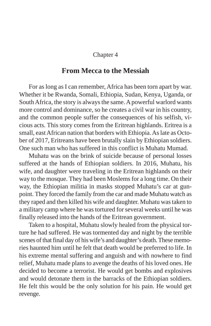### **From Mecca to the Messiah**

For as long as I can remember, Africa has been torn apart by war. Whether it be Rwanda, Somali, Ethiopia, Sudan, Kenya, Uganda, or South Africa, the story is always the same. A powerful warlord wants more control and dominance, so he creates a civil war in his country, and the common people suffer the consequences of his selfish, vicious acts. This story comes from the Eritrean highlands. Eritrea is a small, east African nation that borders with Ethiopia. As late as October of 2017, Eritreans have been brutally slain by Ethiopian soldiers. One such man who has suffered in this conflict is Muhatu Mumad.

Muhatu was on the brink of suicide because of personal losses suffered at the hands of Ethiopian soldiers. In 2016, Muhatu, his wife, and daughter were traveling in the Eritrean highlands on their way to the mosque. They had been Moslems for a long time. On their way, the Ethiopian militia in masks stopped Muhatu's car at gunpoint. They forced the family from the car and made Muhatu watch as they raped and then killed his wife and daughter. Muhatu was taken to a military camp where he was tortured for several weeks until he was finally released into the hands of the Eritrean government.

Taken to a hospital, Muhatu slowly healed from the physical torture he had suffered. He was tormented day and night by the terrible scenes of that final day of his wife's and daughter's death. These memories haunted him until he felt that death would be preferred to life. In his extreme mental suffering and anguish and with nowhere to find relief, Muhatu made plans to avenge the deaths of his loved ones. He decided to become a terrorist. He would get bombs and explosives and would detonate them in the barracks of the Ethiopian soldiers. He felt this would be the only solution for his pain. He would get revenge.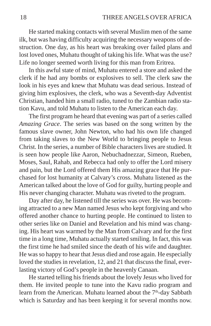He started making contacts with several Muslim men of the same ilk, but was having difficulty acquiring the necessary weapons of destruction. One day, as his heart was breaking over failed plans and lost loved ones, Muhatu thought of taking his life. What was the use? Life no longer seemed worth living for this man from Eritrea.

In this awful state of mind, Muhatu entered a store and asked the clerk if he had any bombs or explosives to sell. The clerk saw the look in his eyes and knew that Muhatu was dead serious. Instead of giving him explosives, the clerk, who was a Seventh-day Adventist Christian, handed him a small radio, tuned to the Zambian radio station Kavu, and told Muhatu to listen to the American each day.

The first program he heard that evening was part of a series called *Amazing Grace*. The series was based on the song written by the famous slave owner, John Newton, who had his own life changed from taking slaves to the New World to bringing people to Jesus Christ. In the series, a number of Bible characters lives are studied. It is seen how people like Aaron, Nebuchadnezzar, Simeon, Rueben, Moses, Saul, Rahab, and Rebecca had only to offer the Lord misery and pain, but the Lord offered them His amazing grace that He purchased for lost humanity at Calvary's cross. Muhatu listened as the American talked about the love of God for guilty, hurting people and His never changing character. Muhatu was riveted to the program.

Day after day, he listened till the series was over. He was becoming attracted to a new Man named Jesus who kept forgiving and who offered another chance to hurting people. He continued to listen to other series like on Daniel and Revelation and his mind was changing. His heart was warmed by the Man from Calvary and for the first time in a long time, Muhatu actually started smiling. In fact, this was the first time he had smiled since the death of his wife and daughter. He was so happy to hear that Jesus died and rose again. He especially loved the studies in revelation, 12, and 21 that discuss the final, everlasting victory of God's people in the heavenly Canaan.

He started telling his friends about the lovely Jesus who lived for them. He invited people to tune into the Kavu radio program and learn from the American. Muhatu learned about the 7<sup>th</sup>-day Sabbath which is Saturday and has been keeping it for several months now.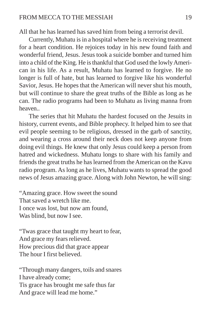#### FROM MECCA TO THE MESSIAH

All that he has learned has saved him from being a terrorist devil.

Currently, Muhatu is in a hospital where he is receiving treatment for a heart condition. He rejoices today in his new found faith and wonderful friend, Jesus. Jesus took a suicide bomber and turned him into a child of the King. He is thankful that God used the lowly American in his life. As a result, Muhatu has learned to forgive. He no longer is full of hate, but has learned to forgive like his wonderful Savior, Jesus. He hopes that the American will never shut his mouth, but will continue to share the great truths of the Bible as long as he can. The radio programs had been to Muhatu as living manna from heaven..

The series that hit Muhatu the hardest focused on the Jesuits in history, current events, and Bible prophecy. It helped him to see that evil people seeming to be religious, dressed in the garb of sanctity, and wearing a cross around their neck does not keep anyone from doing evil things. He knew that only Jesus could keep a person from hatred and wickedness. Muhatu longs to share with his family and friends the great truths he has learned from the American on the Kavu radio program. As long as he lives, Muhatu wants to spread the good news of Jesus amazing grace. Along with John Newton, he will sing:

"Amazing grace. How sweet the sound That saved a wretch like me. I once was lost, but now am found, Was blind, but now I see.

"Twas grace that taught my heart to fear, And grace my fears relieved. How precious did that grace appear The hour I first believed.

"Through many dangers, toils and snares I have already come; Tis grace has brought me safe thus far And grace will lead me home."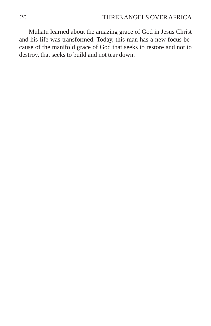Muhatu learned about the amazing grace of God in Jesus Christ and his life was transformed. Today, this man has a new focus because of the manifold grace of God that seeks to restore and not to destroy, that seeks to build and not tear down.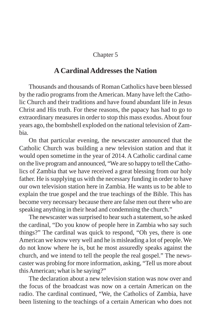# **A Cardinal Addresses the Nation**

Thousands and thousands of Roman Catholics have been blessed by the radio programs from the American. Many have left the Catholic Church and their traditions and have found abundant life in Jesus Christ and His truth. For these reasons, the papacy has had to go to extraordinary measures in order to stop this mass exodus. About four years ago, the bombshell exploded on the national television of Zambia.

On that particular evening, the newscaster announced that the Catholic Church was building a new television station and that it would open sometime in the year of 2014. A Catholic cardinal came on the live program and announced, "We are so happy to tell the Catholics of Zambia that we have received a great blessing from our holy father. He is supplying us with the necessary funding in order to have our own television station here in Zambia. He wants us to be able to explain the true gospel and the true teachings of the Bible. This has become very necessary because there are false men out there who are speaking anything in their head and condemning the church."

The newscaster was surprised to hear such a statement, so he asked the cardinal, "Do you know of people here in Zambia who say such things?" The cardinal was quick to respond, "Oh yes, there is one American we know very well and he is misleading a lot of people. We do not know where he is, but he most assuredly speaks against the church, and we intend to tell the people the real gospel." The newscaster was probing for more information, asking, "Tell us more about this American; what is he saying?"

The declaration about a new television station was now over and the focus of the broadcast was now on a certain American on the radio. The cardinal continued, "We, the Catholics of Zambia, have been listening to the teachings of a certain American who does not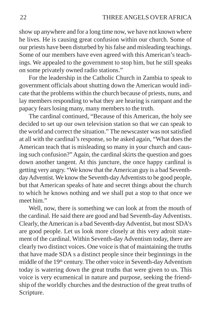show up anywhere and for a long time now, we have not known where he lives. He is causing great confusion within our church. Some of our priests have been disturbed by his false and misleading teachings. Some of our members have even agreed with this American's teachings. We appealed to the government to stop him, but he still speaks on some privately owned radio stations."

For the leadership in the Catholic Church in Zambia to speak to government officials about shutting down the American would indicate that the problems within the church because of priests, nuns, and lay members responding to what they are hearing is rampant and the papacy fears losing many, many members to the truth.

The cardinal continued, "Because of this American, the holy see decided to set up our own television station so that we can speak to the world and correct the situation." The newscaster was not satisfied at all with the cardinal's response, so he asked again, "What does the American teach that is misleading so many in your church and causing such confusion?" Again, the cardinal skirts the question and goes down another tangent. At this juncture, the once happy cardinal is getting very angry. "We know that the American guy is a bad Seventhday Adventist. We know the Seventh-day Adventists to be good people, but that American speaks of hate and secret things about the church to which he knows nothing and we shall put a stop to that once we meet him."

Well, now, there is something we can look at from the mouth of the cardinal. He said there are good and bad Seventh-day Adventists. Clearly, the American is a bad Seventh-day Adventist, but most SDA's are good people. Let us look more closely at this very adroit statement of the cardinal. Within Seventh-day Adventism today, there are clearly two distinct voices. One voice is that of maintaining the truths that have made SDA s a distinct people since their beginnings in the middle of the 19th century. The other voice in Seventh-day Adventism today is watering down the great truths that were given to us. This voice is very ecumenical in nature and purpose, seeking the friendship of the worldly churches and the destruction of the great truths of Scripture.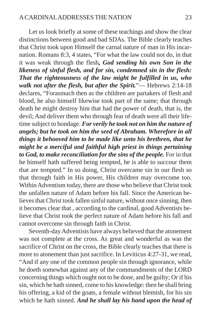Let us look briefly at some of these teachings and show the clear distinctions between good and bad SDAs. The Bible clearly teaches that Christ took upon Himself the carnal nature of man in His incarnation. Romans 8:3, 4 states, "For what the law could not do, in that it was weak through the flesh*, God sending his own Son in the likeness of sinful flesh, and for sin, condemned sin in the flesh: That the righteousness of the law might be fulfilled in us, who walk not after the flesh, but after the Spirit.*"— Hebrews 2:14-18 declares, "Forasmuch then as the children are partakers of flesh and blood, he also himself likewise took part of the same; that through death he might destroy him that had the power of death, that is, the devil; And deliver them who through fear of death were all their lifetime subject to bondage. *For verily he took not on him the nature of angels; but he took on him the seed of Abraham. Wherefore in all things it behooved him to be made like unto his brethren, that he might be a merciful and faithful high priest in things pertaining to God, to make reconciliation for the sins of the people.* For in that he himself hath suffered being tempted, he is able to succour them that are tempted." In so doing, Christ overcame sin in our flesh so that through faith in His power, His children may overcome too. Within Adventism today, there are those who believe that Christ took the unfallen nature of Adam before his fall. Since the American believes that Christ took fallen sinful nature, without once sinning, then it becomes clear that , according to the cardinal, good Adventists believe that Christ took the perfect nature of Adam before his fall and cannot overcome sin through faith in Christ.

Seventh-day Adventists have always believed that the atonement was not complete at the cross. As great and wonderful as was the sacrifice of Christ on the cross, the Bible clearly teaches that there is more to atonement than just sacrifice. In Leviticus 4:27-31, we read, "And if any one of the common people sin through ignorance, while he doeth somewhat against any of the commandments of the LORD concerning things which ought not to be done, and be guilty; Or if his sin, which he hath sinned, come to his knowledge: then he shall bring his offering, a kid of the goats, a female without blemish, for his sin which he hath sinned. *And he shall lay his hand upon the head of*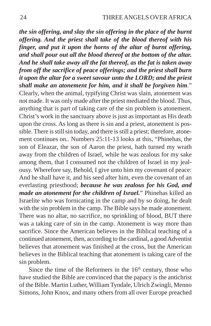*the sin offering, and slay the sin offering in the place of the burnt offering. And the priest shall take of the blood thereof with his finger, and put it upon the horns of the altar of burnt offering, and shall pour out all the blood thereof at the bottom of the altar. And he shall take away all the fat thereof, as the fat is taken away from off the sacrifice of peace offerings; and the priest shall burn it upon the altar for a sweet savour unto the LORD; and the priest shall make an atonement for him, and it shall be forgiven him*." Clearly, when the animal, typifying Christ was slain, atonement was not made. It was only made after the priest mediated the blood. Thus, anything that is part of taking care of the sin problem is atonement. Christ's work in the sanctuary above is just as important as His death upon the cross. As long as there is sin and a priest, atonement is possible. There is still sin today, and there is still a priest; therefore, atonement continues on.. Numbers 25:11-13 looks at this, "Phinehas, the son of Eleazar, the son of Aaron the priest, hath turned my wrath away from the children of Israel, while he was zealous for my sake among them, that I consumed not the children of Israel in my jealousy. Wherefore say, Behold, I give unto him my covenant of peace: And he shall have it, and his seed after him, even the covenant of an everlasting priesthood; *because he was zealous for his God, and made an atonement for the children of Israel.*" Phinehas killed an Israelite who was fornicating in the camp and by so doing, he dealt with the sin problem in the camp. The Bible says he made atonement. There was no altar, no sacrifice, no sprinkling of blood, BUT there was a taking care of sin in the camp. Atonement is way more than sacrifice. Since the American believes in the Biblical teaching of a continued atonement, then, according to the cardinal, a good Adventist believes that atonement was finished at the cross, but the American believes in the Biblical teaching that atonement is taking care of the sin problem.

Since the time of the Reformers in the  $16<sup>th</sup>$  century, those who have studied the Bible are convinced that the papacy is the antichrist of the Bible. Martin Luther, William Tyndale, Ulrich Zwingli, Menno Simons, John Knox, and many others from all over Europe preached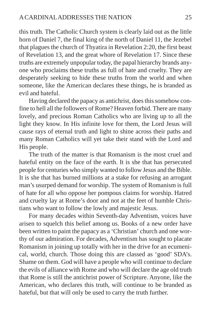this truth. The Catholic Church system is clearly laid out as the little horn of Daniel 7, the final king of the north of Daniel 11, the Jezebel that plagues the church of Thyatira in Revelation 2:20, the first beast of Revelation 13, and the great whore of Revelation 17. Since these truths are extremely unpopular today, the papal hierarchy brands anyone who proclaims these truths as full of hate and cruelty. They are desperately seeking to hide these truths from the world and when someone, like the American declares these things, he is branded as evil and hateful.

Having declared the papacy as antichrist, does this somehow confine to hell all the followers of Rome? Heaven forbid. There are many lovely, and precious Roman Catholics who are living up to all the light they know. In His infinite love for them, the Lord Jesus will cause rays of eternal truth and light to shine across their paths and many Roman Catholics will yet take their stand with the Lord and His people.

The truth of the matter is that Romanism is the most cruel and hateful entity on the face of the earth. It is she that has persecuted people for centuries who simply wanted to follow Jesus and the Bible. It is she that has burned millions at a stake for refusing an arrogant man's usurped demand for worship. The system of Romanism is full of hate for all who oppose her pompous claims for worship. Hatred and cruelty lay at Rome's door and not at the feet of humble Christians who want to follow the lowly and majestic Jesus.

For many decades within Seventh-day Adventism, voices have arisen to squelch this belief among us. Books of a new order have been written to paint the papacy as a 'Christian' church and one worthy of our admiration. For decades, Adventism has sought to placate Romanism in joining up totally with her in the drive for an ecumenical, world, church. Those doing this are classed as 'good' SDA's. Shame on them. God will have a people who will continue to declare the evils of alliance with Rome and who will declare the age old truth that Rome is still the antichrist power of Scripture. Anyone, like the American, who declares this truth, will continue to be branded as hateful, but that will only be used to carry the truth further.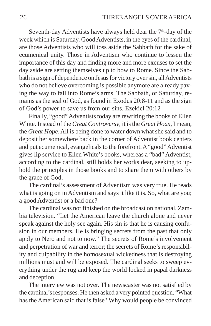Seventh-day Adventists have always held dear the  $7<sup>th</sup>$ -day of the week which is Saturday. Good Adventists, in the eyes of the cardinal, are those Adventists who will toss aside the Sabbath for the sake of ecumenical unity. Those in Adventism who continue to lessen the importance of this day and finding more and more excuses to set the day aside are setting themselves up to bow to Rome. Since the Sabbath is a sign of dependence on Jesus for victory over sin, all Adventists who do not believe overcoming is possible anymore are already paving the way to fall into Rome's arms. The Sabbath, or Saturday, remains as the seal of God, as found in Exodus 20:8-11 and as the sign of God's power to save us from our sins. Ezekiel 20:12

Finally, "good" Adventists today are rewriting the books of Ellen White. Instead of the *Great Controversy*, it is the *Great Hoax*, I mean, the *Great Hope*. All is being done to water down what she said and to deposit her somewhere back in the corner of Adventist book centers and put ecumenical, evangelicals to the forefront. A "good" Adventist gives lip service to Ellen White's books, whereas a "bad" Adventist, according to the cardinal, still holds her works dear, seeking to uphold the principles in those books and to share them with others by the grace of God.

The cardinal's assessment of Adventism was very true. He reads what is going on in Adventism and says it like it is. So, what are you; a good Adventist or a bad one?

The cardinal was not finished on the broadcast on national, Zambia television. "Let the American leave the church alone and never speak against the holy see again. His sin is that he is causing confusion in our members. He is bringing secrets from the past that only apply to Nero and not to now." The secrets of Rome's involvement and perpetration of war and terror; the secrets of Rome's responsibility and culpability in the homosexual wickedness that is destroying millions must and will be exposed. The cardinal seeks to sweep everything under the rug and keep the world locked in papal darkness and deception.

The interview was not over. The newscaster was not satisfied by the cardinal's responses. He then asked a very pointed question. "What has the American said that is false? Why would people be convinced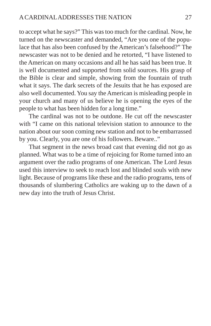to accept what he says?" This was too much for the cardinal. Now, he turned on the newscaster and demanded, "Are you one of the populace that has also been confused by the American's falsehood?" The newscaster was not to be denied and he retorted, "I have listened to the American on many occasions and all he has said has been true. It is well documented and supported from solid sources. His grasp of the Bible is clear and simple, showing from the fountain of truth what it says. The dark secrets of the Jesuits that he has exposed are also well documented. You say the American is misleading people in your church and many of us believe he is opening the eyes of the people to what has been hidden for a long time."

The cardinal was not to be outdone. He cut off the newscaster with "I came on this national television station to announce to the nation about our soon coming new station and not to be embarrassed by you. Clearly, you are one of his followers. Beware.."

That segment in the news broad cast that evening did not go as planned. What was to be a time of rejoicing for Rome turned into an argument over the radio programs of one American. The Lord Jesus used this interview to seek to reach lost and blinded souls with new light. Because of programs like these and the radio programs, tens of thousands of slumbering Catholics are waking up to the dawn of a new day into the truth of Jesus Christ.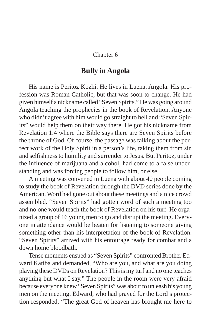# **Bully in Angola**

His name is Peritoz Kozhi. He lives in Luena, Angola. His profession was Roman Catholic, but that was soon to change. He had given himself a nickname called "Seven Spirits." He was going around Angola teaching the prophecies in the book of Revelation. Anyone who didn't agree with him would go straight to hell and "Seven Spirits" would help them on their way there. He got his nickname from Revelation 1:4 where the Bible says there are Seven Spirits before the throne of God. Of course, the passage was talking about the perfect work of the Holy Spirit in a person's life, taking them from sin and selfishness to humility and surrender to Jesus. But Peritoz, under the influence of marijuana and alcohol, had come to a false understanding and was forcing people to follow him, or else.

A meeting was convened in Luena with about 40 people coming to study the book of Revelation through the DVD series done by the American. Word had gone out about these meetings and a nice crowd assembled. "Seven Spirits" had gotten word of such a meeting too and no one would teach the book of Revelation on his turf. He organized a group of 16 young men to go and disrupt the meeting. Everyone in attendance would be beaten for listening to someone giving something other than his interpretation of the book of Revelation. "Seven Spirits" arrived with his entourage ready for combat and a down home bloodbath.

Tense moments ensued as "Seven Spirits" confronted Brother Edward Katiba and demanded, "Who are you, and what are you doing playing these DVDs on Revelation? This is my turf and no one teaches anything but what I say." The people in the room were very afraid because everyone knew "Seven Spirits" was about to unleash his young men on the meeting. Edward, who had prayed for the Lord's protection responded, "The great God of heaven has brought me here to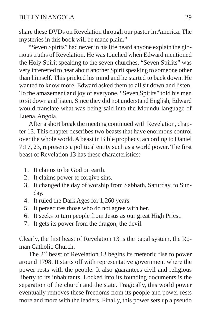share these DVDs on Revelation through our pastor in America. The mysteries in this book will be made plain."

"Seven Spirits" had never in his life heard anyone explain the glorious truths of Revelation. He was touched when Edward mentioned the Holy Spirit speaking to the seven churches. "Seven Spirits" was very interested to hear about another Spirit speaking to someone other than himself. This pricked his mind and he started to back down. He wanted to know more. Edward asked them to all sit down and listen. To the amazement and joy of everyone, "Seven Spirits" told his men to sit down and listen. Since they did not understand English, Edward would translate what was being said into the Mbundu language of Luena, Angola.

After a short break the meeting continued with Revelation, chapter 13. This chapter describes two beasts that have enormous control over the whole world. A beast in Bible prophecy, according to Daniel 7:17, 23, represents a political entity such as a world power. The first beast of Revelation 13 has these characteristics:

- 1. It claims to be God on earth.
- 2. It claims power to forgive sins.
- 3. It changed the day of worship from Sabbath, Saturday, to Sunday.
- 4. It ruled the Dark Ages for 1,260 years.
- 5. It persecutes those who do not agree with her.
- 6. It seeks to turn people from Jesus as our great High Priest.
- 7. It gets its power from the dragon, the devil.

Clearly, the first beast of Revelation 13 is the papal system, the Roman Catholic Church.

The 2nd beast of Revelation 13 begins its meteoric rise to power around 1798. It starts off with representative government where the power rests with the people. It also guarantees civil and religious liberty to its inhabitants. Locked into its founding documents is the separation of the church and the state. Tragically, this world power eventually removes these freedoms from its people and power rests more and more with the leaders. Finally, this power sets up a pseudo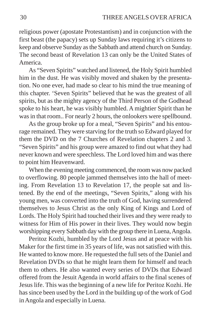religious power (apostate Protestantism) and in conjunction with the first beast (the papacy) sets up Sunday laws requiring it's citizens to keep and observe Sunday as the Sabbath and attend church on Sunday. The second beast of Revelation 13 can only be the United States of America.

As "Seven Spirits" watched and listened, the Holy Spirit humbled him in the dust. He was visibly moved and shaken by the presentation. No one ever, had made so clear to his mind the true meaning of this chapter. 'Seven Spirits" believed that he was the greatest of all spirits, but as the mighty agency of the Third Person of the Godhead spoke to his heart, he was visibly humbled. A mightier Spirit than he was in that room.. For nearly 2 hours, the onlookers were spellbound.

As the group broke up for a meal, "Seven Spirits" and his entourage remained. They were starving for the truth so Edward played for them the DVD on the 7 Churches of Revelation chapters 2 and 3. "Seven Spirits" and his group were amazed to find out what they had never known and were speechless. The Lord loved him and was there to point him Heavenward.

When the evening meeting commenced, the room was now packed to overflowing. 80 people jammed themselves into the hall of meeting. From Revelation 13 to Revelation 17, the people sat and listened. By the end of the meetings, "Seven Spirits," along with his young men, was converted into the truth of God, having surrendered themselves to Jesus Christ as the only King of Kings and Lord of Lords. The Holy Spirit had touched their lives and they were ready to witness for Him of His power in their lives. They would now begin worshipping every Sabbath day with the group there in Luena, Angola.

Peritoz Kozhi, humbled by the Lord Jesus and at peace with his Maker for the first time in 35 years of life, was not satisfied with this. He wanted to know more. He requested the full sets of the Daniel and Revelation DVDs so that he might learn them for himself and teach them to others. He also wanted every series of DVDs that Edward offered from the Jesuit Agenda in world affairs to the final scenes of Jesus life. This was the beginning of a new life for Peritoz Kozhi. He has since been used by the Lord in the building up of the work of God in Angola and especially in Luena.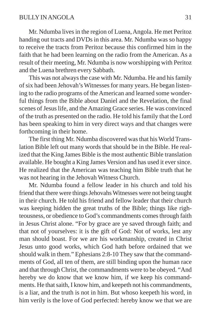Mr. Ndumba lives in the region of Luena, Angola. He met Peritoz handing out tracts and DVDs in this area. Mr. Ndumba was so happy to receive the tracts from Peritoz because this confirmed him in the faith that he had been learning on the radio from the American. As a result of their meeting, Mr. Ndumba is now worshipping with Peritoz and the Luena brethren every Sabbath.

This was not always the case with Mr. Ndumba. He and his family of six had been Jehovah's Witnesses for many years. He began listening to the radio programs of the American and learned some wonderful things from the Bible about Daniel and the Revelation, the final scenes of Jesus life, and the Amazing Grace series. He was convinced of the truth as presented on the radio. He told his family that the Lord has been speaking to him in very direct ways and that changes were forthcoming in their home.

The first thing Mr. Ndumba discovered was that his World Translation Bible left out many words that should be in the Bible. He realized that the King James Bible is the most authentic Bible translation available. He bought a King James Version and has used it ever since. He realized that the American was teaching him Bible truth that he was not hearing in the Jehovah Witness Church.

Mr. Ndumba found a fellow leader in his church and told his friend that there were things Jehovahs Witnesses were not being taught in their church. He told his friend and fellow leader that their church was keeping hidden the great truths of the Bible; things like righteousness, or obedience to God's commandments comes through faith in Jesus Christ alone. "For by grace are ye saved through faith; and that not of yourselves: it is the gift of God: Not of works, lest any man should boast. For we are his workmanship, created in Christ Jesus unto good works, which God hath before ordained that we should walk in them." Ephesians 2:8-10 They saw that the commandments of God, all ten of them, are still binding upon the human race and that through Christ, the commandments were to be obeyed. "And hereby we do know that we know him, if we keep his commandments. He that saith, I know him, and keepeth not his commandments, is a liar, and the truth is not in him. But whoso keepeth his word, in him verily is the love of God perfected: hereby know we that we are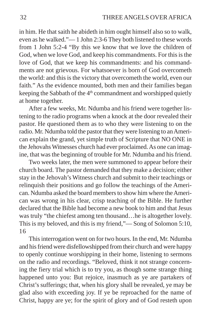in him. He that saith he abideth in him ought himself also so to walk, even as he walked."— 1 John 2:3-6 They both listened to these words from 1 John 5:2-4 "By this we know that we love the children of God, when we love God, and keep his commandments. For this is the love of God, that we keep his commandments: and his commandments are not grievous. For whatsoever is born of God overcometh the world: and this is the victory that overcometh the world, even our faith." As the evidence mounted, both men and their families began keeping the Sabbath of the 4<sup>th</sup> commandment and worshipped quietly at home together.

After a few weeks, Mr. Ndumba and his friend were together listening to the radio programs when a knock at the door revealed their pastor. He questioned them as to who they were listening to on the radio. Mr. Ndumba told the pastor that they were listening to an American explain the grand, yet simple truth of Scripture that NO ONE in the Jehovahs Witnesses church had ever proclaimed. As one can imagine, that was the beginning of trouble for Mr. Ndumba and his friend.

Two weeks later, the men were summoned to appear before their church board. The pastor demanded that they make a decision; either stay in the Jehovah's Witness church and submit to their teachings or relinquish their positions and go follow the teachings of the American. Ndumba asked the board members to show him where the American was wrong in his clear, crisp teaching of the Bible. He further declared that the Bible had become a new book to him and that Jesus was truly "the chiefest among ten thousand…he is altogether lovely. This is my beloved, and this is my friend,"— Song of Solomon 5:10, 16

This interrogation went on for two hours. In the end, Mr. Ndumba and his friend were disfellowshipped from their church and were happy to openly continue worshipping in their home, listening to sermons on the radio and recordings. "Beloved, think it not strange concerning the fiery trial which is to try you, as though some strange thing happened unto you: But rejoice, inasmuch as ye are partakers of Christ's sufferings; that, when his glory shall be revealed, ye may be glad also with exceeding joy. If ye be reproached for the name of Christ, happy are ye; for the spirit of glory and of God resteth upon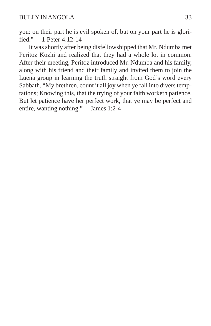you: on their part he is evil spoken of, but on your part he is glorified."— 1 Peter 4:12-14

It was shortly after being disfellowshipped that Mr. Ndumba met Peritoz Kozhi and realized that they had a whole lot in common. After their meeting, Peritoz introduced Mr. Ndumba and his family, along with his friend and their family and invited them to join the Luena group in learning the truth straight from God's word every Sabbath. "My brethren, count it all joy when ye fall into divers temptations; Knowing this, that the trying of your faith worketh patience. But let patience have her perfect work, that ye may be perfect and entire, wanting nothing."— James 1:2-4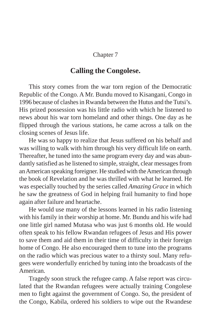# **Calling the Congolese.**

This story comes from the war torn region of the Democratic Republic of the Congo. A Mr. Bundu moved to Kisangani, Congo in 1996 because of clashes in Rwanda between the Hutus and the Tutsi's. His prized possession was his little radio with which he listened to news about his war torn homeland and other things. One day as he flipped through the various stations, he came across a talk on the closing scenes of Jesus life.

He was so happy to realize that Jesus suffered on his behalf and was willing to walk with him through his very difficult life on earth. Thereafter, he tuned into the same program every day and was abundantly satisfied as he listened to simple, straight, clear messages from an American speaking foreigner. He studied with the American through the book of Revelation and he was thrilled with what he learned. He was especially touched by the series called *Amazing Grace* in which he saw the greatness of God in helping frail humanity to find hope again after failure and heartache.

He would use many of the lessons learned in his radio listening with his family in their worship at home. Mr. Bundu and his wife had one little girl named Mutasa who was just 6 months old. He would often speak to his fellow Rwandan refugees of Jesus and His power to save them and aid them in their time of difficulty in their foreign home of Congo. He also encouraged them to tune into the programs on the radio which was precious water to a thirsty soul. Many refugees were wonderfully enriched by tuning into the broadcasts of the American.

Tragedy soon struck the refugee camp. A false report was circulated that the Rwandan refugees were actually training Congolese men to fight against the government of Congo. So, the president of the Congo, Kabila, ordered his soldiers to wipe out the Rwandese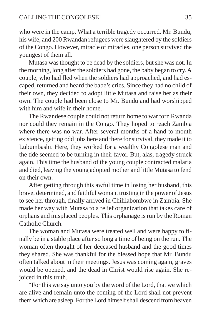who were in the camp. What a terrible tragedy occurred. Mr. Bundu, his wife, and 200 Rwandan refugees were slaughtered by the soldiers of the Congo. However, miracle of miracles, one person survived the youngest of them all.

Mutasa was thought to be dead by the soldiers, but she was not. In the morning, long after the soldiers had gone, the baby began to cry. A couple, who had fled when the soldiers had approached, and had escaped, returned and heard the babe's cries. Since they had no child of their own, they decided to adopt little Mutasa and raise her as their own. The couple had been close to Mr. Bundu and had worshipped with him and wife in their home.

The Rwandese couple could not return home to war torn Rwanda nor could they remain in the Congo. They hoped to reach Zambia where there was no war. After several months of a hand to mouth existence, getting odd jobs here and there for survival, they made it to Lubumbashi. Here, they worked for a wealthy Congolese man and the tide seemed to be turning in their favor. But, alas, tragedy struck again. This time the husband of the young couple contracted malaria and died, leaving the young adopted mother and little Mutasa to fend on their own.

After getting through this awful time in losing her husband, this brave, determined, and faithful woman, trusting in the power of Jesus to see her through, finally arrived in Chililabombwe in Zambia. She made her way with Mutasa to a relief organization that takes care of orphans and misplaced peoples. This orphanage is run by the Roman Catholic Church.

The woman and Mutasa were treated well and were happy to finally be in a stable place after so long a time of being on the run. The woman often thought of her deceased husband and the good times they shared. She was thankful for the blessed hope that Mr. Bundu often talked about in their meetings. Jesus was coming again, graves would be opened, and the dead in Christ would rise again. She rejoiced in this truth.

"For this we say unto you by the word of the Lord, that we which are alive and remain unto the coming of the Lord shall not prevent them which are asleep. For the Lord himself shall descend from heaven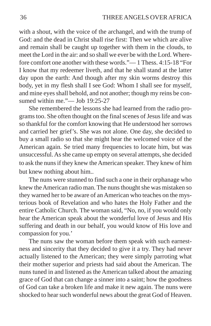with a shout, with the voice of the archangel, and with the trump of God: and the dead in Christ shall rise first: Then we which are alive and remain shall be caught up together with them in the clouds, to meet the Lord in the air: and so shall we ever be with the Lord. Wherefore comfort one another with these words."— 1 Thess. 4:15-18 "For I know that my redeemer liveth, and that he shall stand at the latter day upon the earth: And though after my skin worms destroy this body, yet in my flesh shall I see God: Whom I shall see for myself, and mine eyes shall behold, and not another; though my reins be consumed within me."- Job 19:25-27

She remembered the lessons she had learned from the radio programs too. She often thought on the final scenes of Jesus life and was so thankful for the comfort knowing that He understood her sorrows and carried her grief's. She was not alone. One day, she decided to buy a small radio so that she might hear the welcomed voice of the American again. Se tried many frequencies to locate him, but was unsuccessful. As she came up empty on several attempts, she decided to ask the nuns if they knew the American speaker. They knew of him but knew nothing about him..

The nuns were stunned to find such a one in their orphanage who knew the American radio man. The nuns thought she was mistaken so they warned her to be aware of an American who teaches on the mysterious book of Revelation and who hates the Holy Father and the entire Catholic Church. The woman said, "No, no, if you would only hear the American speak about the wonderful love of Jesus and His suffering and death in our behalf, you would know of His love and compassion for you.'

The nuns saw the woman before them speak with such earnestness and sincerity that they decided to give it a try. They had never actually listened to the American; they were simply parroting what their mother superior and priests had said about the American. The nuns tuned in and listened as the American talked about the amazing grace of God that can change a sinner into a saint; how the goodness of God can take a broken life and make it new again. The nuns were shocked to hear such wonderful news about the great God of Heaven.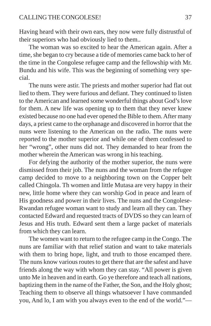Having heard with their own ears, they now were fully distrustful of their superiors who had obviously lied to them..

The woman was so excited to hear the American again. After a time, she began to cry because a tide of memories came back to her of the time in the Congolese refugee camp and the fellowship with Mr. Bundu and his wife. This was the beginning of something very special.

The nuns were astir. The priests and mother superior had flat out lied to them. They were furious and defiant. They continued to listen to the American and learned some wonderful things about God's love for them. A new life was opening up to them that they never knew existed because no one had ever opened the Bible to them. After many days, a priest came to the orphanage and discovered in horror that the nuns were listening to the American on the radio. The nuns were reported to the mother superior and while one of them confessed to her "wrong", other nuns did not. They demanded to hear from the mother wherein the American was wrong in his teaching.

For defying the authority of the mother superior, the nuns were dismissed from their job. The nuns and the woman from the refugee camp decided to move to a neighboring town on the Copper belt called Chingola. Th women and little Mutasa are very happy in their new, little home where they can worship God in peace and learn of His goodness and power in their lives. The nuns and the Congolese-Rwandan refugee woman want to study and learn all they can. They contacted Edward and requested tracts of DVDS so they can learn of Jesus and His truth. Edward sent them a large packet of materials from which they can learn.

The women want to return to the refugee camp in the Congo. The nuns are familiar with that relief station and want to take materials with them to bring hope, light, and truth to those encamped there. The nuns know various routes to get there that are the safest and have friends along the way with whom they can stay. "All power is given unto Me in heaven and in earth. Go ye therefore and teach all nations, baptizing them in the name of the Father, the Son, and the Holy ghost; Teaching them to observe all things whatsoever I have commanded you, And lo, I am with you always even to the end of the world."—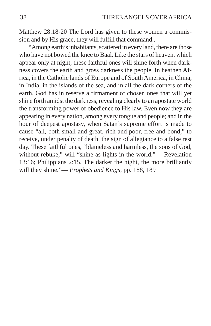Matthew 28:18-20 The Lord has given to these women a commission and by His grace, they will fulfill that command..

"Among earth's inhabitants, scattered in every land, there are those who have not bowed the knee to Baal. Like the stars of heaven, which appear only at night, these faithful ones will shine forth when darkness covers the earth and gross darkness the people. In heathen Africa, in the Catholic lands of Europe and of South America, in China, in India, in the islands of the sea, and in all the dark corners of the earth, God has in reserve a firmament of chosen ones that will yet shine forth amidst the darkness, revealing clearly to an apostate world the transforming power of obedience to His law. Even now they are appearing in every nation, among every tongue and people; and in the hour of deepest apostasy, when Satan's supreme effort is made to cause "all, both small and great, rich and poor, free and bond," to receive, under penalty of death, the sign of allegiance to a false rest day. These faithful ones, "blameless and harmless, the sons of God, without rebuke," will "shine as lights in the world."— Revelation 13:16; Philippians 2:15. The darker the night, the more brilliantly will they shine."— *Prophets and Kings*, pp. 188, 189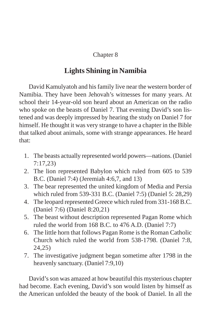## Chapter 8

# **Lights Shining in Namibia**

David Kamulyatoh and his family live near the western border of Namibia. They have been Jehovah's witnesses for many years. At school their 14-year-old son heard about an American on the radio who spoke on the beasts of Daniel 7. That evening David's son listened and was deeply impressed by hearing the study on Daniel 7 for himself. He thought it was very strange to have a chapter in the Bible that talked about animals, some with strange appearances. He heard that:

- 1. The beasts actually represented world powers—nations. (Daniel 7:17,23)
- 2. The lion represented Babylon which ruled from 605 to 539 B.C. (Daniel 7:4) (Jeremiah 4:6,7, and 13)
- 3. The bear represented the united kingdom of Media and Persia which ruled from 539-331 B.C. (Daniel 7:5) (Daniel 5: 28,29)
- 4. The leopard represented Greece which ruled from 331-168 B.C. (Daniel 7:6) (Daniel 8:20,21)
- 5. The beast without description represented Pagan Rome which ruled the world from 168 B.C. to 476 A.D. (Daniel 7:7)
- 6. The little horn that follows Pagan Rome is the Roman Catholic Church which ruled the world from 538-1798. (Daniel 7:8, 24,25)
- 7. The investigative judgment began sometime after 1798 in the heavenly sanctuary. (Daniel 7:9,10)

David's son was amazed at how beautiful this mysterious chapter had become. Each evening, David's son would listen by himself as the American unfolded the beauty of the book of Daniel. In all the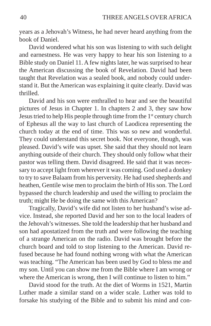years as a Jehovah's Witness, he had never heard anything from the book of Daniel.

David wondered what his son was listening to with such delight and earnestness. He was very happy to hear his son listening to a Bible study on Daniel 11. A few nights later, he was surprised to hear the American discussing the book of Revelation. David had been taught that Revelation was a sealed book, and nobody could understand it. But the American was explaining it quite clearly. David was thrilled.

David and his son were enthralled to hear and see the beautiful pictures of Jesus in Chapter 1. In chapters 2 and 3, they saw how Jesus tried to help His people through time from the 1<sup>st</sup> century church of Ephesus all the way to last church of Laodicea representing the church today at the end of time. This was so new and wonderful. They could understand this secret book. Not everyone, though, was pleased. David's wife was upset. She said that they should not learn anything outside of their church. They should only follow what their pastor was telling them. David disagreed. He said that it was necessary to accept light from wherever it was coming. God used a donkey to try to save Balaam from his perversity. He had used shepherds and heathen, Gentile wise men to proclaim the birth of His son. The Lord bypassed the church leadership and used the willing to proclaim the truth; might He be doing the same with this American?

Tragically, David's wife did not listen to her husband's wise advice. Instead, she reported David and her son to the local leaders of the Jehovah's witnesses. She told the leadership that her husband and son had apostatized from the truth and were following the teaching of a strange American on the radio. David was brought before the church board and told to stop listening to the American. David refused because he had found nothing wrong with what the American was teaching. "The American has been used by God to bless me and my son. Until you can show me from the Bible where I am wrong or where the American is wrong, then I will continue to listen to him."

David stood for the truth. At the diet of Worms in 1521, Martin Luther made a similar stand on a wider scale. Luther was told to forsake his studying of the Bible and to submit his mind and con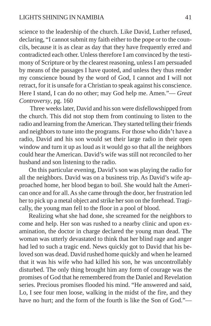science to the leadership of the church. Like David, Luther refused, declaring, "I cannot submit my faith either to the pope or to the councils, because it is as clear as day that they have frequently erred and contradicted each other. Unless therefore I am convinced by the testimony of Scripture or by the clearest reasoning, unless I am persuaded by means of the passages I have quoted, and unless they thus render my conscience bound by the word of God, I cannot and I will not retract, for it is unsafe for a Christian to speak against his conscience. Here I stand, I can do no other; may God help me. Amen."— *Great Controversy*, pg. 160

 Three weeks later, David and his son were disfellowshipped from the church. This did not stop them from continuing to listen to the radio and learning from the American. They started telling their friends and neighbors to tune into the programs. For those who didn't have a radio, David and his son would set their large radio in their open window and turn it up as loud as it would go so that all the neighbors could hear the American. David's wife was still not reconciled to her husband and son listening to the radio.

On this particular evening, David's son was playing the radio for all the neighbors. David was on a business trip. As David's wife approached home, her blood began to boil. She would halt the American once and for all. As she came through the door, her frustration led her to pick up a metal object and strike her son on the forehead. Tragically, the young man fell to the floor in a pool of blood.

Realizing what she had done, she screamed for the neighbors to come and help. Her son was rushed to a nearby clinic and upon examination, the doctor in charge declared the young man dead. The woman was utterly devastated to think that her blind rage and anger had led to such a tragic end. News quickly got to David that his beloved son was dead. David rushed home quickly and when he learned that it was his wife who had killed his son, he was uncontrollably disturbed. The only thing brought him any form of courage was the promises of God that he remembered from the Daniel and Revelation series. Precious promises flooded his mind. "He answered and said, Lo, I see four men loose, walking in the midst of the fire, and they have no hurt; and the form of the fourth is like the Son of God."—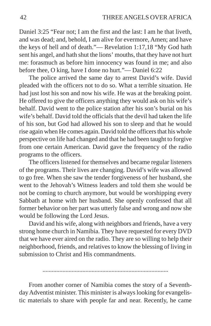Daniel 3:25 "Fear not; I am the first and the last: I am he that liveth, and was dead; and, behold, I am alive for evermore, Amen; and have the keys of hell and of death."— Revelation 1:17,18 "My God hath sent his angel, and hath shut the lions' mouths, that they have not hurt me: forasmuch as before him innocency was found in me; and also before thee, O king, have I done no hurt."— Daniel 6:22

The police arrived the same day to arrest David's wife. David pleaded with the officers not to do so. What a terrible situation. He had just lost his son and now his wife. He was at the breaking point. He offered to give the officers anything they would ask on his wife's behalf. David went to the police station after his son's burial on his wife's behalf. David told the officials that the devil had taken the life of his son, but God had allowed his son to sleep and that he would rise again when He comes again. David told the officers that his whole perspective on life had changed and that he had been taught to forgive from one certain American. David gave the frequency of the radio programs to the officers.

The officers listened for themselves and became regular listeners of the programs. Their lives are changing. David's wife was allowed to go free. When she saw the tender forgiveness of her husband, she went to the Jehovah's Witness leaders and told them she would be not be coming to church anymore, but would be worshipping every Sabbath at home with her husband. She openly confessed that all former behavior on her part was utterly false and wrong and now she would be following the Lord Jesus.

David and his wife, along with neighbors and friends, have a very strong home church in Namibia. They have requested for every DVD that we have ever aired on the radio. They are so willing to help their neighborhood, friends, and relatives to know the blessing of living in submission to Christ and His commandments.

..................................................................................

From another corner of Namibia comes the story of a Seventhday Adventist minister. This minister is always looking for evangelistic materials to share with people far and near. Recently, he came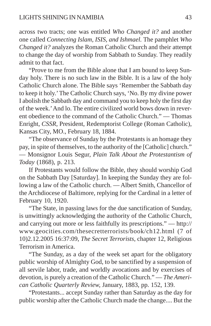across two tracts; one was entitled *Who Changed it?* and another one called *Connecting Islam, ISIS, and Ishmael.* The pamphlet *Who Changed it?* analyzes the Roman Catholic Church and their attempt to change the day of worship from Sabbath to Sunday. They readily admit to that fact.

"Prove to me from the Bible alone that I am bound to keep Sunday holy. There is no such law in the Bible. It is a law of the holy Catholic Church alone. The Bible says 'Remember the Sabbath day to keep it holy.' The Catholic Church says, 'No. By my divine power I abolish the Sabbath day and command you to keep holy the first day of the week.' And lo. The entire civilized world bows down in reverent obedience to the command of the Catholic Church." — Thomas Enright, *CSSR*, President, Redemptorist College (Roman Catholic), Kansas City, MO., February 18, 1884.

"The observance of Sunday by the Protestants is an homage they pay, in spite of themselves, to the authority of the [Catholic] church." — Monsignor Louis Segur, *Plain Talk About the Protestantism of Today* (1868), p. 213.

If Protestants would follow the Bible, they should worship God on the Sabbath Day [Saturday]. In keeping the Sunday they are following a law of the Catholic church. — Albert Smith, Chancellor of the Archdiocese of Baltimore, replying for the Cardinal in a letter of February 10, 1920.

"The State, in passing laws for the due sanctification of Sunday, is unwittingly acknowledging the authority of the Catholic Church, and carrying out more or less faithfully its prescriptions." — http:// www.geocities.com/thesecretterrorists/book/ch12.html (7 of 10)2.12.2005 16:37:09, *The Secret Terrorists*, chapter 12, Religious Terrorism in America.

"The Sunday, as a day of the week set apart for the obligatory public worship of Almighty God, to be sanctified by a suspension of all servile labor, trade, and worldly avocations and by exercises of devotion, is purely a creation of the Catholic Church." — *The American Catholic Quarterly Review,* January, 1883, pp. 152, 139.

"Protestants... accept Sunday rather than Saturday as the day for public worship after the Catholic Church made the change.... But the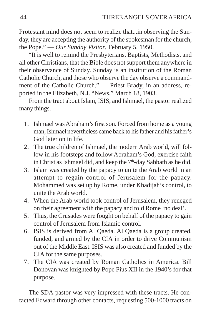Protestant mind does not seem to realize that...in observing the Sunday, they are accepting the authority of the spokesman for the church, the Pope." — *Our Sunday Visitor*, February 5, 1950.

"It is well to remind the Presbyterians, Baptists, Methodists, and all other Christians, that the Bible does not support them anywhere in their observance of Sunday. Sunday is an institution of the Roman Catholic Church, and those who observe the day observe a commandment of the Catholic Church." — Priest Brady, in an address, reported in the Elizabeth, N.J. "News," March 18, 1903.

From the tract about Islam, ISIS, and Ishmael, the pastor realized many things.

- 1. Ishmael was Abraham's first son. Forced from home as a young man, Ishmael nevertheless came back to his father and his father's God later on in life.
- 2. The true children of Ishmael, the modern Arab world, will follow in his footsteps and follow Abraham's God, exercise faith in Christ as Ishmael did, and keep the 7<sup>th</sup>-day Sabbath as he did.
- 3. Islam was created by the papacy to unite the Arab world in an attempt to regain control of Jerusalem for the papacy. Mohammed was set up by Rome, under Khadijah's control, to unite the Arab world.
- 4. When the Arab world took control of Jerusalem, they reneged on their agreement with the papacy and told Rome 'no deal'.
- 5. Thus, the Crusades were fought on behalf of the papacy to gain control of Jerusalem from Islamic control.
- 6. ISIS is derived from Al Qaeda. Al Qaeda is a group created, funded, and armed by the CIA in order to drive Communism out of the Middle East. ISIS was also created and funded by the CIA for the same purposes.
- 7. The CIA was created by Roman Catholics in America. Bill Donovan was knighted by Pope Pius XII in the 1940's for that purpose.

The SDA pastor was very impressed with these tracts. He contacted Edward through other contacts, requesting 500-1000 tracts on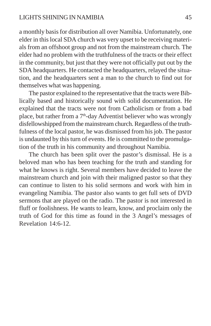a monthly basis for distribution all over Namibia. Unfortunately, one elder in this local SDA church was very upset to be receiving materials from an offshoot group and not from the mainstream church. The elder had no problem with the truthfulness of the tracts or their effect in the community, but just that they were not officially put out by the SDA headquarters. He contacted the headquarters, relayed the situation, and the headquarters sent a man to the church to find out for themselves what was happening.

The pastor explained to the representative that the tracts were Biblically based and historically sound with solid documentation. He explained that the tracts were not from Catholicism or from a bad place, but rather from a 7<sup>th</sup>-day Adventist believer who was wrongly disfellowshipped from the mainstream church. Regardless of the truthfulness of the local pastor, he was dismissed from his job. The pastor is undaunted by this turn of events. He is committed to the promulgation of the truth in his community and throughout Namibia.

The church has been split over the pastor's dismissal. He is a beloved man who has been teaching for the truth and standing for what he knows is right. Several members have decided to leave the mainstream church and join with their maligned pastor so that they can continue to listen to his solid sermons and work with him in evangeling Namibia. The pastor also wants to get full sets of DVD sermons that are played on the radio. The pastor is not interested in fluff or foolishness. He wants to learn, know, and proclaim only the truth of God for this time as found in the 3 Angel's messages of Revelation 14:6-12.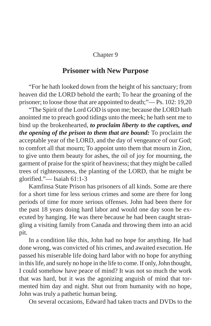#### Chapter 9

## **Prisoner with New Purpose**

"For he hath looked down from the height of his sanctuary; from heaven did the LORD behold the earth; To hear the groaning of the prisoner; to loose those that are appointed to death;"— Ps. 102: 19,20

"The Spirit of the Lord GOD is upon me; because the LORD hath anointed me to preach good tidings unto the meek; he hath sent me to bind up the brokenhearted, *to proclaim liberty to the captives, and the opening of the prison to them that are bound:* To proclaim the acceptable year of the LORD, and the day of vengeance of our God; to comfort all that mourn; To appoint unto them that mourn in Zion, to give unto them beauty for ashes, the oil of joy for mourning, the garment of praise for the spirit of heaviness; that they might be called trees of righteousness, the planting of the LORD, that he might be glorified."— Isaiah 61:1-3

Kamfinsa State Prison has prisoners of all kinds. Some are there for a short time for less serious crimes and some are there for long periods of time for more serious offenses. John had been there for the past 18 years doing hard labor and would one day soon be executed by hanging. He was there because he had been caught strangling a visiting family from Canada and throwing them into an acid pit.

In a condition like this, John had no hope for anything. He had done wrong, was convicted of his crimes, and awaited execution. He passed his miserable life doing hard labor with no hope for anything in this life, and surely no hope in the life to come. If only, John thought, I could somehow have peace of mind? It was not so much the work that was hard, but it was the agonizing anguish of mind that tormented him day and night. Shut out from humanity with no hope, John was truly a pathetic human being.

On several occasions, Edward had taken tracts and DVDs to the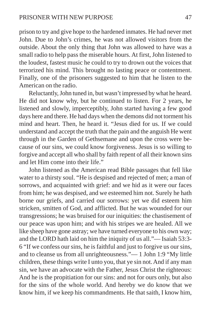prison to try and give hope to the hardened inmates. He had never met John. Due to John's crimes, he was not allowed visitors from the outside. About the only thing that John was allowed to have was a small radio to help pass the miserable hours. At first, John listened to the loudest, fastest music he could to try to drown out the voices that terrorized his mind. This brought no lasting peace or contentment. Finally, one of the prisoners suggested to him that he listen to the American on the radio.

Reluctantly, John tuned in, but wasn't impressed by what he heard. He did not know why, but he continued to listen. For 2 years, he listened and slowly, imperceptibly, John started having a few good days here and there. He had days when the demons did not torment his mind and heart. Then, he heard it. "Jesus died for us. If we could understand and accept the truth that the pain and the anguish He went through in the Garden of Gethsemane and upon the cross were because of our sins, we could know forgiveness. Jesus is so willing to forgive and accept all who shall by faith repent of all their known sins and let Him come into their life."

John listened as the American read Bible passages that fell like water to a thirsty soul. "He is despised and rejected of men; a man of sorrows, and acquainted with grief: and we hid as it were our faces from him; he was despised, and we esteemed him not. Surely he hath borne our griefs, and carried our sorrows: yet we did esteem him stricken, smitten of God, and afflicted. But he was wounded for our transgressions; he was bruised for our iniquities: the chastisement of our peace was upon him; and with his stripes we are healed. All we like sheep have gone astray; we have turned everyone to his own way; and the LORD hath laid on him the iniquity of us all."— Isaiah 53:3- 6 "If we confess our sins, he is faithful and just to forgive us our sins, and to cleanse us from all unrighteousness."— 1 John 1:9 "My little children, these things write I unto you, that ye sin not. And if any man sin, we have an advocate with the Father, Jesus Christ the righteous: And he is the propitiation for our sins: and not for ours only, but also for the sins of the whole world. And hereby we do know that we know him, if we keep his commandments. He that saith, I know him,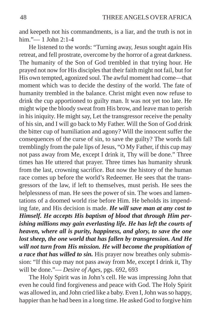and keepeth not his commandments, is a liar, and the truth is not in him."-1 John 2:1-4

He listened to the words: "Turning away, Jesus sought again His retreat, and fell prostrate, overcome by the horror of a great darkness. The humanity of the Son of God trembled in that trying hour. He prayed not now for His disciples that their faith might not fail, but for His own tempted, agonized soul. The awful moment had come—that moment which was to decide the destiny of the world. The fate of humanity trembled in the balance. Christ might even now refuse to drink the cup apportioned to guilty man. It was not yet too late. He might wipe the bloody sweat from His brow, and leave man to perish in his iniquity. He might say, Let the transgressor receive the penalty of his sin, and I will go back to My Father. Will the Son of God drink the bitter cup of humiliation and agony? Will the innocent suffer the consequences of the curse of sin, to save the guilty? The words fall tremblingly from the pale lips of Jesus, "O My Father, if this cup may not pass away from Me, except I drink it, Thy will be done." Three times has He uttered that prayer. Three times has humanity shrunk from the last, crowning sacrifice. But now the history of the human race comes up before the world's Redeemer. He sees that the transgressors of the law, if left to themselves, must perish. He sees the helplessness of man. He sees the power of sin. The woes and lamentations of a doomed world rise before Him. He beholds its impending fate, and His decision is made. *He will save man at any cost to Himself. He accepts His baptism of blood that through Him perishing millions may gain everlasting life. He has left the courts of heaven, where all is purity, happiness, and glory, to save the one lost sheep, the one world that has fallen by transgression. And He will not turn from His mission. He will become the propitiation of a race that has willed to sin.* His prayer now breathes only submission: "If this cup may not pass away from Me, except I drink it, Thy will be done."— *Desire of Ages*, pgs. 692, 693

The Holy Spirit was in John's cell. He was impressing John that even he could find forgiveness and peace with God. The Holy Spirit was allowed in, and John cried like a baby. Even I, John was so happy, happier than he had been in a long time. He asked God to forgive him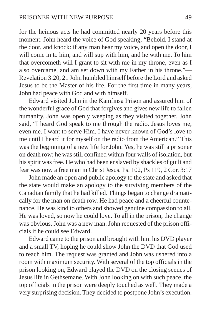for the heinous acts he had committed nearly 20 years before this moment. John heard the voice of God speaking, "Behold, I stand at the door, and knock: if any man hear my voice, and open the door, I will come in to him, and will sup with him, and he with me. To him that overcometh will I grant to sit with me in my throne, even as I also overcame, and am set down with my Father in his throne."— Revelation 3:20, 21 John humbled himself before the Lord and asked Jesus to be the Master of his life. For the first time in many years, John had peace with God and with himself.

Edward visited John in the Kamfinsa Prison and assured him of the wonderful grace of God that forgives and gives new life to fallen humanity. John was openly weeping as they visited together. John said, "I heard God speak to me through the radio. Jesus loves me, even me. I want to serve Him. I have never known of God's love to me until I heard it for myself on the radio from the American." This was the beginning of a new life for John. Yes, he was still a prisoner on death row; he was still confined within four walls of isolation, but his spirit was free. He who had been enslaved by shackles of guilt and fear was now a free man in Christ Jesus. Ps. 102, Ps 119, 2 Cor. 3:17

John made an open and public apology to the state and asked that the state would make an apology to the surviving members of the Canadian family that he had killed. Things began to change dramatically for the man on death row. He had peace and a cheerful countenance. He was kind to others and showed genuine compassion to all. He was loved, so now he could love. To all in the prison, the change was obvious. John was a new man. John requested of the prison officials if he could see Edward.

Edward came to the prison and brought with him his DVD player and a small TV, hoping he could show John the DVD that God used to reach him. The request was granted and John was ushered into a room with maximum security. With several of the top officials in the prison looking on, Edward played the DVD on the closing scenes of Jesus life in Gethsemane. With John looking on with such peace, the top officials in the prison were deeply touched as well. They made a very surprising decision. They decided to postpone John's execution.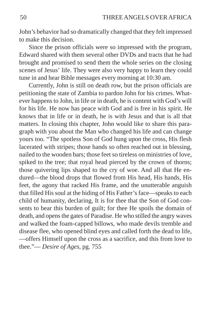John's behavior had so dramatically changed that they felt impressed to make this decision.

Since the prison officials were so impressed with the program, Edward shared with them several other DVDs and tracts that he had brought and promised to send them the whole series on the closing scenes of Jesus' life. They were also very happy to learn they could tune in and hear Bible messages every morning at 10:30 am.

Currently, John is still on death row, but the prison officials are petitioning the state of Zambia to pardon John for his crimes. Whatever happens to John, in life or in death, he is content with God's will for his life. He now has peace with God and is free in his spirit. He knows that in life or in death, he is with Jesus and that is all that matters. In closing this chapter, John would like to share this paragraph with you about the Man who changed his life and can change yours too. "The spotless Son of God hung upon the cross, His flesh lacerated with stripes; those hands so often reached out in blessing, nailed to the wooden bars; those feet so tireless on ministries of love, spiked to the tree; that royal head pierced by the crown of thorns; those quivering lips shaped to the cry of woe. And all that He endured—the blood drops that flowed from His head, His hands, His feet, the agony that racked His frame, and the unutterable anguish that filled His soul at the hiding of His Father's face—speaks to each child of humanity, declaring, It is for thee that the Son of God consents to bear this burden of guilt; for thee He spoils the domain of death, and opens the gates of Paradise. He who stilled the angry waves and walked the foam-capped billows, who made devils tremble and disease flee, who opened blind eyes and called forth the dead to life, —offers Himself upon the cross as a sacrifice, and this from love to thee."— *Desire of Ages*, pg. 755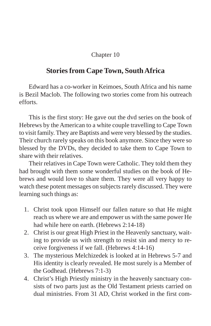### Chapter 10

## **Stories from Cape Town, South Africa**

Edward has a co-worker in Keimoes, South Africa and his name is Bezil Maclob. The following two stories come from his outreach efforts.

This is the first story: He gave out the dvd series on the book of Hebrews by the American to a white couple travelling to Cape Town to visit family. They are Baptists and were very blessed by the studies. Their church rarely speaks on this book anymore. Since they were so blessed by the DVDs, they decided to take them to Cape Town to share with their relatives.

Their relatives in Cape Town were Catholic. They told them they had brought with them some wonderful studies on the book of Hebrews and would love to share them. They were all very happy to watch these potent messages on subjects rarely discussed. They were learning such things as:

- 1. Christ took upon Himself our fallen nature so that He might reach us where we are and empower us with the same power He had while here on earth. (Hebrews 2:14-18)
- 2. Christ is our great High Priest in the Heavenly sanctuary, waiting to provide us with strength to resist sin and mercy to receive forgiveness if we fall. (Hebrews 4:14-16)
- 3. The mysterious Melchizedek is looked at in Hebrews 5-7 and His identity is clearly revealed. He most surely is a Member of the Godhead. (Hebrews 7:1-3)
- 4. Christ's High Priestly ministry in the heavenly sanctuary consists of two parts just as the Old Testament priests carried on dual ministries. From 31 AD, Christ worked in the first com-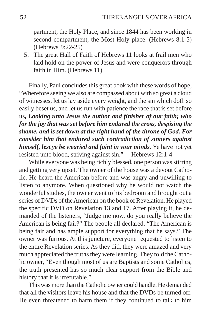partment, the Holy Place, and since 1844 has been working in second compartment, the Most Holy place. (Hebrews 8:1-5) (Hebrews 9:22-25)

5. The great Hall of Faith of Hebrews 11 looks at frail men who laid hold on the power of Jesus and were conquerors through faith in Him. (Hebrews 11)

Finally, Paul concludes this great book with these words of hope, "Wherefore seeing we also are compassed about with so great a cloud of witnesses, let us lay aside every weight, and the sin which doth so easily beset us, and let us run with patience the race that is set before us*, Looking unto Jesus the author and finisher of our faith; who for the joy that was set before him endured the cross, despising the shame, and is set down at the right hand of the throne of God. For consider him that endured such contradiction of sinners against himself, lest ye be wearied and faint in your minds.* Ye have not yet resisted unto blood, striving against sin."— Hebrews 12:1-4

While everyone was being richly blessed, one person was stirring and getting very upset. The owner of the house was a devout Catholic. He heard the American before and was angry and unwilling to listen to anymore. When questioned why he would not watch the wonderful studies, the owner went to his bedroom and brought out a series of DVDs of the American on the book of Revelation. He played the specific DVD on Revelation 13 and 17. After playing it, he demanded of the listeners, "Judge me now, do you really believe the American is being fair?" The people all declared, "The American is being fair and has ample support for everything that he says." The owner was furious. At this juncture, everyone requested to listen to the entire Revelation series. As they did, they were amazed and very much appreciated the truths they were learning. They told the Catholic owner, "Even though most of us are Baptists and some Catholics, the truth presented has so much clear support from the Bible and history that it is irrefutable."

This was more than the Catholic owner could handle. He demanded that all the visitors leave his house and that the DVDs be turned off. He even threatened to harm them if they continued to talk to him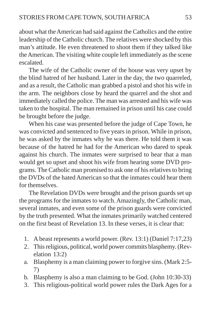about what the American had said against the Catholics and the entire leadership of the Catholic church. The relatives were shocked by this man's attitude. He even threatened to shoot them if they talked like the American. The visiting white couple left immediately as the scene escalated.

The wife of the Catholic owner of the house was very upset by the blind hatred of her husband. Later in the day, the two quarreled, and as a result, the Catholic man grabbed a pistol and shot his wife in the arm. The neighbors close by heard the quarrel and the shot and immediately called the police. The man was arrested and his wife was taken to the hospital. The man remained in prison until his case could be brought before the judge.

When his case was presented before the judge of Cape Town, he was convicted and sentenced to five years in prison. While in prison, he was asked by the inmates why he was there. He told them it was because of the hatred he had for the American who dared to speak against his church. The inmates were surprised to hear that a man would get so upset and shoot his wife from hearing some DVD programs. The Catholic man promised to ask one of his relatives to bring the DVDs of the hated American so that the inmates could hear them for themselves.

The Revelation DVDs were brought and the prison guards set up the programs for the inmates to watch. Amazingly, the Catholic man, several inmates, and even some of the prison guards were convicted by the truth presented. What the inmates primarily watched centered on the first beast of Revelation 13. In these verses, it is clear that:

- 1. A beast represents a world power. (Rev. 13:1) (Daniel 7:17,23)
- 2. This religious, political, world power commits blasphemy. (Revelation 13:2)
- a. Blasphemy is a man claiming power to forgive sins. (Mark 2:5- 7)
- b. Blasphemy is also a man claiming to be God. (John 10:30-33)
- 3. This religious-political world power rules the Dark Ages for a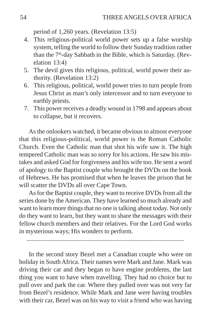period of 1,260 years. (Revelation 13:5)

- 4. This religious-political world power sets up a false worship system, telling the world to follow their Sunday tradition rather than the  $7<sup>th</sup>$ -day Sabbath in the Bible, which is Saturday. (Revelation 13:4)
- 5. The devil gives this religious, political, world power their authority. (Revelation 13:2)
- 6. This religious, political, world power tries to turn people from Jesus Christ as man's only intercessor and to turn everyone to earthly priests.
- 7. This power receives a deadly wound in 1798 and appears about to collapse, but it recovers.

As the onlookers watched, it became obvious to almost everyone that this religious-political, world power is the Roman Catholic Church. Even the Catholic man that shot his wife saw it. The high tempered Catholic man was so sorry for his actions. He saw his mistakes and asked God for forgiveness and his wife too. He sent a word of apology to the Baptist couple who brought the DVDs on the book of Hebrews. He has promised that when he leaves the prison that he will scatter the DVDs all over Cape Town.

As for the Baptist couple, they want to receive DVDs from all the series done by the American. They have learned so much already and want to learn more things that no one is talking about today. Not only do they want to learn, but they want to share the messages with their fellow church members and their relatives. For the Lord God works in mysterious ways; His wonders to perform.

.......................................................................................................

In the second story Bezel met a Canadian couple who were on holiday in South Africa. Their names were Mark and Jane. Mark was driving their car and they began to have engine problems, the last thing you want to have when travelling. They had no choice but to pull over and park the car. Where they pulled over was not very far from Bezel's residence. While Mark and Jane were having troubles with their car, Bezel was on his way to visit a friend who was having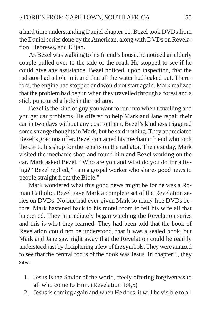a hard time understanding Daniel chapter 11. Bezel took DVDs from the Daniel series done by the American, along with DVDs on Revelation, Hebrews, and Elijah.

As Bezel was walking to his friend's house, he noticed an elderly couple pulled over to the side of the road. He stopped to see if he could give any assistance. Bezel noticed, upon inspection, that the radiator had a hole in it and that all the water had leaked out. Therefore, the engine had stopped and would not start again. Mark realized that the problem had begun when they travelled through a forest and a stick punctured a hole in the radiator.

Bezel is the kind of guy you want to run into when travelling and you get car problems. He offered to help Mark and Jane repair their car in two days without any cost to them. Bezel's kindness triggered some strange thoughts in Mark, but he said nothing. They appreciated Bezel's gracious offer. Bezel contacted his mechanic friend who took the car to his shop for the repairs on the radiator. The next day, Mark visited the mechanic shop and found him and Bezel working on the car. Mark asked Bezel, "Who are you and what do you do for a living?" Bezel replied, "I am a gospel worker who shares good news to people straight from the Bible."

Mark wondered what this good news might be for he was a Roman Catholic. Bezel gave Mark a complete set of the Revelation series on DVDs. No one had ever given Mark so many free DVDs before. Mark hastened back to his motel room to tell his wife all that happened. They immediately began watching the Revelation series and this is what they learned. They had been told that the book of Revelation could not be understood, that it was a sealed book, but Mark and Jane saw right away that the Revelation could be readily understood just by deciphering a few of the symbols. They were amazed to see that the central focus of the book was Jesus. In chapter 1, they saw:

- 1. Jesus is the Savior of the world, freely offering forgiveness to all who come to Him. (Revelation 1:4,5)
- 2. Jesus is coming again and when He does, it will be visible to all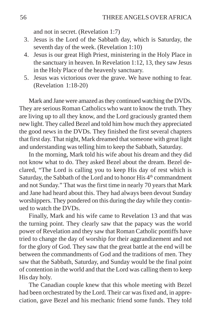and not in secret. (Revelation 1:7)

- 3. Jesus is the Lord of the Sabbath day, which is Saturday, the seventh day of the week. (Revelation 1:10)
- 4. Jesus is our great High Priest, ministering in the Holy Place in the sanctuary in heaven. In Revelation 1:12, 13, they saw Jesus in the Holy Place of the heavenly sanctuary.
- 5. Jesus was victorious over the grave. We have nothing to fear. (Revelation 1:18-20)

Mark and Jane were amazed as they continued watching the DVDs. They are serious Roman Catholics who want to know the truth. They are living up to all they know, and the Lord graciously granted them new light. They called Bezel and told him how much they appreciated the good news in the DVDs. They finished the first several chapters that first day. That night, Mark dreamed that someone with great light and understanding was telling him to keep the Sabbath, Saturday.

In the morning, Mark told his wife about his dream and they did not know what to do. They asked Bezel about the dream. Bezel declared, "The Lord is calling you to keep His day of rest which is Saturday, the Sabbath of the Lord and to honor His 4<sup>th</sup> commandment and not Sunday." That was the first time in nearly 70 years that Mark and Jane had heard about this. They had always been devout Sunday worshippers. They pondered on this during the day while they continued to watch the DVDs.

Finally, Mark and his wife came to Revelation 13 and that was the turning point. They clearly saw that the papacy was the world power of Revelation and they saw that Roman Catholic pontiffs have tried to change the day of worship for their aggrandizement and not for the glory of God. They saw that the great battle at the end will be between the commandments of God and the traditions of men. They saw that the Sabbath, Saturday, and Sunday would be the final point of contention in the world and that the Lord was calling them to keep His day holy.

The Canadian couple knew that this whole meeting with Bezel had been orchestrated by the Lord. Their car was fixed and, in appreciation, gave Bezel and his mechanic friend some funds. They told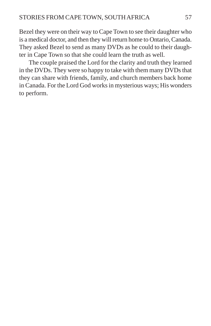Bezel they were on their way to Cape Town to see their daughter who is a medical doctor, and then they will return home to Ontario, Canada. They asked Bezel to send as many DVDs as he could to their daughter in Cape Town so that she could learn the truth as well.

The couple praised the Lord for the clarity and truth they learned in the DVDs. They were so happy to take with them many DVDs that they can share with friends, family, and church members back home in Canada. For the Lord God works in mysterious ways; His wonders to perform.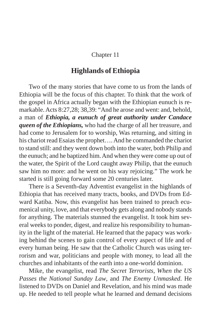### Chapter 11

## **Highlands of Ethiopia**

Two of the many stories that have come to us from the lands of Ethiopia will be the focus of this chapter. To think that the work of the gospel in Africa actually began with the Ethiopian eunuch is remarkable. Acts 8:27,28; 38,39: "And he arose and went: and, behold, a man of *Ethiopia, a eunuch of great authority under Candace queen of the Ethiopians,* who had the charge of all her treasure, and had come to Jerusalem for to worship, Was returning, and sitting in his chariot read Esaias the prophet…. And he commanded the chariot to stand still: and they went down both into the water, both Philip and the eunuch; and he baptized him. And when they were come up out of the water, the Spirit of the Lord caught away Philip, that the eunuch saw him no more: and he went on his way rejoicing." The work he started is still going forward some 20 centuries later.

There is a Seventh-day Adventist evangelist in the highlands of Ethiopia that has received many tracts, books, and DVDs from Edward Katiba. Now, this evangelist has been trained to preach ecumenical unity, love, and that everybody gets along and nobody stands for anything. The materials stunned the evangelist. It took him several weeks to ponder, digest, and realize his responsibility to humanity in the light of the material. He learned that the papacy was working behind the scenes to gain control of every aspect of life and of every human being. He saw that the Catholic Church was using terrorism and war, politicians and people with money, to lead all the churches and inhabitants of the earth into a one-world dominion.

Mike, the evangelist, read *The Secret Terrorists*, *When the US Passes the National Sunday Law*, and *The Enemy Unmasked*. He listened to DVDs on Daniel and Revelation, and his mind was made up. He needed to tell people what he learned and demand decisions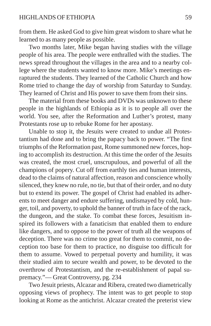from them. He asked God to give him great wisdom to share what he learned to as many people as possible.

Two months later, Mike began having studies with the village people of his area. The people were enthralled with the studies. The news spread throughout the villages in the area and to a nearby college where the students wanted to know more. Mike's meetings enraptured the students. They learned of the Catholic Church and how Rome tried to change the day of worship from Saturday to Sunday. They learned of Christ and His power to save them from their sins.

The material from these books and DVDs was unknown to these people in the highlands of Ethiopia as it is to people all over the world. You see, after the Reformation and Luther's protest, many Protestants rose up to rebuke Rome for her apostasy.

Unable to stop it, the Jesuits were created to undue all Protestantism had done and to bring the papacy back to power. "The first triumphs of the Reformation past, Rome summoned new forces, hoping to accomplish its destruction. At this time the order of the Jesuits was created, the most cruel, unscrupulous, and powerful of all the champions of popery. Cut off from earthly ties and human interests, dead to the claims of natural affection, reason and conscience wholly silenced, they knew no rule, no tie, but that of their order, and no duty but to extend its power. The gospel of Christ had enabled its adherents to meet danger and endure suffering, undismayed by cold, hunger, toil, and poverty, to uphold the banner of truth in face of the rack, the dungeon, and the stake. To combat these forces, Jesuitism inspired its followers with a fanaticism that enabled them to endure like dangers, and to oppose to the power of truth all the weapons of deception. There was no crime too great for them to commit, no deception too base for them to practice, no disguise too difficult for them to assume. Vowed to perpetual poverty and humility, it was their studied aim to secure wealth and power, to be devoted to the overthrow of Protestantism, and the re-establishment of papal supremacy."— Great Controversy, pg. 234

Two Jesuit priests, Alcazar and Ribera, created two diametrically opposing views of prophecy. The intent was to get people to stop looking at Rome as the antichrist. Alcazar created the preterist view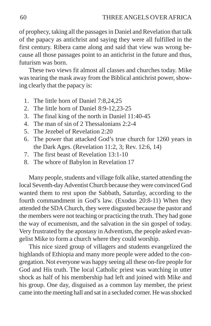of prophecy, taking all the passages in Daniel and Revelation that talk of the papacy as antichrist and saying they were all fulfilled in the first century. Ribera came along and said that view was wrong because all those passages point to an antichrist in the future and thus, futurism was born.

These two views fit almost all classes and churches today. Mike was tearing the mask away from the Biblical antichrist power, showing clearly that the papacy is:

- 1. The little horn of Daniel 7:8,24,25
- 2. The little horn of Daniel 8:9-12,23-25
- 3. The final king of the north in Daniel 11:40-45
- 4. The man of sin of 2 Thessalonians 2:2-4
- 5. The Jezebel of Revelation 2:20
- 6. The power that attacked God's true church for 1260 years in the Dark Ages. (Revelation 11:2, 3; Rev. 12:6, 14)
- 7. The first beast of Revelation 13:1-10
- 8. The whore of Babylon in Revelation 17

Many people, students and village folk alike, started attending the local Seventh-day Adventist Church because they were convinced God wanted them to rest upon the Sabbath, Saturday, according to the fourth commandment in God's law. (Exodus 20:8-11) When they attended the SDA Church, they were disgusted because the pastor and the members were not teaching or practicing the truth. They had gone the way of ecumenism, and the salvation in the sin gospel of today. Very frustrated by the apostasy in Adventism, the people asked evangelist Mike to form a church where they could worship.

This nice sized group of villagers and students evangelized the highlands of Ethiopia and many more people were added to the congregation. Not everyone was happy seeing all these on-fire people for God and His truth. The local Catholic priest was watching in utter shock as half of his membership had left and joined with Mike and his group. One day, disguised as a common lay member, the priest came into the meeting hall and sat in a secluded corner. He was shocked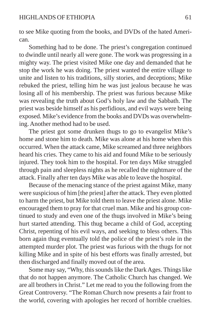#### HIGHLANDS OF ETHIOPIA

to see Mike quoting from the books, and DVDs of the hated American.

Something had to be done. The priest's congregation continued to dwindle until nearly all were gone. The work was progressing in a mighty way. The priest visited Mike one day and demanded that he stop the work he was doing. The priest wanted the entire village to unite and listen to his traditions, silly stories, and deceptions; Mike rebuked the priest, telling him he was just jealous because he was losing all of his membership. The priest was furious because Mike was revealing the truth about God's holy law and the Sabbath. The priest was beside himself as his perfidious, and evil ways were being exposed. Mike's evidence from the books and DVDs was overwhelming. Another method had to be used.

The priest got some drunken thugs to go to evangelist Mike's home and stone him to death. Mike was alone at his home when this occurred. When the attack came, Mike screamed and three neighbors heard his cries. They came to his aid and found Mike to be seriously injured. They took him to the hospital. For ten days Mike struggled through pain and sleepless nights as he recalled the nightmare of the attack. Finally after ten days Mike was able to leave the hospital.

Because of the menacing stance of the priest against Mike, many were suspicious of him [the priest] after the attack. They even plotted to harm the priest, but Mike told them to leave the priest alone. Mike encouraged them to pray for that cruel man. Mike and his group continued to study and even one of the thugs involved in Mike's being hurt started attending. This thug became a child of God, accepting Christ, repenting of his evil ways, and seeking to bless others. This born again thug eventually told the police of the priest's role in the attempted murder plot. The priest was furious with the thugs for not killing Mike and in spite of his best efforts was finally arrested, but then discharged and finally moved out of the area.

Some may say, "Why, this sounds like the Dark Ages. Things like that do not happen anymore. The Catholic Church has changed. We are all brothers in Christ." Let me read to you the following from the Great Controversy. "The Roman Church now presents a fair front to the world, covering with apologies her record of horrible cruelties.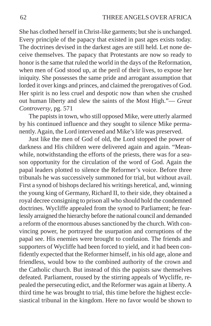She has clothed herself in Christ-like garments; but she is unchanged. Every principle of the papacy that existed in past ages exists today. The doctrines devised in the darkest ages are still held. Let none deceive themselves. The papacy that Protestants are now so ready to honor is the same that ruled the world in the days of the Reformation, when men of God stood up, at the peril of their lives, to expose her iniquity. She possesses the same pride and arrogant assumption that lorded it over kings and princes, and claimed the prerogatives of God. Her spirit is no less cruel and despotic now than when she crushed out human liberty and slew the saints of the Most High."— *Great Controversy*, pg. 571

The papists in town, who still opposed Mike, were utterly alarmed by his continued influence and they sought to silence Mike permanently. Again, the Lord intervened and Mike's life was preserved.

Just like the men of God of old, the Lord stopped the power of darkness and His children were delivered again and again. "Meanwhile, notwithstanding the efforts of the priests, there was for a season opportunity for the circulation of the word of God. Again the papal leaders plotted to silence the Reformer's voice. Before three tribunals he was successively summoned for trial, but without avail. First a synod of bishops declared his writings heretical, and, winning the young king of Germany, Richard II, to their side, they obtained a royal decree consigning to prison all who should hold the condemned doctrines. Wycliffe appealed from the synod to Parliament; he fearlessly arraigned the hierarchy before the national council and demanded a reform of the enormous abuses sanctioned by the church. With convincing power, he portrayed the usurpation and corruptions of the papal see. His enemies were brought to confusion. The friends and supporters of Wycliffe had been forced to yield, and it had been confidently expected that the Reformer himself, in his old age, alone and friendless, would bow to the combined authority of the crown and the Catholic church. But instead of this the papists saw themselves defeated. Parliament, roused by the stirring appeals of Wycliffe, repealed the persecuting edict, and the Reformer was again at liberty. A third time he was brought to trial, this time before the highest ecclesiastical tribunal in the kingdom. Here no favor would be shown to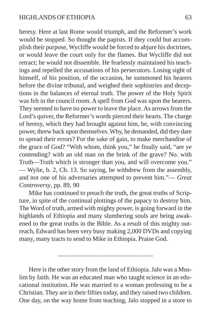heresy. Here at last Rome would triumph, and the Reformer's work would be stopped. So thought the papists. If they could but accomplish their purpose, Wycliffe would be forced to abjure his doctrines, or would leave the court only for the flames. But Wycliffe did not retract; he would not dissemble. He fearlessly maintained his teachings and repelled the accusations of his persecutors. Losing sight of himself, of his position, of the occasion, he summoned his hearers before the divine tribunal, and weighed their sophistries and deceptions in the balances of eternal truth. The power of the Holy Spirit was felt in the council room. A spell from God was upon the hearers. They seemed to have no power to leave the place. As arrows from the Lord's quiver, the Reformer's words pierced their hearts. The charge of heresy, which they had brought against him, he, with convincing power, threw back upon themselves. Why, he demanded, did they dare to spread their errors? For the sake of gain, to make merchandise of the grace of God? "With whom, think you," he finally said, "are ye contending? with an old man on the brink of the grave? No. with Truth—Truth which is stronger than you, and will overcome you." — Wylie, b. 2, Ch. 13. So saying, he withdrew from the assembly, and not one of his adversaries attempted to prevent him."— *Great Controversy*, pp. 89, 90

Mike has continued to preach the truth, the great truths of Scripture, in spite of the continual plottings of the papacy to destroy him. The Word of truth, armed with mighty power, is going forward in the highlands of Ethiopia and many slumbering souls are being awakened to the great truths in the Bible. As a result of this mighty outreach, Edward has been very busy making 2,000 DVDs and copying many, many tracts to send to Mike in Ethiopia. Praise God.

..............................................................

Here is the other story from the land of Ethiopia. Jalo was a Muslim by faith. He was an educated man who taught science in an educational institution. He was married to a woman professing to be a Christian. They are in their fifties today, and they raised two children. One day, on the way home from teaching, Jalo stopped in a store to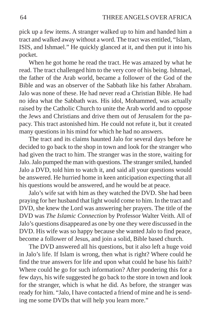pick up a few items. A stranger walked up to him and handed him a tract and walked away without a word. The tract was entitled, "Islam, ISIS, and Ishmael." He quickly glanced at it, and then put it into his pocket.

When he got home he read the tract. He was amazed by what he read. The tract challenged him to the very core of his being. Ishmael, the father of the Arab world, became a follower of the God of the Bible and was an observer of the Sabbath like his father Abraham. Jalo was none of these. He had never read a Christian Bible. He had no idea what the Sabbath was. His idol, Mohammed, was actually raised by the Catholic Church to unite the Arab world and to oppose the Jews and Christians and drive them out of Jerusalem for the papacy. This tract astonished him. He could not refute it, but it created many questions in his mind for which he had no answers.

The tract and its claims haunted Jalo for several days before he decided to go back to the shop in town and look for the stranger who had given the tract to him. The stranger was in the store, waiting for Jalo. Jalo pumped the man with questions. The stranger smiled, handed Jalo a DVD, told him to watch it, and said all your questions would be answered. He hurried home in keen anticipation expecting that all his questions would be answered, and he would be at peace.

Jalo's wife sat with him as they watched the DVD. She had been praying for her husband that light would come to him. In the tract and DVD, she knew the Lord was answering her prayers. The title of the DVD was *The Islamic Connection* by Professor Walter Veith. All of Jalo's questions disappeared as one by one they were discussed in the DVD. His wife was so happy because she wanted Jalo to find peace, become a follower of Jesus, and join a solid, Bible based church.

The DVD answered all his questions, but it also left a huge void in Jalo's life. If Islam is wrong, then what is right? Where could he find the true answers for life and upon what could he base his faith? Where could he go for such information? After pondering this for a few days, his wife suggested he go back to the store in town and look for the stranger, which is what he did. As before, the stranger was ready for him. "Jalo, I have contacted a friend of mine and he is sending me some DVDs that will help you learn more."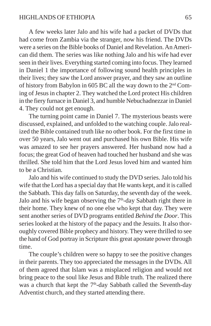#### HIGHLANDS OF ETHIOPIA

A few weeks later Jalo and his wife had a packet of DVDs that had come from Zambia via the stranger, now his friend. The DVDs were a series on the Bible books of Daniel and Revelation. An American did them. The series was like nothing Jalo and his wife had ever seen in their lives. Everything started coming into focus. They learned in Daniel 1 the importance of following sound health principles in their lives; they saw the Lord answer prayer, and they saw an outline of history from Babylon in 605 BC all the way down to the 2nd Coming of Jesus in chapter 2. They watched the Lord protect His children in the fiery furnace in Daniel 3, and humble Nebuchadnezzar in Daniel 4. They could not get enough.

The turning point came in Daniel 7. The mysterious beasts were discussed, explained, and unfolded to the watching couple. Jalo realized the Bible contained truth like no other book. For the first time in over 50 years, Jalo went out and purchased his own Bible. His wife was amazed to see her prayers answered. Her husband now had a focus; the great God of heaven had touched her husband and she was thrilled. She told him that the Lord Jesus loved him and wanted him to be a Christian.

Jalo and his wife continued to study the DVD series. Jalo told his wife that the Lord has a special day that He wants kept, and it is called the Sabbath. This day falls on Saturday, the seventh day of the week. Jalo and his wife began observing the  $7<sup>th</sup>$ -day Sabbath right there in their home. They knew of no one else who kept that day. They were sent another series of DVD programs entitled *Behind the Door*. This series looked at the history of the papacy and the Jesuits. It also thoroughly covered Bible prophecy and history. They were thrilled to see the hand of God portray in Scripture this great apostate power through time.

The couple's children were so happy to see the positive changes in their parents. They too appreciated the messages in the DVDs. All of them agreed that Islam was a misplaced religion and would not bring peace to the soul like Jesus and Bible truth. The realized there was a church that kept the  $7<sup>th</sup>$ -day Sabbath called the Seventh-day Adventist church, and they started attending there.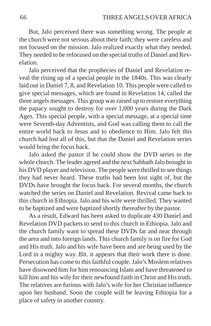But, Jalo perceived there was something wrong. The people at the church were not serious about their faith; they were careless and not focused on the mission. Jalo realized exactly what they needed. They needed to be refocused on the special truths of Daniel and Revelation.

Jalo perceived that the prophecies of Daniel and Revelation reveal the rising up of a special people in the 1840s. This was clearly laid out in Daniel 7, 8, and Revelation 10. This people were called to give special messages, which are found in Revelation 14, called the three angels messages. This group was raised up to restore everything the papacy sought to destroy for over 1,000 years during the Dark Ages. This special people, with a special message, at a special time were Seventh-day Adventists, and God was calling them to call the entire world back to Jesus and to obedience to Him. Jalo felt this church had lost all of this, but that the Daniel and Revelation series would bring the focus back.

Jalo asked the pastor if he could show the DVD series to the whole church. The leader agreed and the next Sabbath Jalo brought in his DVD player and television. The people were thrilled to see things they had never heard. These truths had been lost sight of, but the DVDs have brought the focus back. For several months, the church watched the series on Daniel and Revelation. Revival came back to this church in Ethiopia. Jalo and his wife were thrilled. They wanted to be baptized and were baptized shortly thereafter by the pastor.

As a result, Edward has been asked to duplicate 430 Daniel and Revelation DVD packets to send to this church in Ethiopia. Jalo and the church family want to spread these DVDs far and near through the area and into foreign lands. This church family is on fire for God and His truth. Jalo and his wife have been and are being used by the Lord in a mighty way. Bit. it appears that their work there is done. Persecution has come to this faithful couple. Jalo's Moslem relatives have disowned him for him renouncing Islam and have threatened to kill him and his wife for their newfound faith in Christ and His truth. The relatives are furious with Jalo's wife for her Christian influence upon her husband. Soon the couple will be leaving Ethiopia for a place of safety in another country.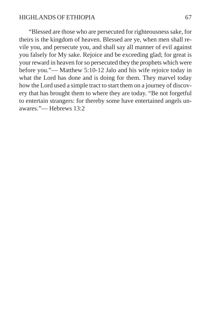#### HIGHLANDS OF ETHIOPIA

"Blessed are those who are persecuted for righteousness sake, for theirs is the kingdom of heaven. Blessed are ye, when men shall revile you, and persecute you, and shall say all manner of evil against you falsely for My sake. Rejoice and be exceeding glad; for great is your reward in heaven for so persecuted they the prophets which were before you."— Matthew 5:10-12 Jalo and his wife rejoice today in what the Lord has done and is doing for them. They marvel today how the Lord used a simple tract to start them on a journey of discovery that has brought them to where they are today. "Be not forgetful to entertain strangers: for thereby some have entertained angels unawares."— Hebrews 13:2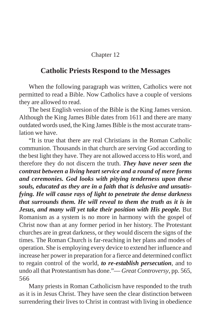### Chapter 12

### **Catholic Priests Respond to the Messages**

When the following paragraph was written, Catholics were not permitted to read a Bible. Now Catholics have a couple of versions they are allowed to read.

The best English version of the Bible is the King James version. Although the King James Bible dates from 1611 and there are many outdated words used, the King James Bible is the most accurate translation we have.

"It is true that there are real Christians in the Roman Catholic communion. Thousands in that church are serving God according to the best light they have. They are not allowed access to His word, and therefore they do not discern the truth. *They have never seen the contrast between a living heart service and a round of mere forms and ceremonies. God looks with pitying tenderness upon these souls, educated as they are in a faith that is delusive and unsatisfying. He will cause rays of light to penetrate the dense darkness that surrounds them. He will reveal to them the truth as it is in* Jesus, and many will yet take their position with His people. But Romanism as a system is no more in harmony with the gospel of Christ now than at any former period in her history. The Protestant churches are in great darkness, or they would discern the signs of the times. The Roman Church is far-reaching in her plans and modes of operation. She is employing every device to extend her influence and increase her power in preparation for a fierce and determined conflict to regain control of the world, *to re-establish persecution*, and to undo all that Protestantism has done."— *Great Controversy*, pp. 565, 566

Many priests in Roman Catholicism have responded to the truth as it is in Jesus Christ. They have seen the clear distinction between surrendering their lives to Christ in contrast with living in obedience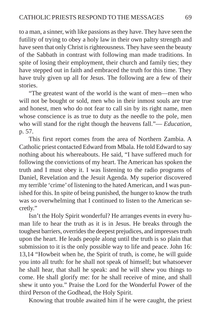to a man, a sinner, with like passions as they have. They have seen the futility of trying to obey a holy law in their own paltry strength and have seen that only Christ is righteousness. They have seen the beauty of the Sabbath in contrast with following man made traditions. In spite of losing their employment, their church and family ties; they have stepped out in faith and embraced the truth for this time. They have truly given up all for Jesus. The following are a few of their stories.

"The greatest want of the world is the want of men—men who will not be bought or sold, men who in their inmost souls are true and honest, men who do not fear to call sin by its right name, men whose conscience is as true to duty as the needle to the pole, men who will stand for the right though the heavens fall."— *Education*, p. 57.

This first report comes from the area of Northern Zambia. A Catholic priest contacted Edward from Mbala. He told Edward to say nothing about his whereabouts. He said, "I have suffered much for following the convictions of my heart. The American has spoken the truth and I must obey it. I was listening to the radio programs of Daniel, Revelation and the Jesuit Agenda. My superior discovered my terrible 'crime' of listening to the hated American, and I was punished for this. In spite of being punished, the hunger to know the truth was so overwhelming that I continued to listen to the American secretly."

Isn't the Holy Spirit wonderful? He arranges events in every human life to hear the truth as it is in Jesus. He breaks through the toughest barriers, overrides the deepest prejudices, and impresses truth upon the heart. He leads people along until the truth is so plain that submission to it is the only possible way to life and peace. John 16: 13,14 "Howbeit when he, the Spirit of truth, is come, he will guide you into all truth: for he shall not speak of himself; but whatsoever he shall hear, that shall he speak: and he will shew you things to come. He shall glorify me: for he shall receive of mine, and shall shew it unto you." Praise the Lord for the Wonderful Power of the third Person of the Godhead, the Holy Spirit.

Knowing that trouble awaited him if he were caught, the priest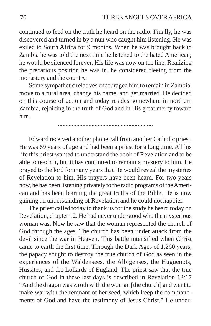continued to feed on the truth he heard on the radio. Finally, he was discovered and turned in by a nun who caught him listening. He was exiled to South Africa for 9 months. When he was brought back to Zambia he was told the next time he listened to the hated American; he would be silenced forever. His life was now on the line. Realizing the precarious position he was in, he considered fleeing from the monastery and the country.

Some sympathetic relatives encouraged him to remain in Zambia, move to a rural area, change his name, and get married. He decided on this course of action and today resides somewhere in northern Zambia, rejoicing in the truth of God and in His great mercy toward him.

..............................................................

Edward received another phone call from another Catholic priest. He was 69 years of age and had been a priest for a long time. All his life this priest wanted to understand the book of Revelation and to be able to teach it, but it has continued to remain a mystery to him. He prayed to the lord for many years that He would reveal the mysteries of Revelation to him. His prayers have been heard. For two years now, he has been listening privately to the radio programs of the American and has been learning the great truths of the Bible. He is now gaining an understanding of Revelation and he could not happier.

The priest called today to thank us for the study he heard today on Revelation, chapter 12. He had never understood who the mysterious woman was. Now he saw that the woman represented the church of God through the ages. The church has been under attack from the devil since the war in Heaven. This battle intensified when Christ came to earth the first time. Through the Dark Ages of 1,260 years, the papacy sought to destroy the true church of God as seen in the experiences of the Waldensees, the Albigenses, the Huguenots, Hussites, and the Lollards of England. The priest saw that the true church of God in these last days is described in Revelation 12:17 "And the dragon was wroth with the woman [the church] and went to make war with the remnant of her seed, which keep the commandments of God and have the testimony of Jesus Christ." He under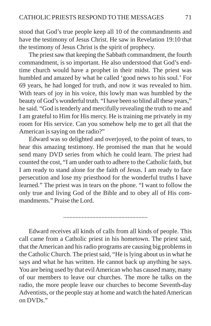stood that God's true people keep all 10 of the commandments and have the testimony of Jesus Christ. He saw in Revelation 19:10 that the testimony of Jesus Christ is the spirit of prophecy.

The priest saw that keeping the Sabbath commandment, the fourth commandment, is so important. He also understood that God's endtime church would have a prophet in their midst. The priest was humbled and amazed by what he called 'good news to his soul.' For 69 years, he had longed for truth, and now it was revealed to him. With tears of joy in his voice, this lowly man was humbled by the beauty of God's wonderful truth. "I have been so blind all these years," he said. "God is tenderly and mercifully revealing the truth to me and I am grateful to Him for His mercy. He is training me privately in my room for His service. Can you somehow help me to get all that the American is saying on the radio?"

Edward was so delighted and overjoyed, to the point of tears, to hear this amazing testimony. He promised the man that he would send many DVD series from which he could learn. The priest had counted the cost, "I am under oath to adhere to the Catholic faith, but I am ready to stand alone for the faith of Jesus. I am ready to face persecution and lose my priesthood for the wonderful truths I have learned." The priest was in tears on the phone. "I want to follow the only true and living God of the Bible and to obey all of His commandments." Praise the Lord.

.......................................................

Edward receives all kinds of calls from all kinds of people. This call came from a Catholic priest in his hometown. The priest said, that the American and his radio programs are causing big problems in the Catholic Church. The priest said, "He is lying about us in what he says and what he has written. He cannot back up anything he says. You are being used by that evil American who has caused many, many of our members to leave our churches. The more he talks on the radio, the more people leave our churches to become Seventh-day Adventists, or the people stay at home and watch the hated American on DVDs."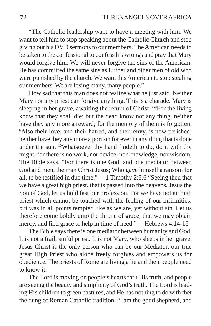"The Catholic leadership want to have a meeting with him. We want to tell him to stop speaking about the Catholic Church and stop giving out his DVD sermons to our members. The American needs to be taken to the confessional to confess his wrongs and pray that Mary would forgive him. We will never forgive the sins of the American. He has committed the same sins as Luther and other men of old who were punished by the church. We want this American to stop stealing our members. We are losing many, many people."

How sad that this man does not realize what he just said. Neither Mary nor any priest can forgive anything. This is a charade. Mary is sleeping in her grave, awaiting the return of Christ. "<sup>9</sup>For the living know that they shall die: but the dead know not any thing, neither have they any more a reward; for the memory of them is forgotten. 6 Also their love, and their hatred, and their envy, is now perished; neither have they any more a portion for ever in any thing that is done under the sun. 10Whatsoever thy hand findeth to do, do it with thy might; for there is no work, nor device, nor knowledge, nor wisdom, The Bible says, "For there is one God, and one mediator between God and men, the man Christ Jesus; Who gave himself a ransom for all, to be testified in due time."— 1 Timothy 2:5,6 "Seeing then that we have a great high priest, that is passed into the heavens, Jesus the Son of God, let us hold fast our profession. For we have not an high priest which cannot be touched with the feeling of our infirmities; but was in all points tempted like as we are, yet without sin. Let us therefore come boldly unto the throne of grace, that we may obtain mercy, and find grace to help in time of need."— Hebrews 4:14-16

The Bible says there is one mediator between humanity and God. It is not a frail, sinful priest. It is not Mary, who sleeps in her grave. Jesus Christ is the only person who can be our Mediator, our true great High Priest who alone freely forgives and empowers us for obedience. The priests of Rome are living a lie and their people need to know it.

The Lord is moving on people's hearts thru His truth, and people are seeing the beauty and simplicity of God's truth. The Lord is leading His children to green pastures, and He has nothing to do with thet the dung of Roman Catholic tradition. "I am the good shepherd, and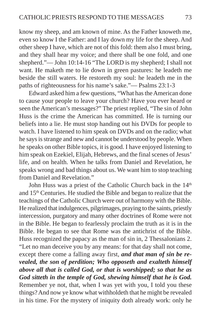know my sheep, and am known of mine. As the Father knoweth me, even so know I the Father: and I lay down my life for the sheep. And other sheep I have, which are not of this fold: them also I must bring, and they shall hear my voice; and there shall be one fold, and one shepherd."— John 10:14-16 "The LORD is my shepherd; I shall not want. He maketh me to lie down in green pastures: he leadeth me beside the still waters. He restoreth my soul: he leadeth me in the paths of righteousness for his name's sake."— Psalms 23:1-3

Edward asked him a few questions, "What has the American done to cause your people to leave your church? Have you ever heard or seen the American's messages?" The priest replied, "The sin of John Huss is the crime the American has committed. He is turning our beliefs into a lie. He must stop handing out his DVDs for people to watch. I have listened to him speak on DVDs and on the radio; what he says is strange and new and cannot be understood by people. When he speaks on other Bible topics, it is good. I have enjoyed listening to him speak on Ezekiel, Elijah, Hebrews, and the final scenes of Jesus' life, and on health. When he talks from Daniel and Revelation, he speaks wrong and bad things about us. We want him to stop teaching from Daniel and Revelation."

John Huss was a priest of the Catholic Church back in the 14<sup>th</sup> and 15th Centuries. He studied the Bible and began to realize that the teachings of the Catholic Church were out of harmony with the Bible. He realized that indulgences, pilgrimages, praying to the saints, priestly intercession, purgatory and many other doctrines of Rome were not in the Bible. He began to fearlessly proclaim the truth as it is in the Bible. He began to see that Rome was the antichrist of the Bible. Huss recognized the papacy as the man of sin in, 2 Thessalonians 2. "Let no man deceive you by any means: for that day shall not come, except there come a falling away first, *and that man of sin be revealed, the son of perdition; Who opposeth and exalteth himself above all that is called God, or that is worshipped; so that he as God sitteth in the temple of God, shewing himself that he is God.* Remember ye not, that, when I was yet with you, I told you these things? And now ye know what withholdeth that he might be revealed in his time. For the mystery of iniquity doth already work: only he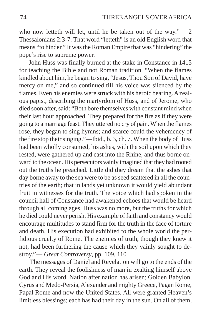who now letteth will let, until he be taken out of the way." $-2$ Thessalonians 2:3-7. That word "letteth" is an old English word that means "to hinder." It was the Roman Empire that was "hindering" the pope's rise to supreme power.

John Huss was finally burned at the stake in Constance in 1415 for teaching the Bible and not Roman tradition. "When the flames kindled about him, he began to sing, "Jesus, Thou Son of David, have mercy on me," and so continued till his voice was silenced by the flames. Even his enemies were struck with his heroic bearing. A zealous papist, describing the martyrdom of Huss, and of Jerome, who died soon after, said: "Both bore themselves with constant mind when their last hour approached. They prepared for the fire as if they were going to a marriage feast. They uttered no cry of pain. When the flames rose, they began to sing hymns; and scarce could the vehemency of the fire stop their singing."—Ibid., b. 3, ch. 7. When the body of Huss had been wholly consumed, his ashes, with the soil upon which they rested, were gathered up and cast into the Rhine, and thus borne onward to the ocean. His persecutors vainly imagined that they had rooted out the truths he preached. Little did they dream that the ashes that day borne away to the sea were to be as seed scattered in all the countries of the earth; that in lands yet unknown it would yield abundant fruit in witnesses for the truth. The voice which had spoken in the council hall of Constance had awakened echoes that would be heard through all coming ages. Huss was no more, but the truths for which he died could never perish. His example of faith and constancy would encourage multitudes to stand firm for the truth in the face of torture and death. His execution had exhibited to the whole world the perfidious cruelty of Rome. The enemies of truth, though they knew it not, had been furthering the cause which they vainly sought to destroy."— *Great Controversy*, pp. 109, 110

 The messages of Daniel and Revelation will go to the ends of the earth. They reveal the foolishness of man in exalting himself above God and His word. Nation after nation has arisen; Golden Babylon, Cyrus and Medo-Persia, Alexander and mighty Greece, Pagan Rome, Papal Rome and now the United States. All were granted Heaven's limitless blessings; each has had their day in the sun. On all of them,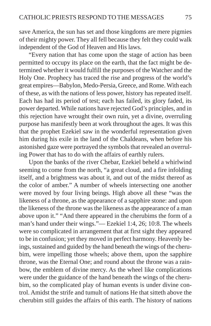save America, the sun has set and those kingdoms are mere pigmies of their mighty power. They all fell because they felt they could walk independent of the God of Heaven and His laws.

"Every nation that has come upon the stage of action has been permitted to occupy its place on the earth, that the fact might be determined whether it would fulfill the purposes of the Watcher and the Holy One. Prophecy has traced the rise and progress of the world's great empires—Babylon, Medo-Persia, Greece, and Rome. With each of these, as with the nations of less power, history has repeated itself. Each has had its period of test; each has failed, its glory faded, its power departed. While nations have rejected God's principles, and in this rejection have wrought their own ruin, yet a divine, overruling purpose has manifestly been at work throughout the ages. It was this that the prophet Ezekiel saw in the wonderful representation given him during his exile in the land of the Chaldeans, when before his astonished gaze were portrayed the symbols that revealed an overruling Power that has to do with the affairs of earthly rulers.

Upon the banks of the river Chebar, Ezekiel beheld a whirlwind seeming to come from the north, "a great cloud, and a fire infolding itself, and a brightness was about it, and out of the midst thereof as the color of amber." A number of wheels intersecting one another were moved by four living beings. High above all these "was the likeness of a throne, as the appearance of a sapphire stone: and upon the likeness of the throne was the likeness as the appearance of a man above upon it." "And there appeared in the cherubims the form of a man's hand under their wings."— Ezekiel 1:4, 26; 10:8. The wheels were so complicated in arrangement that at first sight they appeared to be in confusion; yet they moved in perfect harmony. Heavenly beings, sustained and guided by the hand beneath the wings of the cherubim, were impelling those wheels; above them, upon the sapphire throne, was the Eternal One; and round about the throne was a rainbow, the emblem of divine mercy. As the wheel like complications were under the guidance of the hand beneath the wings of the cherubim, so the complicated play of human events is under divine control. Amidst the strife and tumult of nations He that sitteth above the cherubim still guides the affairs of this earth. The history of nations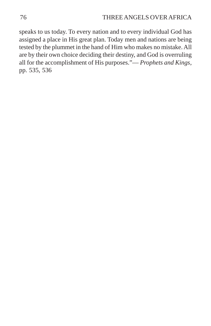speaks to us today. To every nation and to every individual God has assigned a place in His great plan. Today men and nations are being tested by the plummet in the hand of Him who makes no mistake. All are by their own choice deciding their destiny, and God is overruling all for the accomplishment of His purposes."— *Prophets and Kings*, pp. 535, 536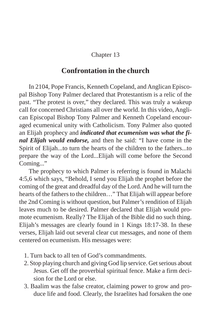### Chapter 13

# **Confrontation in the church**

In 2104, Pope Francis, Kenneth Copeland, and Anglican Episcopal Bishop Tony Palmer declared that Protestantism is a relic of the past. "The protest is over," they declared. This was truly a wakeup call for concerned Christians all over the world. In this video, Anglican Episcopal Bishop Tony Palmer and Kenneth Copeland encouraged ecumenical unity with Catholicism. Tony Palmer also quoted an Elijah prophecy and *indicated that ecumenism was what the final Elijah would endorse,* and then he said: "I have come in the Spirit of Elijah...to turn the hearts of the children to the fathers...to prepare the way of the Lord...Elijah will come before the Second Coming..."

The prophecy to which Palmer is referring is found in Malachi 4:5,6 which says, "Behold, I send you Elijah the prophet before the coming of the great and dreadful day of the Lord. And he will turn the hearts of the fathers to the children…" That Elijah will appear before the 2nd Coming is without question, but Palmer's rendition of Elijah leaves much to be desired. Palmer declared that Elijah would promote ecumenism. Really? The Elijah of the Bible did no such thing. Elijah's messages are clearly found in 1 Kings 18:17-38. In these verses, Elijah laid out several clear cut messages, and none of them centered on ecumenism. His messages were:

- 1. Turn back to all ten of God's commandments.
- 2. Stop playing church and giving God lip service. Get serious about Jesus. Get off the proverbial spiritual fence. Make a firm decision for the Lord or else.
- 3. Baalim was the false creator, claiming power to grow and produce life and food. Clearly, the Israelites had forsaken the one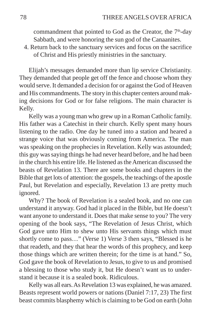commandment that pointed to God as the Creator, the  $7<sup>th</sup>$ -day Sabbath, and were honoring the sun god of the Canaanites.

4. Return back to the sanctuary services and focus on the sacrifice of Christ and His priestly ministries in the sanctuary.

Elijah's messages demanded more than lip service Christianity. They demanded that people get off the fence and choose whom they would serve. It demanded a decision for or against the God of Heaven and His commandments. The story in this chapter centers around making decisions for God or for false religions. The main character is Kelly.

Kelly was a young man who grew up in a Roman Catholic family. His father was a Catechist in their church. Kelly spent many hours listening to the radio. One day he tuned into a station and heared a strange voice that was obviously coming from America. The man was speaking on the prophecies in Revelation. Kelly was astounded; this guy was saying things he had never heard before, and he had been in the church his entire life. He listened as the American discussed the beasts of Revelation 13. There are some books and chapters in the Bible that get lots of attention: the gospels, the teachings of the apostle Paul, but Revelation and especially, Revelation 13 are pretty much ignored.

Why? The book of Revelation is a sealed book, and no one can understand it anyway. God had it placed in the Bible, but He doesn't want anyone to understand it. Does that make sense to you? The very opening of the book says, "The Revelation of Jesus Christ, which God gave unto Him to shew unto His servants things which must shortly come to pass..." (Verse 1) Verse 3 then says, "Blessed is he that readeth, and they that hear the words of this prophecy, and keep those things which are written therein; for the time is at hand." So, God gave the book of Revelation to Jesus, to give to us and promised a blessing to those who study it, but He doesn't want us to understand it because it is a sealed book. Ridiculous.

Kelly was all ears. As Revelation 13 was explained, he was amazed. Beasts represent world powers or nations (Daniel 7:17, 23) The first beast commits blasphemy which is claiming to be God on earth (John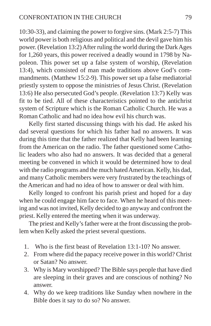10:30-33), and claiming the power to forgive sins. (Mark 2:5-7) This world power is both religious and political and the devil gave him his power. (Revelation 13:2) After ruling the world during the Dark Ages for 1,260 years, this power received a deadly wound in 1798 by Napoleon. This power set up a false system of worship, (Revelation 13:4), which consisted of man made traditions above God's commandments. (Matthew 15:2-9). This power set up a false mediatorial priestly system to oppose the ministries of Jesus Christ. (Revelation 13:6) He also persecuted God's people. (Revelation 13:7) Kelly was fit to be tied. All of these characteristics pointed to the antichrist system of Scripture which is the Roman Catholic Church. He was a Roman Catholic and had no idea how evil his church was.

Kelly first started discussing things with his dad. He asked his dad several questions for which his father had no answers. It was during this time that the father realized that Kelly had been learning from the American on the radio. The father questioned some Catholic leaders who also had no answers. It was decided that a general meeting be convened in which it would be determined how to deal with the radio programs and the much hated American. Kelly, his dad, and many Catholic members were very frustrated by the teachings of the American and had no idea of how to answer or deal with him.

Kelly longed to confront his parish priest and hoped for a day when he could engage him face to face. When he heard of this meeting and was not invited, Kelly decided to go anyway and confront the priest. Kelly entered the meeting when it was underway.

The priest and Kelly's father were at the front discussing the problem when Kelly asked the priest several questions.

- 1. Who is the first beast of Revelation 13:1-10? No answer.
- 2. From where did the papacy receive power in this world? Christ or Satan? No answer.
- 3. Why is Mary worshipped? The Bible says people that have died are sleeping in their graves and are conscious of nothing? No answer.
- 4. Why do we keep traditions like Sunday when nowhere in the Bible does it say to do so? No answer.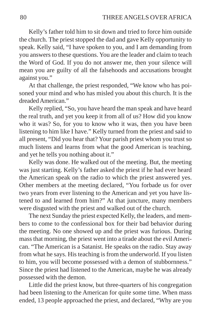Kelly's father told him to sit down and tried to force him outside the church. The priest stopped the dad and gave Kelly opportunity to speak. Kelly said, "I have spoken to you, and I am demanding from you answers to these questions. You are the leader and claim to teach the Word of God. If you do not answer me, then your silence will mean you are guilty of all the falsehoods and accusations brought against you."

At that challenge, the priest responded, "We know who has poisoned your mind and who has misled you about this church. It is the dreaded American."

Kelly replied, "So, you have heard the man speak and have heard the real truth, and yet you keep it from all of us? How did you know who it was? So, for you to know who it was, then you have been listening to him like I have." Kelly turned from the priest and said to all present, "Did you hear that? Your parish priest whom you trust so much listens and learns from what the good American is teaching, and yet he tells you nothing about it."

Kelly was done. He walked out of the meeting. But, the meeting was just starting. Kelly's father asked the priest if he had ever heard the American speak on the radio to which the priest answered yes. Other members at the meeting declared, "You forbade us for over two years from ever listening to the American and yet you have listened to and learned from him?" At that juncture, many members were disgusted with the priest and walked out of the church.

The next Sunday the priest expected Kelly, the leaders, and members to come to the confessional box for their bad behavior during the meeting. No one showed up and the priest was furious. During mass that morning, the priest went into a tirade about the evil American. "The American is a Satanist. He speaks on the radio. Stay away from what he says. His teaching is from the underworld. If you listen to him, you will become possessed with a demon of stubbornness." Since the priest had listened to the American, maybe he was already possessed with the demon.

Little did the priest know, but three-quarters of his congregation had been listening to the American for quite some time. When mass ended, 13 people approached the priest, and declared, "Why are you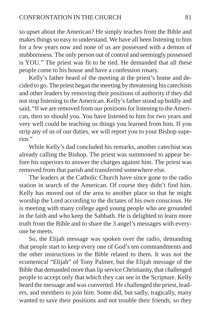so upset about the American? He simply teaches from the Bible and makes things so easy to understand. We have all been listening to him for a few years now and none of us are possessed with a demon of stubbornness. The only person out of control and seemingly possessed is YOU." The priest was fit to be tied. He demanded that all these people come to his house and have a confession rosary.

Kelly's father heard of the meeting at the priest's home and decided to go. The priest began the meeting by threatening his catechists and other leaders by removing their positions of authority if they did not stop listening to the American. Kelly's father stood up boldly and said, "If we are removed from our positions for listening to the American, then so should you. You have listened to him for two years and very well could be teaching us things you learned from him. If you strip any of us of our duties, we will report you to your Bishop superior."

While Kelly's dad concluded his remarks, another catechist was already calling the Bishop. The priest was summoned to appear before his superiors to answer the charges against him. The priest was removed from that parish and transferred somewhere else.

The leaders at the Catholic Church have since gone to the radio station in search of the American. Of course they didn't find him. Kelly has moved out of the area to another place so that he might worship the Lord according to the dictates of his own conscious. He is meeting with many college aged young people who are grounded in the faith and who keep the Sabbath. He is delighted to learn more truth from the Bible and to share the 3 angel's messages with everyone he meets.

So, the Elijah message was spoken over the radio, demanding that people start to keep every one of God's ten commandments and the other instructions in the Bible related to them. It was not the ecumenical "Elijah" of Tony Palmer, but the Elijah message of the Bible that demanded more than lip service Christianity, that challenged people to accept only that which they can see in the Scripture. Kelly heard the message and was converted. He challenged the priest, leaders, and members to join him. Some did, but sadly, tragically, many wanted to save their positions and not trouble their friends; so they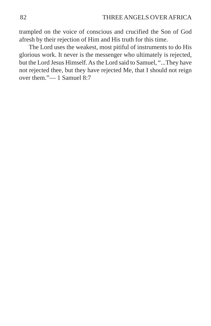trampled on the voice of conscious and crucified the Son of God afresh by their rejection of Him and His truth for this time.

The Lord uses the weakest, most pitiful of instruments to do His glorious work. It never is the messenger who ultimately is rejected, but the Lord Jesus Himself. As the Lord said to Samuel, "...They have not rejected thee, but they have rejected Me, that I should not reign over them."— 1 Samuel 8:7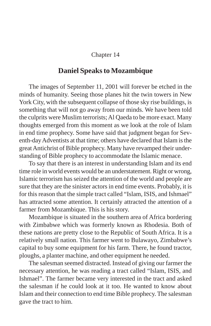#### Chapter 14

# **Daniel Speaks to Mozambique**

The images of September 11, 2001 will forever be etched in the minds of humanity. Seeing those planes hit the twin towers in New York City, with the subsequent collapse of those sky rise buildings, is something that will not go away from our minds. We have been told the culprits were Muslim terrorists; Al Qaeda to be more exact. Many thoughts emerged from this moment as we look at the role of Islam in end time prophecy. Some have said that judgment began for Seventh-day Adventists at that time; others have declared that Islam is the great Antichrist of Bible prophecy. Many have revamped their understanding of Bible prophecy to accommodate the Islamic menace.

To say that there is an interest in understanding Islam and its end time role in world events would be an understatement. Right or wrong, Islamic terrorism has seized the attention of the world and people are sure that they are the sinister actors in end time events. Probably, it is for this reason that the simple tract called "Islam, ISIS, and Ishmael" has attracted some attention. It certainly attracted the attention of a farmer from Mozambique. This is his story.

Mozambique is situated in the southern area of Africa bordering with Zimbabwe which was formerly known as Rhodesia. Both of these nations are pretty close to the Republic of South Africa. It is a relatively small nation. This farmer went to Bulawayo, Zimbabwe's capital to buy some equipment for his farm. There, he found tractor, ploughs, a planter machine, and other equipment he needed.

The salesman seemed distracted. Instead of giving our farmer the necessary attention, he was reading a tract called "Islam, ISIS, and Ishmael". The farmer became very interested in the tract and asked the salesman if he could look at it too. He wanted to know about Islam and their connection to end time Bible prophecy. The salesman gave the tract to him.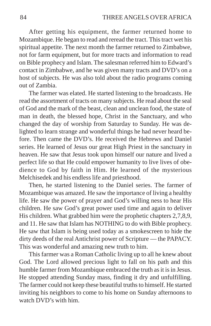After getting his equipment, the farmer returned home to Mozambique. He began to read and reread the tract. This tract wet his spiritual appetite. The next month the farmer returned to Zimbabwe, not for farm equipment, but for more tracts and information to read on Bible prophecy and Islam. The salesman referred him to Edward's contact in Zimbabwe, and he was given many tracts and DVD's on a host of subjects. He was also told about the radio programs coming out of Zambia.

The farmer was elated. He started listening to the broadcasts. He read the assortment of tracts on many subjects. He read about the seal of God and the mark of the beast, clean and unclean food, the state of man in death, the blessed hope, Christ in the Sanctuary, and who changed the day of worship from Saturday to Sunday. He was delighted to learn strange and wonderful things he had never heard before. Then came the DVD's. He received the Hebrews and Daniel series. He learned of Jesus our great High Priest in the sanctuary in heaven. He saw that Jesus took upon himself our nature and lived a perfect life so that He could empower humanity to live lives of obedience to God by faith in Him. He learned of the mysterious Melchisedek and his endless life and priesthood.

Then, he started listening to the Daniel series. The farmer of Mozambique was amazed. He saw the importance of living a healthy life. He saw the power of prayer and God's willing ness to hear His children. He saw God's great power used time and again to deliver His children. What grabbed him were the prophetic chapters 2,7,8,9, and 11. He saw that Islam has NOTHING to do with Bible prophecy. He saw that Islam is being used today as a smokescreen to hide the dirty deeds of the real Antichrist power of Scripture — the PAPACY. This was wonderful and amazing new truth to him.

This farmer was a Roman Catholic living up to all he knew about God. The Lord allowed precious light to fall on his path and this humble farmer from Mozambique embraced the truth as it is in Jesus. He stopped attending Sunday mass, finding it dry and unfulfilling. The farmer could not keep these beautiful truths to himself. He started inviting his neighbors to come to his home on Sunday afternoons to watch DVD's with him.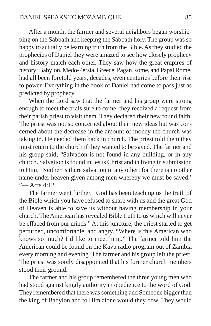#### DANIEL SPEAKS TO MOZAMBIQUE

After a month, the farmer and several neighbors began worshipping on the Sabbath and keeping the Sabbath holy. The group was so happy to actually be learning truth from the Bible. As they studied the prophecies of Daniel they were amazed to see how closely prophecy and history match each other. They saw how the great empires of history: Babylon, Medo-Persia, Greece, Pagan Rome, and Papal Rome, had all been foretold years, decades, even centuries before their rise to power. Everything in the book of Daniel had come to pass just as predicted by prophecy.

When the Lord saw that the farmer and his group were strong enough to meet the trials sure to come, they received a request from their parish priest to visit them. They declared their new found faith. The priest was not so concerned about their new ideas but was concerned about the decrease in the amount of money the church was taking in. He needed them back in church. The priest told them they must return to the church if they wanted to be saved. The farmer and his group said, "Salvation is not found in any building, or in any church. Salvation is found in Jesus Christ and in living in submission to Him. 'Neither is there salvation in any other; for there is no other name under heaven given among men whereby we must be saved.'  $"$  Acts 4.12

The farmer went further, "God has been teaching us the truth of the Bible which you have refused to share with us and the great God of Heaven is able to save us without having membership in your church. The American has revealed Bible truth to us which will never be effaced from our minds." At this juncture, the priest started to get perturbed, uncomfortable, and angry. "Where is this American who knows so much? I'd like to meet him,." The farmer told him the American could be found on the Kavu radio program out of Zambia every morning and evening. The farmer and his group left the priest. The priest was sorely disappointed that his former church members stood their ground.

The farmer and his group remembered the three young men who had stood against kingly authority in obedience to the word of God. They remembered that there was something and Someone bigger than the king of Babylon and to Him alone would they bow. They would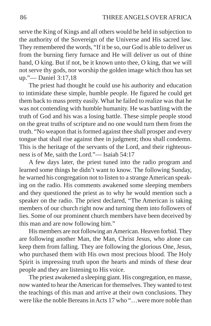serve the King of Kings and all others would be held in subjection to the authority of the Sovereign of the Universe and His sacred law. They remembered the words, "If it be so, our God is able to deliver us from the burning fiery furnace and He will deliver us out of thine hand, O king. But if not, be it known unto thee, O king, that we will not serve thy gods, nor worship the golden image which thou has set up."— Daniel 3:17,18

The priest had thought he could use his authority and education to intimidate these simple, humble people. He figured he could get them back to mass pretty easily. What he failed to realize was that he was not contending with humble humanity. He was battling with the truth of God and his was a losing battle. These simple people stood on the great truths of scripture and no one would turn them from the truth. "No weapon that is formed against thee shall prosper and every tongue that shall rise against thee in judgment; thou shall condemn. This is the heritage of the servants of the Lord, and their righteousness is of Me, saith the Lord."— Isaiah 54:17

A few days later, the priest tuned into the radio program and learned some things he didn't want to know. The following Sunday, he warned his congregation not to listen to a strange American speaking on the radio. His comments awakened some sleeping members and they questioned the priest as to why he would mention such a speaker on the radio. The priest declared, "The American is taking members of our church right now and turning them into followers of lies. Some of our prominent church members have been deceived by this man and are now following him."

His members are not following an American. Heaven forbid. They are following another Man, the Man, Christ Jesus, who alone can keep them from falling. They are following the glorious One, Jesus, who purchased them with His own most precious blood. The Holy Spirit is impressing truth upon the hearts and minds of these dear people and they are listening to His voice.

The priest awakened a sleeping giant. His congregation, en masse, now wanted to hear the American for themselves. They wanted to test the teachings of this man and arrive at their own conclusions. They were like the noble Bereans in Acts 17 who "…were more noble than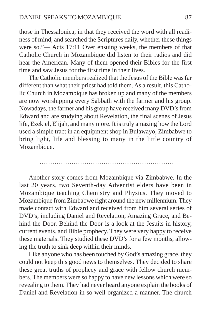those in Thessalonica, in that they received the word with all readiness of mind, and searched the Scriptures daily, whether these things were so."— Acts 17:11 Over ensuing weeks, the members of that Catholic Church in Mozambique did listen to their radios and did hear the American. Many of them opened their Bibles for the first time and saw Jesus for the first time in their lives.

The Catholic members realized that the Jesus of the Bible was far different than what their priest had told them. As a result, this Catholic Church in Mozambique has broken up and many of the members are now worshipping every Sabbath with the farmer and his group. Nowadays, the farmer and his group have received many DVD's from Edward and are studying about Revelation, the final scenes of Jesus life, Ezekiel, Elijah, and many more. It is truly amazing how the Lord used a simple tract in an equipment shop in Bulawayo, Zimbabwe to bring light, life and blessing to many in the little country of Mozambique.

Another story comes from Mozambique via Zimbabwe. In the last 20 years, two Seventh-day Adventist elders have been in Mozambique teaching Chemistry and Physics. They moved to Mozambique from Zimbabwe right around the new millennium. They made contact with Edward and received from him several series of DVD's, including Daniel and Revelation, Amazing Grace, and Behind the Door. Behind the Door is a look at the Jesuits in history, current events, and Bible prophecy. They were very happy to receive these materials. They studied these DVD's for a few months, allowing the truth to sink deep within their minds.

………………………………………………………

Like anyone who has been touched by God's amazing grace, they could not keep this good news to themselves. They decided to share these great truths of prophecy and grace with fellow church members. The members were so happy to have new lessons which were so revealing to them. They had never heard anyone explain the books of Daniel and Revelation in so well organized a manner. The church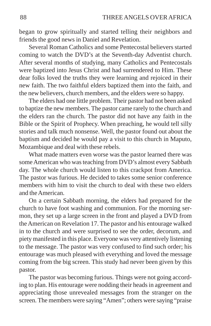began to grow spiritually and started telling their neighbors and friends the good news in Daniel and Revelation.

Several Roman Catholics and some Pentecostal believers started coming to watch the DVD's at the Seventh-day Adventist church. After several months of studying, many Catholics and Pentecostals were baptized into Jesus Christ and had surrendered to Him. These dear folks loved the truths they were learning and rejoiced in their new faith. The two faithful elders baptized them into the faith, and the new believers, church members, and the elders were so happy.

The elders had one little problem. Their pastor had not been asked to baptize the new members. The pastor came rarely to the church and the elders ran the church. The pastor did not have any faith in the Bible or the Spirit of Prophecy. When preaching, he would tell silly stories and talk much nonsense. Well, the pastor found out about the baptism and decided he would pay a visit to this church in Maputo, Mozambique and deal with these rebels.

What made matters even worse was the pastor learned there was some American who was teaching from DVD's almost every Sabbath day. The whole church would listen to this crackpot from America. The pastor was furious. He decided to takes some senior conference members with him to visit the church to deal with these two elders and the American.

On a certain Sabbath morning, the elders had prepared for the church to have foot washing and communion. For the morning sermon, they set up a large screen in the front and played a DVD from the American on Revelation 17. The pastor and his entourage walked in to the church and were surprised to see the order, decorum, and piety manifested in this place. Everyone was very attentively listening to the message. The pastor was very confused to find such order; his entourage was much pleased with everything and loved the message coming from the big screen. This study had never been given by this pastor.

The pastor was becoming furious. Things were not going according to plan. His entourage were nodding their heads in agreement and appreciating those unrevealed messages from the stranger on the screen. The members were saying "Amen"; others were saying "praise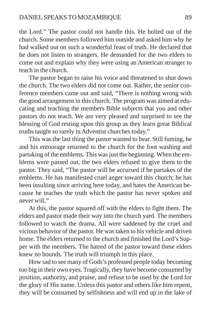the Lord." The pastor could not handle this. He bolted out of the church. Some members followed him outside and asked him why he had walked out on such a wonderful feast of truth. He declared that he does not listen to strangers. He demanded for the two elders to come out and explain why they were using an American stranger to teach in the church.

The pastor began to raise his voice and threatened to shut down the church. The two elders did not come out. Rather, the senior conference members came out and said, "There is nothing wrong with the good arrangement in this church. The program was aimed at educating and teaching the members Bible subjects that you and other pastors do not teach. We are very pleased and surprised to see the blessing of God resting upon this group as they learn great Biblical truths taught so rarely in Adventist churches today."

This was the last thing the pastor wanted to hear. Still fuming, he and his entourage returned to the church for the foot washing and partaking of the emblems. This was just the beginning. When the emblems were passed out, the two elders refused to give them to the pastor. They said, "The pastor will be accursed if he partakes of the emblems. He has manifested cruel anger toward this church; he has been insulting since arriving here today, and hates the American because he teaches the truth which the pastor has never spoken and never will."

At this, the pastor squared off with the elders to fight them. The elders and pastor made their way into the church yard. The members followed to watch the drama. All were saddened by the cruel and vicious behavior of the pastor. He was taken to his vehicle and driven home. The elders returned to the church and finished the Lord's Supper with the members. The hatred of the pastor toward these elders knew no bounds. The truth will triumph in this place.

How sad to see many of Gods's professed people today becoming too big in their own eyes. Tragically, they have become consumed by position, authority, and praise, and refuse to be used by the Lord for the glory of His name. Unless this pastor and others like him repent, they will be consumed by selfishness and will end up in the lake of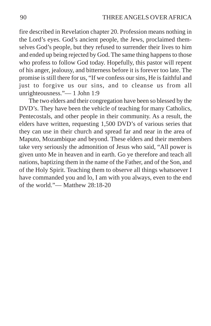fire described in Revelation chapter 20. Profession means nothing in the Lord's eyes. God's ancient people, the Jews, proclaimed themselves God's people, but they refused to surrender their lives to him and ended up being rejected by God. The same thing happens to those who profess to follow God today. Hopefully, this pastor will repent of his anger, jealousy, and bitterness before it is forever too late. The promise is still there for us, "If we confess our sins, He is faithful and just to forgive us our sins, and to cleanse us from all unrighteousness."— 1 John 1:9

The two elders and their congregation have been so blessed by the DVD's. They have been the vehicle of teaching for many Catholics, Pentecostals, and other people in their community. As a result, the elders have written, requesting 1,500 DVD's of various series that they can use in their church and spread far and near in the area of Maputo, Mozambique and beyond. These elders and their members take very seriously the admonition of Jesus who said, "All power is given unto Me in heaven and in earth. Go ye therefore and teach all nations, baptizing them in the name of the Father, and of the Son, and of the Holy Spirit. Teaching them to observe all things whatsoever I have commanded you and lo, I am with you always, even to the end of the world."— Matthew 28:18-20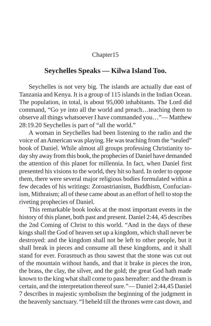#### Chapter15

### **Seychelles Speaks — Kilwa Island Too.**

Seychelles is not very big. The islands are actually due east of Tanzania and Kenya. It is a group of 115 islands in the Indian Ocean. The population, in total, is about 95,000 inhabitants. The Lord did command, "Go ye into all the world and preach…teaching them to observe all things whatsoever I have commanded you…"— Matthew 28:19.20 Seychelles is part of "all the world."

A woman in Seychelles had been listening to the radio and the voice of an American was playing. He was teaching from the "sealed" book of Daniel. While almost all groups professing Christianity today shy away from this book, the prophecies of Daniel have demanded the attention of this planet for millennia. In fact, when Daniel first presented his visions to the world, they hit so hard. In order to oppose them, there were several major religious bodies formulated within a few decades of his writings: Zoroastrianism, Buddhism, Confucianism, Mithraism; all of these came about as an effort of hell to stop the riveting prophecies of Daniel.

This remarkable book looks at the most important events in the history of this planet, both past and present. Daniel 2:44, 45 describes the 2nd Coming of Christ to this world. "And in the days of these kings shall the God of heaven set up a kingdom, which shall never be destroyed: and the kingdom shall not be left to other people, but it shall break in pieces and consume all these kingdoms, and it shall stand for ever. Forasmuch as thou sawest that the stone was cut out of the mountain without hands, and that it brake in pieces the iron, the brass, the clay, the silver, and the gold; the great God hath made known to the king what shall come to pass hereafter: and the dream is certain, and the interpretation thereof sure."— Daniel 2:44,45 Daniel 7 describes in majestic symbolism the beginning of the judgment in the heavenly sanctuary. "I beheld till the thrones were cast down, and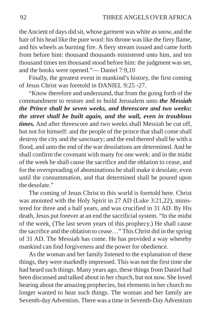the Ancient of days did sit, whose garment was white as snow, and the hair of his head like the pure wool: his throne was like the fiery flame, and his wheels as burning fire. A fiery stream issued and came forth from before him: thousand thousands ministered unto him, and ten thousand times ten thousand stood before him: the judgment was set, and the books were opened."— Daniel 7:9,10

Finally, the greatest event in mankind's history, the first coming of Jesus Christ was foretold in DANIEL 9:25 -27.

"Know therefore and understand, that from the going forth of the commandment to restore and to build Jerusalem unto *the Messiah the Prince shall be seven weeks, and threescore and two weeks: the street shall be built again, and the wall, even in troublous times.* And after threescore and two weeks shall Messiah be cut off, but not for himself: and the people of the prince that shall come shall destroy the city and the sanctuary; and the end thereof shall be with a flood, and unto the end of the war desolations are determined. And he shall confirm the covenant with many for one week: and in the midst of the week he shall cause the sacrifice and the oblation to cease, and for the overspreading of abominations he shall make it desolate, even until the consummation, and that determined shall be poured upon the desolate."

The coming of Jesus Christ to this world is foretold here. Christ was anointed with the Holy Spirit in 27 AD (Luke 3:21,22), ministered for three and a half years, and was crucified in 31 AD. By His death, Jesus put forever at an end the sacrificial system. "In the midst of the week, (The last seven years of this prophecy.) He shall cause the sacrifice and the oblation to cease…" This Christ did in the spring of 31 AD. The Messiah has come. He has provided a way whereby mankind can find forgiveness and the power for obedience.

As the woman and her family listened to the explanation of these things, they were markedly impressed. This was not the first time she had heard such things. Many years ago, these things from Daniel had been discussed and talked about in her church, but not now. She loved hearing about the amazing prophecies, but elements in her church no longer wanted to hear such things. The woman and her family are Seventh-day Adventists. There was a time in Seventh-Day Adventism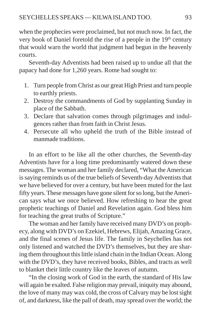when the prophecies were proclaimed, but not much now. In fact, the very book of Daniel foretold the rise of a people in the 19<sup>th</sup> century that would warn the world that judgment had begun in the heavenly courts.

Seventh-day Adventists had been raised up to undue all that the papacy had done for 1,260 years. Rome had sought to:

- 1. Turn people from Christ as our great High Priest and turn people to earthly priests.
- 2. Destroy the commandments of God by supplanting Sunday in place of the Sabbath.
- 3. Declare that salvation comes through pilgrimages and indulgences rather than from faith in Christ Jesus.
- 4. Persecute all who upheld the truth of the Bible instead of manmade traditions.

In an effort to be like all the other churches, the Seventh-day Adventists have for a long time predominantly watered down these messages. The woman and her family declared, "What the American is saying reminds us of the true beliefs of Seventh-day Adventists that we have believed for over a century, but have been muted for the last fifty years. These messages have gone silent for so long, but the American says what we once believed. How refreshing to hear the great prophetic teachings of Daniel and Revelation again. God bless him for teaching the great truths of Scripture."

The woman and her family have received many DVD's on prophecy, along with DVD's on Ezekiel, Hebrews, Elijah, Amazing Grace, and the final scenes of Jesus life. The family in Seychelles has not only listened and watched the DVD's themselves, but they are sharing them throughout this little island chain in the Indian Ocean. Along with the DVD's, they have received books, Bibles, and tracts as well to blanket their little country like the leaves of autumn.

"In the closing work of God in the earth, the standard of His law will again be exalted. False religion may prevail, iniquity may abound, the love of many may wax cold, the cross of Calvary may be lost sight of, and darkness, like the pall of death, may spread over the world; the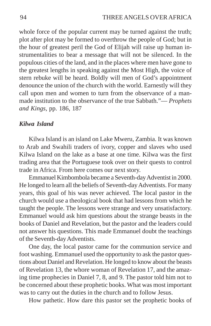whole force of the popular current may be turned against the truth; plot after plot may be formed to overthrow the people of God; but in the hour of greatest peril the God of Elijah will raise up human instrumentalities to bear a message that will not be silenced. In the populous cities of the land, and in the places where men have gone to the greatest lengths in speaking against the Most High, the voice of stern rebuke will be heard. Boldly will men of God's appointment denounce the union of the church with the world. Earnestly will they call upon men and women to turn from the observance of a manmade institution to the observance of the true Sabbath."— *Prophets and Kings,* pp. 186, 187

#### *Kilwa Island*

Kilwa Island is an island on Lake Mweru, Zambia. It was known to Arab and Swahili traders of ivory, copper and slaves who used Kilwa Island on the lake as a base at one time. Kilwa was the first trading area that the Portuguese took over on their quests to control trade in Africa. From here comes our next story.

Emmanuel Kimbombola became a Seventh-day Adventist in 2000. He longed to learn all the beliefs of Seventh-day Adventists. For many years, this goal of his was never achieved. The local pastor in the church would use a theological book that had lessons from which he taught the people. The lessons were strange and very unsatisfactory. Emmanuel would ask him questions about the strange beasts in the books of Daniel and Revelation, but the pastor and the leaders could not answer his questions. This made Emmanuel doubt the teachings of the Seventh-day Adventists.

One day, the local pastor came for the communion service and foot washing. Emmanuel used the opportunity to ask the pastor questions about Daniel and Revelation. He longed to know about the beasts of Revelation 13, the whore woman of Revelation 17, and the amazing time prophecies in Daniel 7, 8, and 9. The pastor told him not to be concerned about these prophetic books. What was most important was to carry out the duties in the church and to follow Jesus.

How pathetic. How dare this pastor set the prophetic books of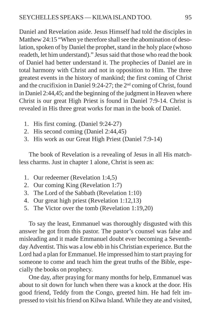Daniel and Revelation aside. Jesus Himself had told the disciples in Matthew 24:15 "When ye therefore shall see the abomination of desolation, spoken of by Daniel the prophet, stand in the holy place (whoso readeth, let him understand)." Jesus said that those who read the book of Daniel had better understand it. The prophecies of Daniel are in total harmony with Christ and not in opposition to Him. The three greatest events in the history of mankind; the first coming of Christ and the crucifixion in Daniel 9:24-27; the 2nd coming of Christ, found in Daniel 2:44,45; and the beginning of the judgment in Heaven where Christ is our great High Priest is found in Daniel 7:9-14. Christ is revealed in His three great works for man in the book of Daniel.

- 1. His first coming. (Daniel 9:24-27)
- 2. His second coming (Daniel 2:44,45)
- 3. His work as our Great High Priest (Daniel 7:9-14)

The book of Revelation is a revealing of Jesus in all His matchless charms. Just in chapter 1 alone, Christ is seen as:

- 1. Our redeemer (Revelation 1:4,5)
- 2. Our coming King (Revelation 1:7)
- 3. The Lord of the Sabbath (Revelation 1:10)
- 4. Our great high priest (Revelation 1:12,13)
- 5. The Victor over the tomb (Revelation 1:19,20)

To say the least, Emmanuel was thoroughly disgusted with this answer he got from this pastor. The pastor's counsel was false and misleading and it made Emmanuel doubt ever becoming a Seventhday Adventist. This was a low ebb in his Christian experience. But the Lord had a plan for Emmanuel. He impressed him to start praying for someone to come and teach him the great truths of the Bible, especially the books on prophecy.

One day, after praying for many months for help, Emmanuel was about to sit down for lunch when there was a knock at the door. His good friend, Teddy from the Congo, greeted him. He had felt impressed to visit his friend on Kilwa Island. While they ate and visited,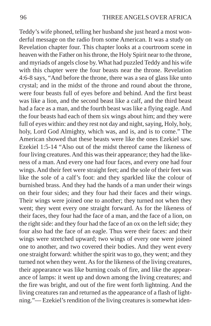Teddy's wife phoned, telling her husband she just heard a most wonderful message on the radio from some American. It was a study on Revelation chapter four. This chapter looks at a courtroom scene in heaven with the Father on his throne, the Holy Spirit near to the throne, and myriads of angels close by. What had puzzled Teddy and his wife with this chapter were the four beasts near the throne. Revelation 4:6-8 says, "And before the throne, there was a sea of glass like unto crystal; and in the midst of the throne and round about the throne, were four beasts full of eyes before and behind. And the first beast was like a lion, and the second beast like a calf, and the third beast had a face as a man, and the fourth beast was like a flying eagle. And the four beasts had each of them six wings about him; and they were full of eyes within: and they rest not day and night, saying, Holy, holy, holy, Lord God Almighty, which was, and is, and is to come." The American showed that these beasts were like the ones Ezekiel saw. Ezekiel 1:5-14 "Also out of the midst thereof came the likeness of four living creatures. And this was their appearance; they had the likeness of a man. And every one had four faces, and every one had four wings. And their feet were straight feet; and the sole of their feet was like the sole of a calf's foot: and they sparkled like the colour of burnished brass. And they had the hands of a man under their wings on their four sides; and they four had their faces and their wings. Their wings were joined one to another; they turned not when they went; they went every one straight forward. As for the likeness of their faces, they four had the face of a man, and the face of a lion, on the right side: and they four had the face of an ox on the left side; they four also had the face of an eagle. Thus were their faces: and their wings were stretched upward; two wings of every one were joined one to another, and two covered their bodies. And they went every one straight forward: whither the spirit was to go, they went; and they turned not when they went. As for the likeness of the living creatures, their appearance was like burning coals of fire, and like the appearance of lamps: it went up and down among the living creatures; and the fire was bright, and out of the fire went forth lightning. And the living creatures ran and returned as the appearance of a flash of lightning."— Ezekiel's rendition of the living creatures is somewhat iden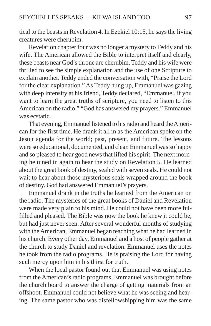tical to the beasts in Revelation 4. In Ezekiel 10:15, he says the living creatures were cherubim.

Revelation chapter four was no longer a mystery to Teddy and his wife. The American allowed the Bible to interpret itself and clearly, these beasts near God's throne are cherubim. Teddy and his wife were thrilled to see the simple explanation and the use of one Scripture to explain another. Teddy ended the conversation with, "Praise the Lord for the clear explanation." As Teddy hung up, Emmanuel was gazing with deep intensity at his friend, Teddy declared, "Emmanuel, if you want to learn the great truths of scripture, you need to listen to this American on the radio." "God has answered my prayers." Emmanuel was ecstatic.

That evening, Emmanuel listened to his radio and heard the American for the first time. He drank it all in as the American spoke on the Jesuit agenda for the world; past, present, and future. The lessons were so educational, documented, and clear. Emmanuel was so happy and so pleased to hear good news that lifted his spirit. The next morning he tuned in again to hear the study on Revelation 5. He learned about the great book of destiny, sealed with seven seals. He could not wait to hear about those mysterious seals wrapped around the book of destiny. God had answered Emmanuel's prayers.

Emmanuel drank in the truths he learned from the American on the radio. The mysteries of the great books of Daniel and Revelation were made very plain to his mind. He could not have been more fulfilled and pleased. The Bible was now the book he knew it could be, but had just never seen. After several wonderful months of studying with the American, Emmanuel began teaching what he had learned in his church. Every other day, Emmanuel and a host of people gather at the church to study Daniel and revelation. Emmanuel uses the notes he took from the radio programs. He is praising the Lord for having such mercy upon him in his thirst for truth.

When the local pastor found out that Emmanuel was using notes from the American's radio programs, Emmanuel was brought before the church board to answer the charge of getting materials from an offshoot. Emmanuel could not believe what he was seeing and hearing. The same pastor who was disfellowshipping him was the same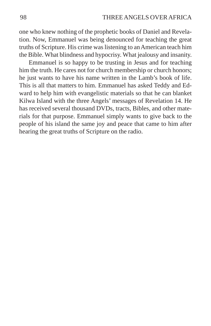one who knew nothing of the prophetic books of Daniel and Revelation. Now, Emmanuel was being denounced for teaching the great truths of Scripture. His crime was listening to an American teach him the Bible. What blindness and hypocrisy. What jealousy and insanity.

Emmanuel is so happy to be trusting in Jesus and for teaching him the truth. He cares not for church membership or church honors; he just wants to have his name written in the Lamb's book of life. This is all that matters to him. Emmanuel has asked Teddy and Edward to help him with evangelistic materials so that he can blanket Kilwa Island with the three Angels' messages of Revelation 14. He has received several thousand DVDs, tracts, Bibles, and other materials for that purpose. Emmanuel simply wants to give back to the people of his island the same joy and peace that came to him after hearing the great truths of Scripture on the radio.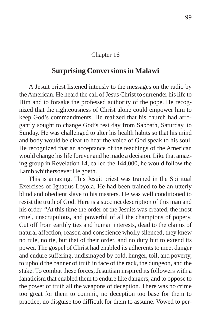#### Chapter 16

# **Surprising Conversions in Malawi**

A Jesuit priest listened intensly to the messages on the radio by the American. He heard the call of Jesus Christ to surrender his life to Him and to forsake the professed authority of the pope. He recognized that the righteousness of Christ alone could empower him to keep God's commandments. He realized that his church had arrogantly sought to change God's rest day from Sabbath, Saturday, to Sunday. He was challenged to alter his health habits so that his mind and body would be clear to hear the voice of God speak to his soul. He recognized that an acceptance of the teachings of the American would change his life forever and he made a decision. Like that amazing group in Revelation 14, called the 144,000, he would follow the Lamb whithersoever He goeth.

This is amazing. This Jesuit priest was trained in the Spiritual Exercises of Ignatius Loyola. He had been trained to be an utterly blind and obedient slave to his masters. He was well conditioned to resist the truth of God. Here is a succinct description of this man and his order. "At this time the order of the Jesuits was created, the most cruel, unscrupulous, and powerful of all the champions of popery. Cut off from earthly ties and human interests, dead to the claims of natural affection, reason and conscience wholly silenced, they knew no rule, no tie, but that of their order, and no duty but to extend its power. The gospel of Christ had enabled its adherents to meet danger and endure suffering, undismayed by cold, hunger, toil, and poverty, to uphold the banner of truth in face of the rack, the dungeon, and the stake. To combat these forces, Jesuitism inspired its followers with a fanaticism that enabled them to endure like dangers, and to oppose to the power of truth all the weapons of deception. There was no crime too great for them to commit, no deception too base for them to practice, no disguise too difficult for them to assume. Vowed to per-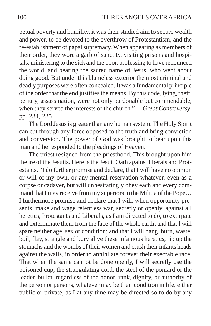petual poverty and humility, it was their studied aim to secure wealth and power, to be devoted to the overthrow of Protestantism, and the re-establishment of papal supremacy. When appearing as members of their order, they wore a garb of sanctity, visiting prisons and hospitals, ministering to the sick and the poor, professing to have renounced the world, and bearing the sacred name of Jesus, who went about doing good. But under this blameless exterior the most criminal and deadly purposes were often concealed. It was a fundamental principle of the order that the end justifies the means. By this code, lying, theft, perjury, assassination, were not only pardonable but commendable, when they served the interests of the church."— *Great Controversy*, pp. 234, 235

The Lord Jesus is greater than any human system. The Holy Spirit can cut through any force opposed to the truth and bring conviction and conversion. The power of God was brought to bear upon this man and he responded to the pleadings of Heaven.

The priest resigned from the priesthood. This brought upon him the ire of the Jesuits. Here is the Jesuit Oath against liberals and Protestants. "I do further promise and declare, that I will have no opinion or will of my own, or any mental reservation whatever, even as a corpse or cadaver, but will unhesitatingly obey each and every command that I may receive from my superiors in the Militia of the Pope… I furthermore promise and declare that I will, when opportunity presents, make and wage relentless war, secretly or openly, against all heretics, Protestants and Liberals, as I am directed to do, to extirpate and exterminate them from the face of the whole earth; and that I will spare neither age, sex or condition; and that I will hang, burn, waste, boil, flay, strangle and bury alive these infamous heretics, rip up the stomachs and the wombs of their women and crush their infants heads against the walls, in order to annihilate forever their execrable race. That when the same cannot be done openly, I will secretly use the poisoned cup, the strangulating cord, the steel of the poniard or the leaden bullet, regardless of the honor, rank, dignity, or authority of the person or persons, whatever may be their condition in life, either public or private, as I at any time may be directed so to do by any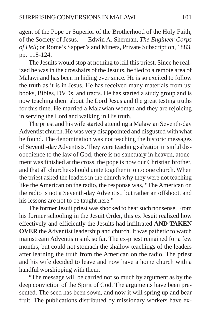agent of the Pope or Superior of the Brotherhood of the Holy Faith, of the Society of Jesus. — Edwin A. Sherman, *The Engineer Corps of Hell*; or Rome's Sapper's and Miners, Private Subscription, 1883, pp. 118-124.

The Jesuits would stop at nothing to kill this priest. Since he realized he was in the crosshairs of the Jesuits, he fled to a remote area of Malawi and has been in hiding ever since. He is so excited to follow the truth as it is in Jesus. He has received many materials from us; books, Bibles, DVDs, and tracts. He has started a study group and is now teaching them about the Lord Jesus and the great testing truths for this time. He married a Malawian woman and they are rejoicing in serving the Lord and walking in His truth.

The priest and his wife started attending a Malawian Seventh-day Adventist church. He was very disappointed and disgusted with what he found. The denomination was not teaching the historic messages of Seventh-day Adventists. They were teaching salvation in sinful disobedience to the law of God, there is no sanctuary in heaven, atonement was finished at the cross, the pope is now our Christian brother, and that all churches should unite together in onto one church. When the priest asked the leaders in the church why they were not teaching like the American on the radio, the response was, "The American on the radio is not a Seventh-day Adventist, but rather an offshoot, and his lessons are not to be taught here."

The former Jesuit priest was shocked to hear such nonsense. From his former schooling in the Jesuit Order, this ex Jesuit realized how effectively and efficiently the Jesuits had infiltrated **AND TAKEN OVER** the Adventist leadership and church. It was pathetic to watch mainstream Adventism sink so far. The ex-priest remained for a few months, but could not stomach the shallow teachings of the leaders after learning the truth from the American on the radio. The priest and his wife decided to leave and now have a home church with a handful worshipping with them.

"The message will be carried not so much by argument as by the deep conviction of the Spirit of God. The arguments have been presented. The seed has been sown, and now it will spring up and bear fruit. The publications distributed by missionary workers have ex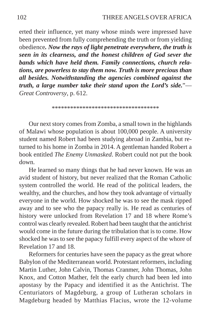erted their influence, yet many whose minds were impressed have been prevented from fully comprehending the truth or from yielding obedience*. Now the rays of light penetrate everywhere, the truth is seen in its clearness, and the honest children of God sever the bands which have held them. Family connections, church relations, are powerless to stay them now. Truth is more precious than all besides. Notwithstanding the agencies combined against the truth, a large number take their stand upon the Lord's side.*"— *Great Controversy*, p. 612.

\*\*\*\*\*\*\*\*\*\*\*\*\*\*\*\*\*\*\*\*\*\*\*\*\*\*\*\*\*\*\*\*\*\*\*

Our next story comes from Zomba, a small town in the highlands of Malawi whose population is about 100,000 people. A university student named Robert had been studying abroad in Zambia, but returned to his home in Zomba in 2014. A gentleman handed Robert a book entitled *The Enemy Unmasked*. Robert could not put the book down.

He learned so many things that he had never known. He was an avid student of history, but never realized that the Roman Catholic system controlled the world. He read of the political leaders, the wealthy, and the churches, and how they took advantage of virtually everyone in the world. How shocked he was to see the mask ripped away and to see who the papacy really is. He read as centuries of history were unlocked from Revelation 17 and 18 where Rome's control was clearly revealed. Robert had been taught that the antichrist would come in the future during the tribulation that is to come. How shocked he was to see the papacy fulfill every aspect of the whore of Revelation 17 and 18.

Reformers for centuries have seen the papacy as the great whore Babylon of the Mediterranean world. Protestant reformers, including Martin Luther, John Calvin, Thomas Cranmer, John Thomas, John Knox, and Cotton Mather, felt the early church had been led into apostasy by the Papacy and identified it as the Antichrist. The Centuriators of Magdeburg, a group of Lutheran scholars in Magdeburg headed by Matthias Flacius, wrote the 12-volume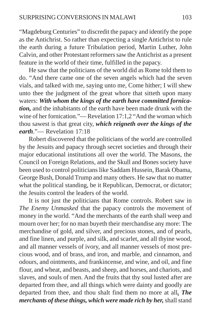"Magdeburg Centuries" to discredit the papacy and identify the pope as the Antichrist. So rather than expecting a single Antichrist to rule the earth during a future Tribulation period, Martin Luther, John Calvin, and other Protestant reformers saw the Antichrist as a present feature in the world of their time, fulfilled in the papacy.

He saw that the politicians of the world did as Rome told them to do. "And there came one of the seven angels which had the seven vials, and talked with me, saying unto me, Come hither; I will shew unto thee the judgment of the great whore that sitteth upon many waters: *With whom the kings of the earth have committed fornication,* and the inhabitants of the earth have been made drunk with the wine of her fornication."— Revelation 17:1,2 "And the woman which thou sawest is that great city, *which reigneth over the kings of the earth*."— Revelation 17:18

Robert discovered that the politicians of the world are controlled by the Jesuits and papacy through secret societies and through their major educational institutions all over the world. The Masons, the Council on Foreign Relations, and the Skull and Bones society have been used to control politicians like Saddam Hussein, Barak Obama, George Bush, Donald Trump and many others. He saw that no matter what the political standing, be it Republican, Democrat, or dictator; the Jesuits control the leaders of the world.

It is not just the politicians that Rome controls. Robert saw in *The Enemy Unmasked* that the papacy controls the movement of money in the world. "And the merchants of the earth shall weep and mourn over her; for no man buyeth their merchandise any more: The merchandise of gold, and silver, and precious stones, and of pearls, and fine linen, and purple, and silk, and scarlet, and all thyine wood, and all manner vessels of ivory, and all manner vessels of most precious wood, and of brass, and iron, and marble, and cinnamon, and odours, and ointments, and frankincense, and wine, and oil, and fine flour, and wheat, and beasts, and sheep, and horses, and chariots, and slaves, and souls of men. And the fruits that thy soul lusted after are departed from thee, and all things which were dainty and goodly are departed from thee, and thou shalt find them no more at all*. The merchants of these things, which were made rich by her,* shall stand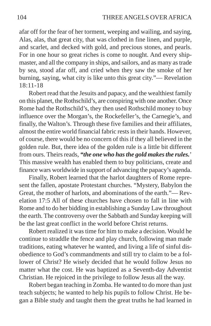afar off for the fear of her torment, weeping and wailing, and saying, Alas, alas, that great city, that was clothed in fine linen, and purple, and scarlet, and decked with gold, and precious stones, and pearls. For in one hour so great riches is come to nought. And every shipmaster, and all the company in ships, and sailors, and as many as trade by sea, stood afar off, and cried when they saw the smoke of her burning, saying, what city is like unto this great city."— Revelation 18:11-18

Robert read that the Jesuits and papacy, and the wealthiest family on this planet, the Rothschild's, are conspiring with one another. Once Rome had the Rothschild's, they then used Rothschild money to buy influence over the Morgan's, the Rockefeller's, the Carnegie's, and finally, the Walton's. Through these five families and their affiliates, almost the entire world financial fabric rests in their hands. However, of course, there would be no concern of this if they all believed in the golden rule. But, there idea of the golden rule is a little bit different from ours. Theirs reads, *"the one who has the gold makes the rules.*' This massive wealth has enabled them to buy politicians, create and finance wars worldwide in support of advancing the papacy's agenda.

Finally, Robert learned that the harlot daughters of Rome represent the fallen, apostate Protestant churches. "Mystery, Babylon the Great, the mother of harlots, and abominations of the earth."— Revelation 17:5 All of these churches have chosen to fall in line with Rome and to do her bidding in establishing a Sunday Law throughout the earth. The controversy over the Sabbath and Sunday keeping will be the last great conflict in the world before Christ returns.

Robert realized it was time for him to make a decision. Would he continue to straddle the fence and play church, following man made traditions, eating whatever he wanted, and living a life of sinful disobedience to God's commandments and still try to claim to be a follower of Christ? He wisely decided that he would follow Jesus no matter what the cost. He was baptized as a Seventh-day Adventist Christian. He rejoiced in the privilege to follow Jesus all the way.

Robert began teaching in Zomba. He wanted to do more than just teach subjects; he wanted to help his pupils to follow Christ. He began a Bible study and taught them the great truths he had learned in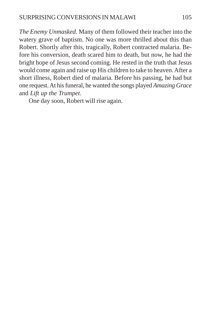*The Enemy Unmasked*. Many of them followed their teacher into the watery grave of baptism. No one was more thrilled about this than Robert. Shortly after this, tragically, Robert contracted malaria. Before his conversion, death scared him to death, but now, he had the bright hope of Jesus second coming. He rested in the truth that Jesus would come again and raise up His children to take to heaven. After a short illness, Robert died of malaria. Before his passing, he had but one request. At his funeral, he wanted the songs played *Amazing Grace* and *Lift up the Trumpet*.

One day soon, Robert will rise again.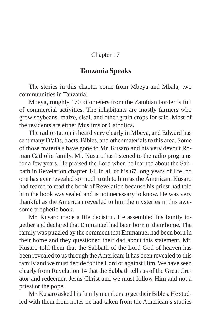### Chapter 17

## **Tanzania Speaks**

The stories in this chapter come from Mbeya and Mbala, two commuunities in Tanzania.

Mbeya, roughly 170 kilometers from the Zambian border is full of commercial activities. The inhabitants are mostly farmers who grow soybeans, maize, sisal, and other grain crops for sale. Most of the residents are either Muslims or Catholics.

The radio station is heard very clearly in Mbeya, and Edward has sent many DVDs, tracts, Bibles, and other materials to this area. Some of those materials have gone to Mr. Kusaro and his very devout Roman Catholic family. Mr. Kusaro has listened to the radio programs for a few years. He praised the Lord when he learned about the Sabbath in Revelation chapter 14. In all of his 67 long years of life, no one has ever revealed so much truth to him as the American. Kusaro had feared to read the book of Revelation because his priest had told him the book was sealed and is not necessary to know. He was very thankful as the American revealed to him the mysteries in this awesome prophetic book.

Mr. Kusaro made a life decision. He assembled his family together and declared that Emmanuel had been born in their home. The family was puzzled by the comment that Emmanuel had been born in their home and they questioned their dad about this statement. Mr. Kusaro told them that the Sabbath of the Lord God of heaven has been revealed to us through the American; it has been revealed to this family and we must decide for the Lord or against Him. We have seen clearly from Revelation 14 that the Sabbath tells us of the Great Creator and redeemer, Jesus Christ and we must follow Him and not a priest or the pope.

Mr. Kusaro asked his family members to get their Bibles. He studied with them from notes he had taken from the American's studies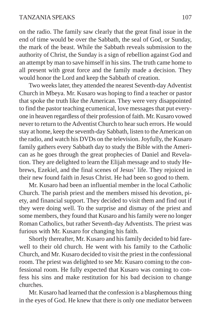on the radio. The family saw clearly that the great final issue in the end of time would be over the Sabbath, the seal of God, or Sunday, the mark of the beast. While the Sabbath reveals submission to the authority of Christ, the Sunday is a sign of rebellion against God and an attempt by man to save himself in his sins. The truth came home to all present with great force and the family made a decision. They would honor the Lord and keep the Sabbath of creation.

Two weeks later, they attended the nearest Seventh-day Adventist Church in Mbeya. Mr. Kusaro was hoping to find a teacher or pastor that spoke the truth like the American. They were very disappointed to find the pastor teaching ecumenical, love messages that put everyone in heaven regardless of their profession of faith. Mr. Kusaro vowed never to return to the Adventist Church to hear such errors. He would stay at home, keep the seventh-day Sabbath, listen to the American on the radio, and watch his DVDs on the television. Joyfully, the Kusaro family gathers every Sabbath day to study the Bible with the American as he goes through the great prophecies of Daniel and Revelation. They are delighted to learn the Elijah message and to study Hebrews, Ezekiel, and the final scenes of Jesus' life. They rejoiced in their new found faith in Jesus Christ. He had been so good to them.

Mr. Kusaro had been an influential member in the local Catholic Church. The parish priest and the members missed his devotion, piety, and financial support. They decided to visit them and find out if they were doing well. To the surprise and dismay of the priest and some members, they found that Kusaro and his family were no longer Roman Catholics, but rather Seventh-day Adventists. The priest was furious with Mr. Kusaro for changing his faith.

Shortly thereafter, Mr. Kusaro and his family decided to bid farewell to their old church. He went with his family to the Catholic Church, and Mr. Kusaro decided to visit the priest in the confessional room. The priest was delighted to see Mr. Kusaro coming to the confessional room. He fully expected that Kusaro was coming to confess his sins and make restitution for his bad decision to change churches.

Mr. Kusaro had learned that the confession is a blasphemous thing in the eyes of God. He knew that there is only one mediator between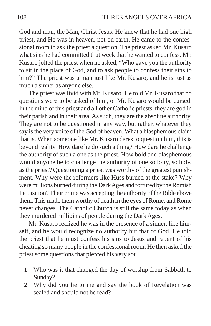God and man, the Man, Christ Jesus. He knew that he had one high priest, and He was in heaven, not on earth. He came to the confessional room to ask the priest a question. The priest asked Mr. Kusaro what sins he had committed that week that he wanted to confess. Mr. Kusaro jolted the priest when he asked, "Who gave you the authority to sit in the place of God, and to ask people to confess their sins to him?" The priest was a man just like Mr. Kusaro, and he is just as much a sinner as anyone else.

The priest was livid with Mr. Kusaro. He told Mr. Kusaro that no questions were to be asked of him, or Mr. Kusaro would be cursed. In the mind of this priest and all other Catholic priests, they are god in their parish and in their area. As such, they are the absolute authority. They are not to be questioned in any way, but rather, whatever they say is the very voice of the God of heaven. What a blasphemous claim that is. When someone like Mr. Kusaro dares to question him, this is beyond reality. How dare he do such a thing? How dare he challenge the authority of such a one as the priest. How bold and blasphemous would anyone be to challenge the authority of one so lofty, so holy, as the priest? Questioning a priest was worthy of the greatest punishment. Why were the reformers like Huss burned at the stake? Why were millions burned during the Dark Ages and tortured by the Romish Inquisition? Their crime was accepting the authority of the Bible above them. This made them worthy of death in the eyes of Rome, and Rome never changes. The Catholic Church is still the same today as when they murdered millioins of people during the Dark Ages.

Mr. Kusaro realized he was in the presence of a sinner, like himself, and he would recognize no authority but that of God. He told the priest that he must confess his sins to Jesus and repent of his cheating so many people in the confessional room. He then asked the priest some questions that pierced his very soul.

- 1. Who was it that changed the day of worship from Sabbath to Sunday?
- 2. Why did you lie to me and say the book of Revelation was sealed and should not be read?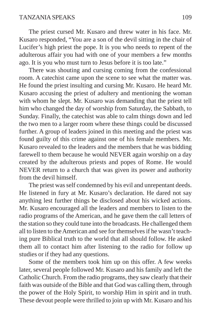The priest cursed Mr. Kusaro and threw water in his face. Mr. Kusaro responded, "You are a son of the devil sitting in the chair of Lucifer's high priest the pope. It is you who needs to repent of the adulterous affair you had with one of your members a few months ago. It is you who must turn to Jesus before it is too late."

There was shouting and cursing coming from the confessional room. A catechist came upon the scene to see what the matter was. He found the priest insulting and cursing Mr. Kusaro. He heard Mr. Kusaro accusing the priest of adultery and mentioning the woman with whom he slept. Mr. Kusaro was demanding that the priest tell him who changed the day of worship from Saturday, the Sabbath, to Sunday. Finally, the catechist was able to calm things down and led the two men to a larger room where these things could be discussed further. A group of leaders joined in this meeting and the priest was found guilty of this crime against one of his female members. Mr. Kusaro revealed to the leaders and the members that he was bidding farewell to them because he would NEVER again worship on a day created by the adulterous priests and popes of Rome. He would NEVER return to a church that was given its power and authority from the devil himself.

The priest was self condemned by his evil and unrepentant deeds. He listened in fury at Mr. Kusaro's declaration. He dared not say anything lest further things be disclosed about his wicked actions. Mr. Kusaro encouraged all the leaders and members to listen to the radio programs of the American, and he gave them the call letters of the station so they could tune into the broadcasts. He challenged them all to listen to the American and see for themselves if he wasn't teaching pure Biblical truth to the world that all should follow. He asked them all to contact him after listening to the radio for follow up studies or if they had any questions.

Some of the members took him up on this offer. A few weeks later, several people followed Mr. Kusaro and his family and left the Catholic Church. From the radio programs, they saw clearly that their faith was outside of the Bible and that God was calling them, through the power of the Holy Spirit, to worship Him in spirit and in truth. These devout people were thrilled to join up with Mr. Kusaro and his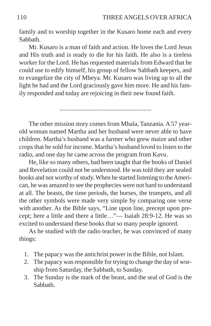family and to worship together in the Kusaro home each and every Sabbath.

Mr. Kusaro is a man of faith and action. He loves the Lord Jesus and His truth and is ready to die for his faith. He also is a tireless worker for the Lord. He has requested materials from Edward that he could use to edify himself, his group of fellow Sabbath keepers, and to evangelize the city of Mbeya. Mr. Kusaro was living up to all the light he had and the Lord graciously gave him more. He and his family responded and today are rejoicing in their new found faith.

The other mission story comes from Mbala, Tanzania. A 57 yearold woman named Martha and her husband were never able to have children. Martha's husband was a farmer who grew maize and other crops that he sold for income. Martha's husband loved to listen to the radio, and one day he came across the program from Kavu.

............................................................

He, like so many others, had been taught that the books of Daniel and Revelation could not be understood. He was told they are sealed books and not worthy of study. When he started listening to the American, he was amazed to see the prophecies were not hard to understand at all. The beasts, the time periods, the horses, the trumpets, and all the other symbols were made very simple by comparing one verse with another. As the Bible says, "Line upon line, precept upon precept; here a little and there a little…"— Isaiah 28:9-12. He was so excited to understand these books that so many people ignored.

As he studied with the radio teacher, he was convinced of many things:

- 1. The papacy was the antichrist power in the Bible, not Islam.
- 2. The papacy was responsible for trying to change the day of worship from Saturday, the Sabbath, to Sunday.
- 3. The Sunday is the mark of the beast, and the seal of God is the Sabbath.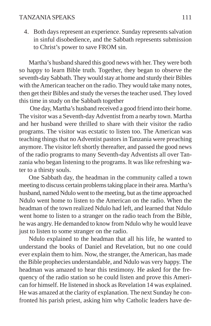#### TANZANIA SPEAKS

4. Both days represent an experience. Sunday represents salvation in sinful disobedience, and the Sabbath represents submission to Christ's power to save FROM sin.

Martha's husband shared this good news with her. They were both so happy to learn Bible truth. Together, they began to observe the seventh-day Sabbath. They would stay at home and sturdy their Bibles with the American teacher on the radio. They would take many notes, then get their Bibles and study the verses the teacher used. They loved this time in study on the Sabbath together

 One day, Martha's husband received a good friend into their home. The visitor was a Seventh-day Adventist from a nearby town. Martha and her husband were thrilled to share with their visitor the radio programs. The visitor was ecstatic to listen too. The American was teaching things that no Adventist pastors in Tanzania were preaching anymore. The visitor left shortly thereafter, and passed the good news of the radio programs to many Seventh-day Adventists all over Tanzania who began listening to the programs. It was like refreshing water to a thirsty souls.

One Sabbath day, the headman in the community called a town meeting to discuss certain problems taking place in their area. Martha's husband, named Ndulo went to the meeting, but as the time approached Ndulo went home to listen to the American on the radio. When the headman of the town realized Ndulo had left, and learned that Ndulo went home to listen to a stranger on the radio teach from the Bible, he was angry. He demanded to know from Ndulo why he would leave just to listen to some stranger on the radio.

Ndulo explained to the headman that all his life, he wanted to understand the books of Daniel and Revelation, but no one could ever explain them to him. Now, the stranger, the American, has made the Bible prophecies understandable, and Ndulo was very happy. The headman was amazed to hear this testimony. He asked for the frequency of the radio station so he could listen and prove this American for himself. He listened in shock as Revelation 14 was explained. He was amazed at the clarity of explanation. The next Sunday he confronted his parish priest, asking him why Catholic leaders have de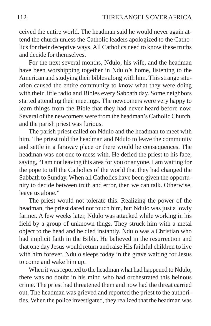ceived the entire world. The headman said he would never again attend the church unless the Catholic leaders apologized to the Catholics for their deceptive ways. All Catholics need to know these truths and decide for themselves.

For the next several months, Ndulo, his wife, and the headman have been worshipping together in Ndulo's home, listening to the American and studying their bibles along with him. This strange situation caused the entire community to know what they were doing with their little radio and Bibles every Sabbath day. Some neighbors started attending their meetings. The newcomers were very happy to learn things from the Bible that they had never heard before now. Several of the newcomers were from the headman's Catholic Church, and the parish priest was furious.

The parish priest called on Ndulo and the headman to meet with him. The priest told the headman and Ndulo to leave the community and settle in a faraway place or there would be consequences. The headman was not one to mess with. He defied the priest to his face, saying, "I am not leaving this area for you or anyone. I am waiting for the pope to tell the Catholics of the world that they had changed the Sabbath to Sunday. When all Catholics have been given the opportunity to decide between truth and error, then we can talk. Otherwise, leave us alone."

The priest would not tolerate this. Realizing the power of the headman, the priest dared not touch him, but Ndulo was just a lowly farmer. A few weeks later, Ndulo was attacked while working in his field by a group of unknown thugs. They struck him with a metal object to the head and he died instantly. Ndulo was a Christian who had implicit faith in the Bible. He believed in the resurrection and that one day Jesus would return and raise His faithful children to live with him forever. Ndulo sleeps today in the grave waiting for Jesus to come and wake him up.

When it was reported to the headman what had happened to Ndulo, there was no doubt in his mind who had orchestrated this heinous crime. The priest had threatened them and now had the threat carried out. The headman was grieved and reported the priest to the authorities. When the police investigated, they realized that the headman was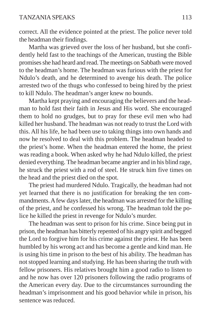correct. All the evidence pointed at the priest. The police never told the headman their findings.

Martha was grieved over the loss of her husband, but she confidently held fast to the teachings of the American, trusting the Bible promises she had heard and read. The meetings on Sabbath were moved to the headman's home. The headman was furious with the priest for Ndulo's death, and he determined to avenge his death. The police arrested two of the thugs who confessed to being hired by the priest to kill Ndulo. The headman's anger knew no bounds.

Martha kept praying and encouraging the believers and the headman to hold fast their faith in Jesus and His word. She encouraged them to hold no grudges, but to pray for these evil men who had killed her husband. The headman was not ready to trust the Lord with this. All his life, he had been use to taking things into own hands and now he resolved to deal with this problem. The headman headed to the priest's home. When the headman entered the home, the priest was reading a book. When asked why he had Ndulo killed, the priest denied everything. The headman became angrier and in his blind rage, he struck the priest with a rod of steel. He struck him five times on the head and the priest died on the spot.

The priest had murdered Ndulo. Tragically, the headman had not yet learned that there is no justification for breaking the ten commandments. A few days later, the headman was arrested for the killing of the priest, and he confessed his wrong. The headman told the police he killed the priest in revenge for Ndulo's murder.

The headman was sent to prison for his crime. Since being put in prison, the headman has bitterly repented of his angry spirit and begged the Lord to forgive him for his crime against the priest. He has been humbled by his wrong act and has become a gentle and kind man. He is using his time in prison to the best of his ability. The headman has not stopped learning and studying. He has been sharing the truth with fellow prisoners. His relatives brought him a good radio to listen to and he now has over 120 prisoners following the radio programs of the American every day. Due to the circumstances surrounding the headman's imprisonment and his good behavior while in prison, his sentence was reduced.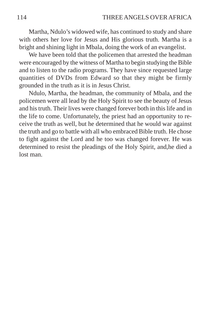Martha, Ndulo's widowed wife, has continued to study and share with others her love for Jesus and His glorious truth. Martha is a bright and shining light in Mbala, doing the work of an evangelist.

We have been told that the policemen that arrested the headman were encouraged by the witness of Martha to begin studying the Bible and to listen to the radio programs. They have since requested large quantities of DVDs from Edward so that they might be firmly grounded in the truth as it is in Jesus Christ.

Ndulo, Martha, the headman, the community of Mbala, and the policemen were all lead by the Holy Spirit to see the beauty of Jesus and his truth. Their lives were changed forever both in this life and in the life to come. Unfortunately, the priest had an opportunity to receive the truth as well, but he determined that he would war against the truth and go to battle with all who embraced Bible truth. He chose to fight against the Lord and he too was changed forever. He was determined to resist the pleadings of the Holy Spirit, and,he died a lost man.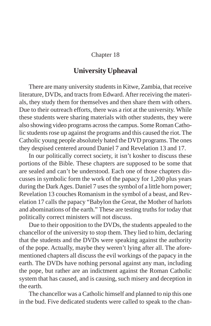## Chapter 18

# **University Upheaval**

There are many university students in Kitwe, Zambia, that receive literature, DVDs, and tracts from Edward. After receiving the materials, they study them for themselves and then share them with others. Due to their outreach efforts, there was a riot at the university. While these students were sharing materials with other students, they were also showing video programs across the campus. Some Roman Catholic students rose up against the programs and this caused the riot. The Catholic young people absolutely hated the DVD programs. The ones they despised centered around Daniel 7 and Revelation 13 and 17.

In our politically correct society, it isn't kosher to discuss these portions of the Bible. These chapters are supposed to be some that are sealed and can't be understood. Each one of those chapters discusses in symbolic form the work of the papacy for 1,200 plus years during the Dark Ages. Daniel 7 uses the symbol of a little horn power; Revelation 13 couches Romanism in the symbol of a beast, and Revelation 17 calls the papacy "Babylon the Great, the Mother of harlots and abominations of the earth." These are testing truths for today that politically correct ministers will not discuss.

Due to their opposition to the DVDs, the students appealed to the chancellor of the university to stop them. They lied to him, declaring that the students and the DVDs were speaking against the authority of the pope. Actually, maybe they weren't lying after all. The aforementioned chapters all discuss the evil workings of the papacy in the earth. The DVDs have nothing personal against any man, including the pope, but rather are an indictment against the Roman Catholic system that has caused, and is causing, such misery and deception in the earth.

The chancellor was a Catholic himself and planned to nip this one in the bud. Five dedicated students were called to speak to the chan-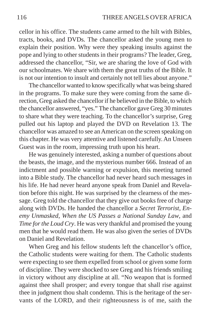cellor in his office. The students came armed to the hilt with Bibles, tracts, books, and DVDs. The chancellor asked the young men to explain their position. Why were they speaking insults against the pope and lying to other students in their programs? The leader, Greg, addressed the chancellor, "Sir, we are sharing the love of God with our schoolmates. We share with them the great truths of the Bible. It is not our intention to insult and certainly not tell lies about anyone."

The chancellor wanted to know specifically what was being shared in the programs. To make sure they were coming from the same direction, Greg asked the chancellor if he believed in the Bible, to which the chancellor answered, "yes." The chancellor gave Greg 30 minutes to share what they were teaching. To the chancellor's surprise, Greg pulled out his laptop and played the DVD on Revelation 13. The chancellor was amazed to see an American on the screen speaking on this chapter. He was very attentive and listened carefully. An Unseen Guest was in the room, impressing truth upon his heart.

He was genuinely interested, asking a number of questions about the beasts, the image, and the mysterious number 666. Instead of an indictment and possible warning or expulsion, this meeting turned into a Bible study. The chancellor had never heard such messages in his life. He had never heard anyone speak from Daniel and Revelation before this night. He was surprised by the clearness of the message. Greg told the chancellor that they give out books free of charge along with DVDs. He handed the chancellor a *Secret Terrorist*, *Enemy Unmasked*, *When the US Passes a National Sunday Law*, and *Time for the Loud Cry*. He was very thankful and promised the young men that he would read them. He was also given the series of DVDs on Daniel and Revelation.

When Greg and his fellow students left the chancellor's office, the Catholic students were waiting for them. The Catholic students were expecting to see them expelled from school or given some form of discipline. They were shocked to see Greg and his friends smiling in victory without any discipline at all. "No weapon that is formed against thee shall prosper; and every tongue that shall rise against thee in judgment thou shalt condemn. This is the heritage of the servants of the LORD, and their righteousness is of me, saith the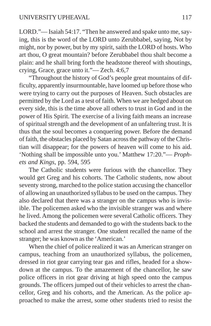LORD."— Isaiah 54:17. "Then he answered and spake unto me, saying, this is the word of the LORD unto Zerubbabel, saying, Not by might, nor by power, but by my spirit, saith the LORD of hosts. Who art thou, O great mountain? before Zerubbabel thou shalt become a plain: and he shall bring forth the headstone thereof with shoutings, crying, Grace, grace unto it."— Zech. 4:6,7

"Throughout the history of God's people great mountains of difficulty, apparently insurmountable, have loomed up before those who were trying to carry out the purposes of Heaven. Such obstacles are permitted by the Lord as a test of faith. When we are hedged about on every side, this is the time above all others to trust in God and in the power of His Spirit. The exercise of a living faith means an increase of spiritual strength and the development of an unfaltering trust. It is thus that the soul becomes a conquering power. Before the demand of faith, the obstacles placed by Satan across the pathway of the Christian will disappear; for the powers of heaven will come to his aid. 'Nothing shall be impossible unto you.' Matthew 17:20."— *Prophets and Kings*, pp. 594, 595

The Catholic students were furious with the chancellor. They would get Greg and his cohorts. The Catholic students, now about seventy strong, marched to the police station accusing the chancellor of allowing an unauthorized syllabus to be used on the campus. They also declared that there was a stranger on the campus who is invisible. The policemen asked who the invisible stranger was and where he lived. Among the policemen were several Catholic officers. They backed the students and demanded to go with the students back to the school and arrest the stranger. One student recalled the name of the stranger; he was known as the 'American.'

When the chief of police realized it was an American stranger on campus, teaching from an unauthorized syllabus, the policemen, dressed in riot gear carrying tear gas and rifles, headed for a showdown at the campus. To the amazement of the chancellor, he saw police officers in riot gear driving at high speed onto the campus grounds. The officers jumped out of their vehicles to arrest the chancellor, Greg and his cohorts, and the American. As the police approached to make the arrest, some other students tried to resist the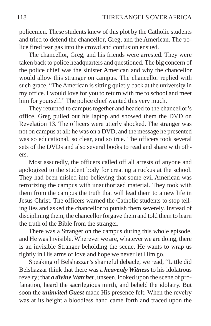policemen. These students knew of this plot by the Catholic students and tried to defend the chancellor, Greg, and the American. The police fired tear gas into the crowd and confusion ensued.

The chancellor, Greg, and his friends were arrested. They were taken back to police headquarters and questioned. The big concern of the police chief was the sinister American and why the chancellor would allow this stranger on campus. The chancellor replied with such grace, "The American is sitting quietly back at the university in my office. I would love for you to return with me to school and meet him for yourself." The police chief wanted this very much.

They returned to campus together and headed to the chancellor's office. Greg pulled out his laptop and showed them the DVD on Revelation 13. The officers were utterly shocked. The stranger was not on campus at all; he was on a DVD, and the message he presented was so educational, so clear, and so true. The officers took several sets of the DVDs and also several books to read and share with others.

Most assuredly, the officers called off all arrests of anyone and apologized to the student body for creating a ruckus at the school. They had been misled into believing that some evil American was terrorizing the campus with unauthorized material. They took with them from the campus the truth that will lead them to a new life in Jesus Christ. The officers warned the Catholic students to stop telling lies and asked the chancellor to punish them severely. Instead of disciplining them, the chancellor forgave them and told them to learn the truth of the Bible from the stranger.

There was a Stranger on the campus during this whole episode, and He was Invisible. Wherever we are, whatever we are doing, there is an invisible Stranger beholding the scene. He wants to wrap us tightly in His arms of love and hope we never let Him go.

Speaking of Belshazzar's shameful debacle, we read, "Little did Belshazzar think that there was a *heavenly Witness* to his idolatrous revelry; that *a divine Watcher*, unseen, looked upon the scene of profanation, heard the sacrilegious mirth, and beheld the idolatry. But soon the *uninvited Guest* made His presence felt. When the revelry was at its height a bloodless hand came forth and traced upon the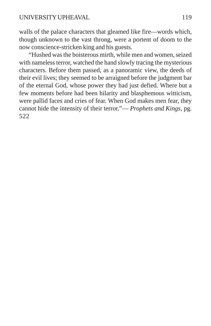walls of the palace characters that gleamed like fire—words which, though unknown to the vast throng, were a portent of doom to the now conscience-stricken king and his guests.

"Hushed was the boisterous mirth, while men and women, seized with nameless terror, watched the hand slowly tracing the mysterious characters. Before them passed, as a panoramic view, the deeds of their evil lives; they seemed to be arraigned before the judgment bar of the eternal God, whose power they had just defied. Where but a few moments before had been hilarity and blasphemous witticism, were pallid faces and cries of fear. When God makes men fear, they cannot hide the intensity of their terror."— *Prophets and Kings*, pg. 522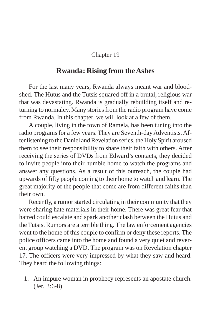## Chapter 19

# **Rwanda: Rising from the Ashes**

For the last many years, Rwanda always meant war and bloodshed. The Hutus and the Tutsis squared off in a brutal, religious war that was devastating. Rwanda is gradually rebuilding itself and returning to normalcy. Many stories from the radio program have come from Rwanda. In this chapter, we will look at a few of them.

A couple, living in the town of Ramela, has been tuning into the radio programs for a few years. They are Seventh-day Adventists. After listening to the Daniel and Revelation series, the Holy Spirit aroused them to see their responsibility to share their faith with others. After receiving the series of DVDs from Edward's contacts, they decided to invite people into their humble home to watch the programs and answer any questions. As a result of this outreach, the couple had upwards of fifty people coming to their home to watch and learn. The great majority of the people that come are from different faiths than their own.

Recently, a rumor started circulating in their community that they were sharing hate materials in their home. There was great fear that hatred could escalate and spark another clash between the Hutus and the Tutsis. Rumors are a terrible thing. The law enforcement agencies went to the home of this couple to confirm or deny these reports. The police officers came into the home and found a very quiet and reverent group watching a DVD. The program was on Revelation chapter 17. The officers were very impressed by what they saw and heard. They heard the following things:

1. An impure woman in prophecy represents an apostate church. (Jer. 3:6-8)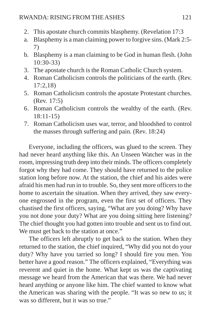- 2. This apostate church commits blasphemy. (Revelation 17:3
- a. Blasphemy is a man claiming power to forgive sins. (Mark 2:5- 7)
- b. Blasphemy is a man claiming to be God in human flesh. (John 10:30-33)
- 3. The apostate church is the Roman Catholic Church system.
- 4. Roman Catholicism controls the politicians of the earth. (Rev. 17:2,18)
- 5. Roman Catholicism controls the apostate Protestant churches. (Rev. 17:5)
- 6. Roman Catholicism controls the wealthy of the earth. (Rev. 18:11-15)
- 7. Roman Catholicism uses war, terror, and bloodshed to control the masses through suffering and pain. (Rev. 18:24)

Everyone, including the officers, was glued to the screen. They had never heard anything like this. An Unseen Watcher was in the room, impressing truth deep into their minds. The officers completely forgot why they had come. They should have returned to the police station long before now. At the station, the chief and his aides were afraid his men had run in to trouble. So, they sent more officers to the home to ascertain the situation. When they arrived, they saw everyone engrossed in the program, even the first set of officers. They chastised the first officers, saying, "What are you doing? Why have you not done your duty? What are you doing sitting here listening? The chief thought you had gotten into trouble and sent us to find out. We must get back to the station at once."

The officers left abruptly to get back to the station. When they returned to the station, the chief inquired, "Why did you not do your duty? Why have you tarried so long? I should fire you men. You better have a good reason." The officers explained, "Everything was reverent and quiet in the home. What kept us was the captivating message we heard from the American that was there. We had never heard anything or anyone like him. The chief wanted to know what the American was sharing with the people. "It was so new to us; it was so different, but it was so true."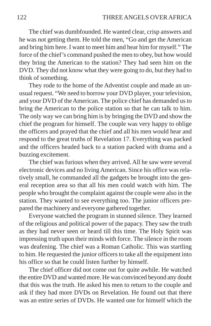The chief was dumbfounded. He wanted clear, crisp answers and he was not getting them. He told the men, "Go and get the American and bring him here. I want to meet him and hear him for myself." The force of the chief's command pushed the men to obey, but how would they bring the American to the station? They had seen him on the DVD. They did not know what they were going to do, but they had to think of something.

They rode to the home of the Adventist couple and made an unusual request. "We need to borrow your DVD player, your television, and your DVD of the American. The police chief has demanded us to bring the American to the police station so that he can talk to him. The only way we can bring him is by bringing the DVD and show the chief the program for himself. The couple was very happy to oblige the officers and prayed that the chief and all his men would hear and respond to the great truths of Revelation 17. Everything was packed and the officers headed back to a station packed with drama and a buzzing excitement.

The chief was furious when they arrived. All he saw were several electronic devices and no living American. Since his office was relatively small, he commanded all the gadgets be brought into the general reception area so that all his men could watch with him. The people who brought the complaint against the couple were also in the station. They wanted to see everything too. The junior officers prepared the machinery and everyone gathered together.

Everyone watched the program in stunned silence. They learned of the religious and political power of the papacy. They saw the truth as they had never seen or heard till this time. The Holy Spirit was impressing truth upon their minds with force. The silence in the room was deafening. The chief was a Roman Catholic. This was startling to him. He requested the junior officers to take all the equipment into his office so that he could listen further by himself.

The chief officer did not come out for quite awhile. He watched the entire DVD and wanted more. He was convinced beyond any doubt that this was the truth. He asked his men to return to the couple and ask if they had more DVDs on Revelation. He found out that there was an entire series of DVDs. He wanted one for himself which the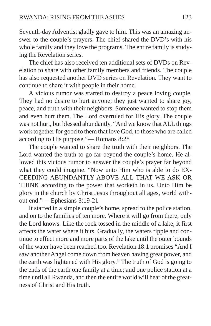Seventh-day Adventist gladly gave to him. This was an amazing answer to the couple's prayers. The chief shared the DVD's with his whole family and they love the programs. The entire family is studying the Revelation series.

The chief has also received ten additional sets of DVDs on Revelation to share with other family members and friends. The couple has also requested another DVD series on Revelation. They want to continue to share it with people in their home.

A vicious rumor was started to destroy a peace loving couple. They had no desire to hurt anyone; they just wanted to share joy, peace, and truth with their neighbors. Someone wanted to stop them and even hurt them. The Lord overruled for His glory. The couple was not hurt, but blessed abundantly. "And we know that ALL things work together for good to them that love God, to those who are called according to His purpose."— Romans 8:28

The couple wanted to share the truth with their neighbors. The Lord wanted the truth to go far beyond the couple's home. He allowed this vicious rumor to answer the couple's prayer far beyond what they could imagine. "Now unto Him who is able to do EX-CEEDING ABUNDANTLY ABOVE ALL THAT WE ASK OR THINK according to the power that worketh in us. Unto Him be glory in the church by Christ Jesus throughout all ages, world without end."— Ephesians 3:19-21

It started in a simple couple's home, spread to the police station, and on to the families of ten more. Where it will go from there, only the Lord knows. Like the rock tossed in the middle of a lake, it first affects the water where it hits. Gradually, the waters ripple and continue to effect more and more parts of the lake until the outer bounds of the water have been reached too. Revelation 18:1 promises "And I saw another Angel come down from heaven having great power, and the earth was lightened with His glory." The truth of God is going to the ends of the earth one family at a time; and one police station at a time until all Rwanda, and then the entire world will hear of the greatness of Christ and His truth.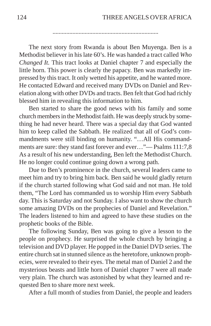The next story from Rwanda is about Ben Muyenga. Ben is a Methodist believer in his late 60's. He was handed a tract called *Who Changed It.* This tract looks at Daniel chapter 7 and especially the little horn. This power is clearly the papacy. Ben was markedly impressed by this tract. It only wetted his appetite, and he wanted more. He contacted Edward and received many DVDs on Daniel and Revelation along with other DVDs and tracts. Ben felt that God had richly blessed him in revealing this information to him.

.....................................................................

Ben started to share the good news with his family and some church members in the Methodist faith. He was deeply struck by something he had never heard. There was a special day that God wanted him to keep called the Sabbath. He realized that all of God's commandments were still binding on humanity. "…All His commandments are sure: they stand fast forever and ever…"— Psalms 111:7,8 As a result of his new understanding, Ben left the Methodist Church. He no longer could continue going down a wrong path.

Due to Ben's prominence in the church, several leaders came to meet him and try to bring him back. Ben said he would gladly return if the church started following what God said and not man. He told them, "The Lord has commanded us to worship Him every Sabbath day. This is Saturday and not Sunday. I also want to show the church some amazing DVDs on the prophecies of Daniel and Revelation." The leaders listened to him and agreed to have these studies on the prophetic books of the Bible.

The following Sunday, Ben was going to give a lesson to the people on prophecy. He surprised the whole church by bringing a television and DVD player. He popped in the Daniel DVD series. The entire church sat in stunned silence as the heretofore, unknown prophecies, were revealed to their eyes. The metal man of Daniel 2 and the mysterious beasts and little horn of Daniel chapter 7 were all made very plain. The church was astonished by what they learned and requested Ben to share more next week.

After a full month of studies from Daniel, the people and leaders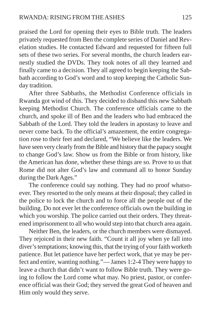praised the Lord for opening their eyes to Bible truth. The leaders privately requested from Ben the complete series of Daniel and Revelation studies. He contacted Edward and requested for fifteen full sets of these two series. For several months, the church leaders earnestly studied the DVDs. They took notes of all they learned and finally came to a decision. They all agreed to begin keeping the Sabbath according to God's word and to stop keeping the Catholic Sunday tradition.

After three Sabbaths, the Methodist Conference officials in Rwanda got wind of this. They decided to disband this new Sabbath keeping Methodist Church. The conference officials came to the church, and spoke ill of Ben and the leaders who had embraced the Sabbath of the Lord. They told the leaders in apostasy to leave and never come back. To the official's amazement, the entire congregation rose to their feet and declared, "We believe like the leaders. We have seen very clearly from the Bible and history that the papacy sought to change God's law. Show us from the Bible or from history, like the American has done, whether these things are so. Prove to us that Rome did not alter God's law and command all to honor Sunday during the Dark Ages."

The conference could say nothing. They had no proof whatsoever. They resorted to the only means at their disposal; they called in the police to lock the church and to force all the people out of the building. Do not ever let the conference officials own the building in which you worship. The police carried out their orders. They threatened imprisonment to all who would step into that church area again.

Neither Ben, the leaders, or the church members were dismayed. They rejoiced in their new faith. "Count it all joy when ye fall into diver's temptations; knowing this, that the trying of your faith worketh patience. But let patience have her perfect work, that ye may be perfect and entire, wanting nothing."— James 1:2-4 They were happy to leave a church that didn't want to follow Bible truth. They were going to follow the Lord come what may. No priest, pastor, or conference official was their God; they served the great God of heaven and Him only would they serve.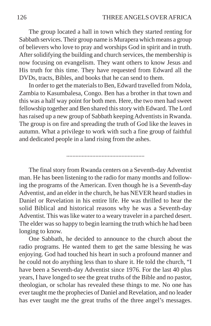The group located a hall in town which they started renting for Sabbath services. Their group name is Murapera which means a group of believers who love to pray and worships God in spirit and in truth. After solidifying the building and church services, the membership is now focusing on evangelism. They want others to know Jesus and His truth for this time. They have requested from Edward all the DVDs, tracts, Bibles, and books that he can send to them.

In order to get the materials to Ben, Edward travelled from Ndola, Zambia to Kasumbalesa, Congo. Ben has a brother in that town and this was a half way point for both men. Here, the two men had sweet fellowship together and Ben shared this story with Edward. The Lord has raised up a new group of Sabbath keeping Adventists in Rwanda. The group is on fire and spreading the truth of God like the leaves in autumn. What a privilege to work with such a fine group of faithful and dedicated people in a land rising from the ashes.

...................................................

The final story from Rwanda centers on a Seventh-day Adventist man. He has been listening to the radio for many months and following the programs of the American. Even though he is a Seventh-day Adventist, and an elder in the church, he has NEVER heard studies in Daniel or Revelation in his entire life. He was thrilled to hear the solid Biblical and historical reasons why he was a Seventh-day Adventist. This was like water to a weary traveler in a parched desert. The elder was so happy to begin learning the truth which he had been longing to know.

One Sabbath, he decided to announce to the church about the radio programs. He wanted them to get the same blessing he was enjoying. God had touched his heart in such a profound manner and he could not do anything less than to share it. He told the church, "I have been a Seventh-day Adventist since 1976. For the last 40 plus years, I have longed to see the great truths of the Bible and no pastor, theologian, or scholar has revealed these things to me. No one has ever taught me the prophecies of Daniel and Revelation, and no leader has ever taught me the great truths of the three angel's messages.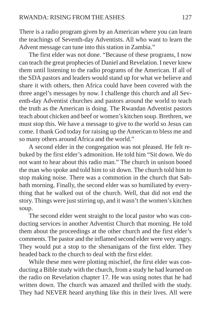There is a radio program given by an American where you can learn the teachings of Seventh-day Adventists. All who want to learn the Advent message can tune into this station in Zambia."

The first elder was not done. "Because of these programs, I now can teach the great prophecies of Daniel and Revelation. I never knew them until listening to the radio programs of the American. If all of the SDA pastors and leaders would stand up for what we believe and share it with others, then Africa could have been covered with the three angel's messages by now. I challenge this church and all Seventh-day Adventist churches and pastors around the world to teach the truth as the American is doing. The Rwandan Adventist pastors teach about chicken and beef or women's kitchen soup. Brethren, we must stop this. We have a message to give to the world so Jesus can come. I thank God today for raising up the American to bless me and so many others around Africa and the world."

A second elder in the congregation was not pleased. He felt rebuked by the first elder's admonition. He told him "Sit down. We do not want to hear about this radio man." The church in unison booed the man who spoke and told him to sit down. The church told him to stop making noise. There was a commotion in the church that Sabbath morning. Finally, the second elder was so humiliated by everything that he walked out of the church. Well, that did not end the story. Things were just stirring up, and it wasn't the women's kitchen soup.

The second elder went straight to the local pastor who was conducting services in another Adventist Church that morning. He told them about the proceedings at the other church and the first elder's comments. The pastor and the inflamed second elder were very angry. They would put a stop to the shenanigans of the first elder. They headed back to the church to deal with the first elder.

While these men were plotting mischief, the first elder was conducting a Bible study with the church, from a study he had learned on the radio on Revelation chapter 17. He was using notes that he had written down. The church was amazed and thrilled with the study. They had NEVER heard anything like this in their lives. All were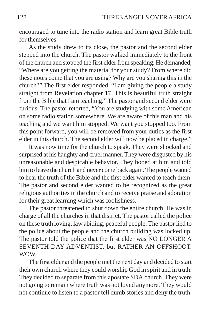encouraged to tune into the radio station and learn great Bible truth for themselves.

As the study drew to its close, the pastor and the second elder stepped into the church. The pastor walked immediately to the front of the church and stopped the first elder from speaking. He demanded, "Where are you getting the material for your study? From where did these notes come that you are using? Why are you sharing this in the church?" The first elder responded, "I am giving the people a study straight from Revelation chapter 17. This is beautiful truth straight from the Bible that I am teaching." The pastor and second elder were furious. The pastor retorted, "You are studying with some American on some radio station somewhere. We are aware of this man and his teaching and we want him stopped. We want you stopped too. From this point forward, you will be removed from your duties as the first elder in this church. The second elder will now be placed in charge."

It was now time for the church to speak. They were shocked and surprised at his haughty and cruel manner. They were disgusted by his unreasonable and despicable behavior. They booed at him and told him to leave the church and never come back again. The people wanted to hear the truth of the Bible and the first elder wanted to teach them. The pastor and second elder wanted to be recognized as the great religious authorities in the church and to receive praise and adoration for their great learning which was foolishness.

The pastor threatened to shut down the entire church. He was in charge of all the churches in that district. The pastor called the police on these truth loving, law abiding, peaceful people. The pastor lied to the police about the people and the church building was locked up. The pastor told the police that the first elder was NO LONGER A SEVENTH-DAY ADVENTIST, but RATHER AN OFFSHOOT. WOW.

The first elder and the people met the next day and decided to start their own church where they could worship God in spirit and in truth. They decided to separate from this apostate SDA church. They were not going to remain where truth was not loved anymore. They would not continue to listen to a pastor tell dumb stories and deny the truth.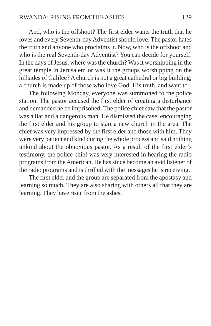And, who is the offshoot? The first elder wants the truth that he loves and every Seventh-day Adventist should love. The pastor hates the truth and anyone who proclaims it. Now, who is the offshoot and who is the real Seventh-day Adventist? You can decide for yourself. In the days of Jesus, where was the church? Was it worshipping in the great temple in Jerusalem or was it the groups worshipping on the hillsides of Galilee? A church is not a great cathedral or big building; a church is made up of those who love God, His truth, and want to

The following Monday, everyone was summoned to the police station. The pastor accused the first elder of creating a disturbance and demanded he be imprisoned. The police chief saw that the pastor was a liar and a dangerous man. He dismissed the case, encouraging the first elder and his group to start a new church in the area. The chief was very impressed by the first elder and those with him. They were very patient and kind during the whole process and said nothing unkind about the obnoxious pastor. As a result of the first elder's testimony, the police chief was very interested in hearing the radio programs from the American. He has since become an avid listener of the radio programs and is thrilled with the messages he is receiving.

The first elder and the group are separated from the apostasy and learning so much. They are also sharing with others all that they are learning. They have risen from the ashes.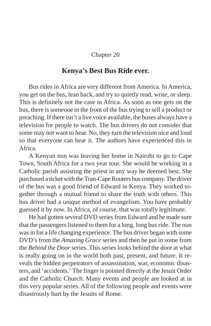## Chapter 20

## **Kenya's Best Bus Ride ever.**

Bus rides in Africa are very different from America. In America, you get on the bus, lean back, and try to quietly read, write, or sleep. This is definitely not the case in Africa. As soon as one gets on the bus, there is someone in the front of the bus trying to sell a product or preaching. If there isn't a live voice available, the buses always have a television for people to watch. The bus drivers do not consider that some may not want to hear. No, they turn the television nice and loud so that everyone can hear it. The authors have experienced this in Africa.

A Kenyan nun was leaving her home in Nairobi to go to Cape Town, South Africa for a two year tour. She would be working in a Catholic parish assisting the priest in any way he deemed best. She purchased a ticket with the Tran-Cape Routers bus company. The driver of the bus was a good friend of Edward in Kenya. They worked together through a mutual friend to share the truth with others. This bus driver had a unique method of evangelism. You have probably guessed it by now. In Africa, of course, that was totally legitimate.

He had gotten several DVD series from Edward and he made sure that the passengers listened to them for a long, long bus ride. The nun was in for a life changing experience. The bus driver began with some DVD's from the *Amazing Grace* series and then he put in some from the *Behind the Door* series. This series looks behind the door at what is really going on in the world both past, present, and future. It reveals the hidden perpetrators of assassination, war, economic disasters, and 'accidents.' The finger is pointed directly at the Jesuit Order and the Catholic Church. Many events and people are looked at in this very popular series. All of the following people and events were disastrously hurt by the Jesuits of Rome.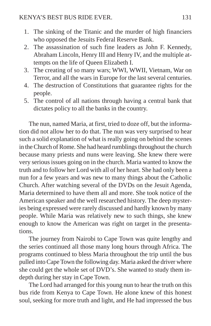### KENYA'S BEST BUS RIDE EVER.

- 1. The sinking of the Titanic and the murder of high financiers who opposed the Jesuits Federal Reserve Bank.
- 2. The assassination of such fine leaders as John F. Kennedy, Abraham Lincoln, Henry III and Henry IV, and the multiple attempts on the life of Queen Elizabeth I.
- 3. The creating of so many wars; WWI, WWII, Vietnam, War on Terror, and all the wars in Europe for the last several centuries.
- 4. The destruction of Constitutions that guarantee rights for the people.
- 5. The control of all nations through having a central bank that dictates policy to all the banks in the country.

The nun, named Maria, at first, tried to doze off, but the information did not allow her to do that. The nun was very surprised to hear such a solid explanation of what is really going on behind the scenes in the Church of Rome. She had heard rumblings throughout the church because many priests and nuns were leaving. She knew there were very serious issues going on in the church. Maria wanted to know the truth and to follow her Lord with all of her heart. She had only been a nun for a few years and was new to many things about the Catholic Church. After watching several of the DVDs on the Jesuit Agenda, Maria determined to have them all and more. She took notice of the American speaker and the well researched history. The deep mysteries being expressed were rarely discussed and hardly known by many people. While Maria was relatively new to such things, she knew enough to know the American was right on target in the presentations.

The journey from Nairobi to Cape Town was quite lengthy and the series continued all those many long hours through Africa. The programs continued to bless Maria throughout the trip until the bus pulled into Cape Town the following day. Maria asked the driver where she could get the whole set of DVD's. She wanted to study them indepth during her stay in Cape Town.

The Lord had arranged for this young nun to hear the truth on this bus ride from Kenya to Cape Town. He alone knew of this honest soul, seeking for more truth and light, and He had impressed the bus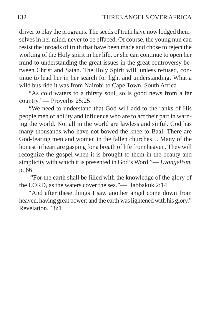driver to play the programs. The seeds of truth have now lodged themselves in her mind, never to be effaced. Of course, the young nun can resist the inroads of truth that have been made and chose to reject the working of the Holy spirit in her life, or she can continue to open her mind to understanding the great issues in the great controversy between Christ and Satan. The Holy Spirit will, unless refused, continue to lead her in her search for light and understanding. What a wild bus ride it was from Nairobi to Cape Town, South Africa

"As cold waters to a thirsty soul, so is good news from a far country."— Proverbs 25:25

"We need to understand that God will add to the ranks of His people men of ability and influence who are to act their part in warning the world. Not all in the world are lawless and sinful. God has many thousands who have not bowed the knee to Baal. There are God-fearing men and women in the fallen churches… Many of the honest in heart are gasping for a breath of life from heaven. They will recognize the gospel when it is brought to them in the beauty and simplicity with which it is presented in God's Word."— *Evangelism*, p. 66

 "For the earth shall be filled with the knowledge of the glory of the LORD, as the waters cover the sea."— Habbakuk 2:14

"And after these things I saw another angel come down from heaven, having great power; and the earth was lightened with his glory." Revelation. 18:1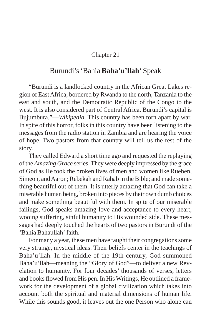### Chapter 21

# Burundi's 'Bahia **Baha'u'llah**' Speak

"Burundi is a landlocked country in the African Great Lakes region of East Africa, bordered by Rwanda to the north, Tanzania to the east and south, and the Democratic Republic of the Congo to the west. It is also considered part of Central Africa. Burundi's capital is Bujumbura."—*Wikipedia*. This country has been torn apart by war. In spite of this horror, folks in this country have been listening to the messages from the radio station in Zambia and are hearing the voice of hope. Two pastors from that country will tell us the rest of the story.

They called Edward a short time ago and requested the replaying of the *Amazing Grace* series. They were deeply impressed by the grace of God as He took the broken lives of men and women like Rueben, Simeon, and Aaron; Rebekah and Rahab in the Bible; and made something beautiful out of them. It is utterly amazing that God can take a miserable human being, broken into pieces by their own dumb choices and make something beautiful with them. In spite of our miserable failings, God speaks amazing love and acceptance to every heart, wooing suffering, sinful humanity to His wounded side. These messages had deeply touched the hearts of two pastors in Burundi of the 'Bahia Bahaullah' faith.

For many a year, these men have taught their congregations some very strange, mystical ideas. Their beliefs center in the teachings of Baha'u'llah. In the middle of the 19th century, God summoned Baha'u'llah—meaning the "Glory of God"—to deliver a new Revelation to humanity. For four decades' thousands of verses, letters and books flowed from His pen. In His Writings, He outlined a framework for the development of a global civilization which takes into account both the spiritual and material dimensions of human life. While this sounds good, it leaves out the one Person who alone can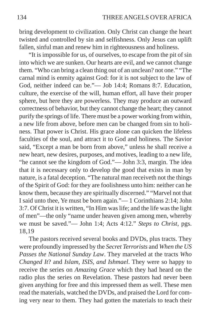bring development to civilization. Only Christ can change the heart twisted and controlled by sin and selfishness. Only Jesus can uplift fallen, sinful man and renew him in righteousness and holiness.

"It is impossible for us, of ourselves, to escape from the pit of sin into which we are sunken. Our hearts are evil, and we cannot change them. "Who can bring a clean thing out of an unclean? not one." "The carnal mind is enmity against God: for it is not subject to the law of God, neither indeed can be."— Job 14:4; Romans 8:7. Education, culture, the exercise of the will, human effort, all have their proper sphere, but here they are powerless. They may produce an outward correctness of behavior, but they cannot change the heart; they cannot purify the springs of life. There must be a power working from within, a new life from above, before men can be changed from sin to holiness. That power is Christ. His grace alone can quicken the lifeless faculties of the soul, and attract it to God and holiness. The Savior said, "Except a man be born from above," unless he shall receive a new heart, new desires, purposes, and motives, leading to a new life, "he cannot see the kingdom of God."— John 3:3, margin. The idea that it is necessary only to develop the good that exists in man by nature, is a fatal deception. "The natural man receiveth not the things of the Spirit of God: for they are foolishness unto him: neither can he know them, because they are spiritually discerned." "Marvel not that I said unto thee, Ye must be born again."— 1 Corinthians 2:14; John 3:7. Of Christ it is written, "In Him was life; and the life was the light of men"—the only "name under heaven given among men, whereby we must be saved."— John 1:4; Acts 4:12." *Steps to Christ*, pgs. 18,19

The pastors received several books and DVDs, plus tracts. They were profoundly impressed by the *Secret Terrorists* and *When the US Passes the National Sunday Law*. They marveled at the tracts *Who Changed It*? and *Islam, ISIS, and Ishmael*. They were so happy to receive the series on *Amazing Grace* which they had heard on the radio plus the series on Revelation. These pastors had never been given anything for free and this impressed them as well. These men read the materials, watched the DVDs, and praised the Lord for coming very near to them. They had gotten the materials to teach their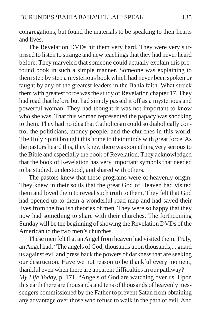congregations, but found the materials to be speaking to their hearts and lives.

The Revelation DVDs hit them very hard. They were very surprised to listen to strange and new teachings that they had never heard before. They marveled that someone could actually explain this profound book in such a simple manner. Someone was explaining to them step by step a mysterious book which had never been spoken or taught by any of the greatest leaders in the Bahia faith. What struck them with greatest force was the study of Revelation chapter 17. They had read that before but had simply passed it off as a mysterious and powerful woman. They had thought it was not important to know who she was. That this woman represented the papacy was shocking to them. They had no idea that Catholicism could so diabolically control the politicians, money people, and the churches in this world. The Holy Spirit brought this home to their minds with great force. As the pastors heard this, they knew there was something very serious to the Bible and especially the book of Revelation. They acknowledged that the book of Revelation has very important symbols that needed to be studied, understood, and shared with others.

The pastors knew that these programs were of heavenly origin. They knew in their souls that the great God of Heaven had visited them and loved them to reveal such truth to them. They felt that God had opened up to them a wonderful road map and had saved their lives from the foolish theories of men. They were so happy that they now had something to share with their churches. The forthcoming Sunday will be the beginning of showing the Revelation DVDs of the American to the two men's churches.

These men felt that an Angel from heaven had visited them. Truly, an Angel had. "The angels of God, thousands upon thousands,... guard us against evil and press back the powers of darkness that are seeking our destruction. Have we not reason to be thankful every moment, thankful even when there are apparent difficulties in our pathway? — *My Life Today,* p. 171. "Angels of God are watching over us. Upon this earth there are thousands and tens of thousands of heavenly messengers commissioned by the Father to prevent Satan from obtaining any advantage over those who refuse to walk in the path of evil. And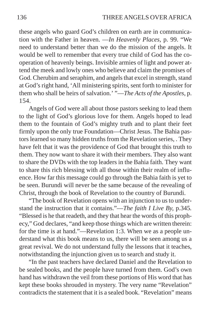these angels who guard God's children on earth are in communication with the Father in heaven. —*In Heavenly Places*, p. 99. "We need to understand better than we do the mission of the angels. It would be well to remember that every true child of God has the cooperation of heavenly beings. Invisible armies of light and power attend the meek and lowly ones who believe and claim the promises of God. Cherubim and seraphim, and angels that excel in strength, stand at God's right hand, 'All ministering spirits, sent forth to minister for them who shall be heirs of salvation.' "—*The Acts of the Apostles*, p. 154.

Angels of God were all about those pastors seeking to lead them to the light of God's glorious love for them. Angels hoped to lead them to the fountain of God's mighty truth and to plant their feet firmly upon the only true Foundation—Christ Jesus. The Bahia pastors learned so many hidden truths from the Revelation series, . They have felt that it was the providence of God that brought this truth to them. They now want to share it with their members. They also want to share the DVDs with the top leaders in the Bahia faith. They want to share this rich blessing with all those within their realm of influence. How far this message could go through the Bahia faith is yet to be seen. Burundi will never be the same because of the revealing of Christ, through the book of Revelation to the country of Burundi.

"The book of Revelation opens with an injunction to us to understand the instruction that it contains."—*The faith I Live By,* p.345*.* "Blessed is he that readeth, and they that hear the words of this prophecy," God declares, "and keep those things which are written therein: for the time is at hand."—Revelation 1:3. When we as a people understand what this book means to us, there will be seen among us a great revival. We do not understand fully the lessons that it teaches, notwithstanding the injunction given us to search and study it.

"In the past teachers have declared Daniel and the Revelation to be sealed books, and the people have turned from them. God's own hand has withdrawn the veil from these portions of His word that has kept these books shrouded in mystery. The very name "Revelation" contradicts the statement that it is a sealed book. "Revelation" means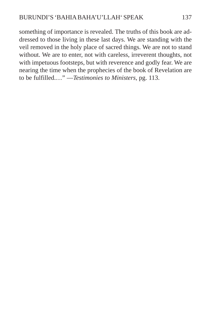137

something of importance is revealed. The truths of this book are addressed to those living in these last days. We are standing with the veil removed in the holy place of sacred things. We are not to stand without. We are to enter, not with careless, irreverent thoughts, not with impetuous footsteps, but with reverence and godly fear. We are nearing the time when the prophecies of the book of Revelation are to be fulfilled.…" —*Testimonies to Ministers*, pg. 113.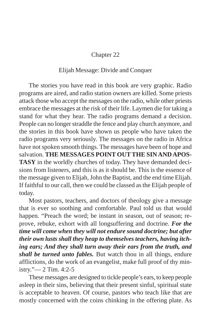## Chapter 22

### Elijah Message: Divide and Conquer

The stories you have read in this book are very graphic. Radio programs are aired, and radio station owners are killed. Some priests attack those who accept the messages on the radio, while other priests embrace the messages at the risk of their life. Laymen die for taking a stand for what they hear. The radio programs demand a decision. People can no longer straddle the fence and play church anymore, and the stories in this book have shown us people who have taken the radio programs very seriously. The messages on the radio in Africa have not spoken smooth things. The messages have been of hope and salvation. **THE MESSAGES POINT OUT THE SIN AND APOS-TASY** in the worldly churches of today. They have demanded decisions from listeners, and this is as it should be. This is the essence of the message given to Elijah, John the Baptist, and the end time Elijah. If faithful to our call, then we could be classed as the Elijah people of today.

Most pastors, teachers, and doctors of theology give a message that is ever so soothing and comfortable. Paul told us that would happen. "Preach the word; be instant in season, out of season; reprove, rebuke, exhort with all longsuffering and doctrine. *For the time will come when they will not endure sound doctrine; but after their own lusts shall they heap to themselves teachers, having itching ears; And they shall turn away their ears from the truth, and shall be turned unto fables.* But watch thou in all things, endure afflictions, do the work of an evangelist, make full proof of thy ministry."— 2 Tim. 4:2-5

These messages are designed to tickle people's ears, to keep people asleep in their sins, believing that their present sinful, spiritual state is acceptable to heaven. Of course, pastors who teach like that are mostly concerned with the coins chinking in the offering plate. As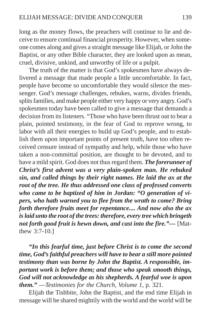long as the money flows, the preachers will continue to lie and deceive to ensure continual financial prosperity. However, when someone comes along and gives a straight message like Elijah, or John the Baptist, or any other Bible character, they are looked upon as mean, cruel, divisive, unkind, and unworthy of life or a pulpit.

The truth of the matter is that God's spokesmen have always delivered a message that made people a little uncomfortable. In fact, people have become so uncomfortable they would silence the messenger. God's message challenges, rebukes, warns, divides friends, splits families, and make people either very happy or very angry. God's spokesmen today have been called to give a message that demands a decision from its listeners. "Those who have been thrust out to bear a plain, pointed testimony, in the fear of God to reprove wrong, to labor with all their energies to build up God's people, and to establish them upon important points of present truth, have too often received censure instead of sympathy and help, while those who have taken a non-committal position, are thought to be devoted, and to have a mild spirit. God does not thus regard them. *The forerunner of Christ's first advent was a very plain-spoken man. He rebuked sin, and called things by their right names. He laid the ax at the root of the tree. He thus addressed one class of professed converts who came to be baptized of him in Jordan: "O generation of vipers, who hath warned you to flee from the wrath to come? Bring forth therefore fruits meet for repentance.... And now also the ax is laid unto the root of the trees: therefore, every tree which bringeth not forth good fruit is hewn down, and cast into the fire.*"— [Matthew 3:7-10.]

*"In this fearful time, just before Christ is to come the second time, God's faithful preachers will have to bear a still more pointed testimony than was borne by John the Baptist. A responsible, important work is before them; and those who speak smooth things, God will not acknowledge as his shepherds. A fearful woe is upon them."* —*Testimonies for the Church, Volume 1*, p. 321.

Elijah the Tishbite, John the Baptist, and the end time Elijah in message will be shared mightily with the world and the world will be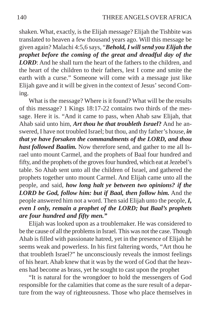shaken. What, exactly, is the Elijah message? Elijah the Tishbite was translated to heaven a few thousand years ago. Will this message be given again? Malachi 4:5,6 says, "*Behold, I will send you Elijah the prophet before the coming of the great and dreadful day of the LORD*: And he shall turn the heart of the fathers to the children, and the heart of the children to their fathers, lest I come and smite the earth with a curse." Someone will come with a message just like Elijah gave and it will be given in the context of Jesus' second Coming.

What is the message? Where is it found? What will be the results of this message? 1 Kings 18:17-22 contains two thirds of the message. Here it is. "And it came to pass, when Ahab saw Elijah, that Ahab said unto him, *Art thou he that troubleth Israel***?** And he answered, I have not troubled Israel; but thou, and thy father's house, *in that ye have forsaken the commandments of the LORD, and thou hast followed Baalim.* Now therefore send, and gather to me all Israel unto mount Carmel, and the prophets of Baal four hundred and fifty, and the prophets of the groves four hundred, which eat at Jezebel's table. So Ahab sent unto all the children of Israel, and gathered the prophets together unto mount Carmel. And Elijah came unto all the people, and said, *how long halt ye between two opinions? if the LORD be God, follow him: but if Baal, then follow him.* And the people answered him not a word. Then said Elijah unto the people*, I, even I only, remain a prophet of the LORD; but Baal's prophets are four hundred and fifty men."*

Elijah was looked upon as a troublemaker. He was considered to be the cause of all the problems in Israel. This was not the case. Though Ahab is filled with passionate hatred, yet in the presence of Elijah he seems weak and powerless. In his first faltering words, "Art thou he that troubleth Israel?" he unconsciously reveals the inmost feelings of his heart. Ahab knew that it was by the word of God that the heavens had become as brass, yet he sought to cast upon the prophet

"It is natural for the wrongdoer to hold the messengers of God responsible for the calamities that come as the sure result of a departure from the way of righteousness. Those who place themselves in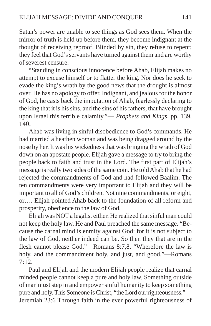Satan's power are unable to see things as God sees them. When the mirror of truth is held up before them, they become indignant at the thought of receiving reproof. Blinded by sin, they refuse to repent; they feel that God's servants have turned against them and are worthy of severest censure.

"Standing in conscious innocence before Ahab, Elijah makes no attempt to excuse himself or to flatter the king. Nor does he seek to evade the king's wrath by the good news that the drought is almost over. He has no apology to offer. Indignant, and jealous for the honor of God, he casts back the imputation of Ahab, fearlessly declaring to the king that it is his sins, and the sins of his fathers, that have brought upon Israel this terrible calamity."— *Prophets and Kings*, pp. 139, 140.

Ahab was living in sinful disobedience to God's commands. He had married a heathen woman and was being dragged around by the nose by her. It was his wickedness that was bringing the wrath of God down on an apostate people. Elijah gave a message to try to bring the people back to faith and trust in the Lord. The first part of Elijah's message is really two sides of the same coin. He told Ahab that he had rejected the commandments of God and had followed Baalim. The ten commandments were very important to Elijah and they will be important to all of God's children. Not nine commandments, or eight, or…. Elijah pointed Ahab back to the foundation of all reform and prosperity, obedience to the law of God.

Elijah was NOT a legalist either. He realized that sinful man could not keep the holy law. He and Paul preached the same message. "Because the carnal mind is enmity against God: for it is not subject to the law of God, neither indeed can be. So then they that are in the flesh cannot please God."—Romans 8:7,8. "Wherefore the law is holy, and the commandment holy, and just, and good."—Romans 7:12.

Paul and Elijah and the modern Elijah people realize that carnal minded people cannot keep a pure and holy law. Something outside of man must step in and empower sinful humanity to keep something pure and holy. This Someone is Christ, "the Lord our righteousness."— Jeremiah 23:6 Through faith in the ever powerful righteousness of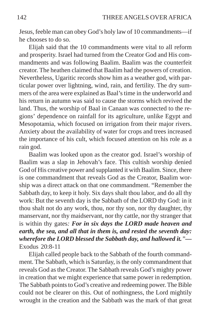Jesus, feeble man can obey God's holy law of 10 commandments—if he chooses to do so.

Elijah said that the 10 commandments were vital to all reform and prosperity. Israel had turned from the Creator God and His commandments and was following Baalim. Baalim was the counterfeit creator. The heathen claimed that Baalim had the powers of creation. Nevertheless, Ugaritic records show him as a weather god, with particular power over lightning, wind, rain, and fertility. The dry summers of the area were explained as Baal's time in the underworld and his return in autumn was said to cause the storms which revived the land. Thus, the worship of Baal in Canaan was connected to the regions' dependence on rainfall for its agriculture, unlike Egypt and Mesopotamia, which focused on irrigation from their major rivers. Anxiety about the availability of water for crops and trees increased the importance of his cult, which focused attention on his role as a rain god.

Baalim was looked upon as the creator god. Israel's worship of Baalim was a slap in Jehovah's face. This cultish worship denied God of His creative power and supplanted it with Baalim. Since, there is one commandment that reveals God as the Creator, Baalim worship was a direct attack on that one commandment. "Remember the Sabbath day, to keep it holy. Six days shalt thou labor, and do all thy work: But the seventh day is the Sabbath of the LORD thy God: in it thou shalt not do any work, thou, nor thy son, nor thy daughter, thy manservant, nor thy maidservant, nor thy cattle, nor thy stranger that is within thy gates*: For in six days the LORD made heaven and earth, the sea, and all that in them is, and rested the seventh day: wherefore the LORD blessed the Sabbath day, and hallowed it."—* Exodus 20:8-11

Elijah called people back to the Sabbath of the fourth commandment. The Sabbath, which is Saturday, is the only commandment that reveals God as the Creator. The Sabbath reveals God's mighty power in creation that we might experience that same power in redemption. The Sabbath points to God's creative and redeeming power. The Bible could not be clearer on this. Out of nothingness, the Lord mightily wrought in the creation and the Sabbath was the mark of that great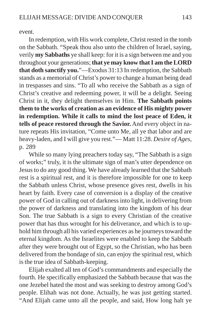event.

In redemption, with His work complete, Christ rested in the tomb on the Sabbath. "Speak thou also unto the children of Israel, saying, verily **my Sabbaths** ye shall keep: for it is a sign between me and you throughout your generations; **that ye may know that I am the LORD that doth sanctify you.**"—Exodus 31:13 In redemption, the Sabbath stands as a memorial of Christ's power to change a human being dead in trespasses and sins. "To all who receive the Sabbath as a sign of Christ's creative and redeeming power, it will be a delight. Seeing Christ in it, they delight themselves in Him. **The Sabbath points them to the works of creation as an evidence of His mighty power in redemption. While it calls to mind the lost peace of Eden, it tells of peace restored through the Savior.** And every object in nature repeats His invitation, "Come unto Me, all ye that labor and are heavy-laden, and I will give you rest."— Matt 11:28. *Desire of Ages*, p. 289

While so many lying preachers today say, "The Sabbath is a sign of works;" truly, it is the ultimate sign of man's utter dependence on Jesus to do any good thing. We have already learned that the Sabbath rest is a spiritual rest, and it is therefore impossible for one to keep the Sabbath unless Christ, whose presence gives rest, dwells in his heart by faith. Every case of conversion is a display of the creative power of God in calling out of darkness into light, in delivering from the power of darkness and translating into the kingdom of his dear Son. The true Sabbath is a sign to every Christian of the creative power that has thus wrought for his deliverance, and which is to uphold him through all his varied experiences as he journeys toward the eternal kingdom. As the Israelites were enabled to keep the Sabbath after they were brought out of Egypt, so the Christian, who has been delivered from the bondage of sin, can enjoy the spiritual rest, which is the true idea of Sabbath-keeping.

Elijah exalted all ten of God's commandments and especially the fourth. He specifically emphasized the Sabbath because that was the one Jezebel hated the most and was seeking to destroy among God's people. Elihah was not done. Actually, he was just getting started. "And Elijah came unto all the people, and said, How long halt ye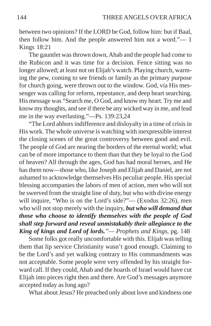between two opinions? If the LORD be God, follow him: but if Baal, then follow him. And the people answered him not a word."— 1 Kings 18:21

The gauntlet was thrown down, Ahab and the people had come to the Rubicon and it was time for a decision. Fence sitting was no longer allowed; at least not on Elijah's watch. Playing church, warming the pew, coming to see friends or family as the primary purpose for church going, were thrown out to the window. God, via His messenger was calling for reform, repentance, and deep heart searching. His message was "Search me, O God, and know my heart. Try me and know my thoughts, and see if there be any wicked way in me, and lead me in the way everlasting."—Ps. 139:23,24

"The Lord abhors indifference and disloyalty in a time of crisis in His work. The whole universe is watching with inexpressible interest the closing scenes of the great controversy between good and evil. The people of God are nearing the borders of the eternal world; what can be of more importance to them than that they be loyal to the God of heaven? All through the ages, God has had moral heroes, and He has them now—those who, like Joseph and Elijah and Daniel, are not ashamed to acknowledge themselves His peculiar people. His special blessing accompanies the labors of men of action, men who will not be swerved from the straight line of duty, but who with divine energy will inquire, "Who is on the Lord's side?"— (Exodus 32:26), men who will not stop merely with the inquiry, *but who will demand that those who choose to identify themselves with the people of God shall step forward and reveal unmistakably their allegiance to the King of kings and Lord of lords."— Prophets and Kings*, pg. 148

Some folks got really uncomfortable with this. Elijah was telling them that lip service Christianity wasn't good enough. Claiming to be the Lord's and yet walking contrary to His commandments was not acceptable. Some people were very offended by his straight forward call. If they could, Ahab and the hoards of Israel would have cut Elijah into pieces right then and there. Are God's messages anymore accepted today as long ago?

What about Jesus? He preached only about love and kindness one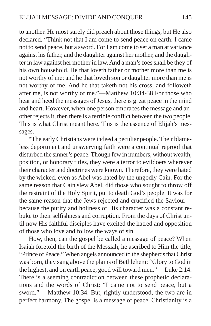to another. He most surely did preach about those things, but He also declared, "Think not that I am come to send peace on earth: I came not to send peace, but a sword. For I am come to set a man at variance against his father, and the daughter against her mother, and the daughter in law against her mother in law. And a man's foes shall be they of his own household. He that loveth father or mother more than me is not worthy of me: and he that loveth son or daughter more than me is not worthy of me. And he that taketh not his cross, and followeth after me, is not worthy of me."—Matthew 10:34-38 For those who hear and heed the messages of Jesus, there is great peace in the mind and heart. However, when one person embraces the message and another rejects it, then there is a terrible conflict between the two people. This is what Christ meant here. This is the essence of Elijah's messages.

"The early Christians were indeed a peculiar people. Their blameless deportment and unswerving faith were a continual reproof that disturbed the sinner's peace. Though few in numbers, without wealth, position, or honorary titles, they were a terror to evildoers wherever their character and doctrines were known. Therefore, they were hated by the wicked, even as Abel was hated by the ungodly Cain. For the same reason that Cain slew Abel, did those who sought to throw off the restraint of the Holy Spirit, put to death God's people. It was for the same reason that the Jews rejected and crucified the Saviour because the purity and holiness of His character was a constant rebuke to their selfishness and corruption. From the days of Christ until now His faithful disciples have excited the hatred and opposition of those who love and follow the ways of sin.

How, then, can the gospel be called a message of peace? When Isaiah foretold the birth of the Messiah, he ascribed to Him the title, "Prince of Peace." When angels announced to the shepherds that Christ was born, they sang above the plains of Bethlehem: "Glory to God in the highest, and on earth peace, good will toward men."— Luke 2:14. There is a seeming contradiction between these prophetic declarations and the words of Christ: "I came not to send peace, but a sword."— Matthew 10:34. But, rightly understood, the two are in perfect harmony. The gospel is a message of peace. Christianity is a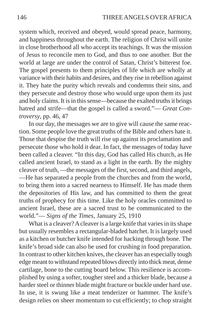system which, received and obeyed, would spread peace, harmony, and happiness throughout the earth. The religion of Christ will unite in close brotherhood all who accept its teachings. It was the mission of Jesus to reconcile men to God, and thus to one another. But the world at large are under the control of Satan, Christ's bitterest foe. The gospel presents to them principles of life which are wholly at variance with their habits and desires, and they rise in rebellion against it. They hate the purity which reveals and condemns their sins, and they persecute and destroy those who would urge upon them its just and holy claims. It is in this sense—because the exalted truths it brings hatred and strife—that the gospel is called a sword."— *Great Controversy*, pp. 46, 47

In our day, the messages we are to give will cause the same reaction. Some people love the great truths of the Bible and others hate it. Those that despise the truth will rise up against its proclamation and persecute those who hold it dear. In fact, the messages of today have been called a cleaver. "In this day, God has called His church, as He called ancient Israel, to stand as a light in the earth. By the mighty cleaver of truth, —the messages of the first, second, and third angels, —He has separated a people from the churches and from the world, to bring them into a sacred nearness to Himself. He has made them the depositories of His law, and has committed to them the great truths of prophecy for this time. Like the holy oracles committed to ancient Israel, these are a sacred trust to be communicated to the world."— *Signs of the Times*, January 25, 1910

What is a cleaver? A cleaver is a large knife that varies in its shape but usually resembles a rectangular-bladed hatchet. It is largely used as a kitchen or butcher knife intended for hacking through bone. The knife's broad side can also be used for crushing in food preparation. In contrast to other kitchen knives, the cleaver has an especially tough edge meant to withstand repeated blows directly into thick meat, dense cartilage, bone to the cutting board below. This resilience is accomplished by using a softer, tougher steel and a thicker blade, because a harder steel or thinner blade might fracture or buckle under hard use. In use, it is swung like a meat tenderizer or hammer. The knife's design relies on sheer momentum to cut efficiently; to chop straight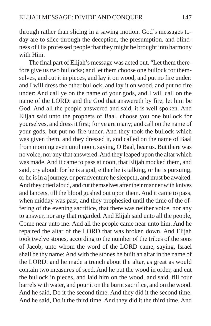through rather than slicing in a sawing motion. God's messages today are to slice through the deception, the presumption, and blindness of His professed people that they might be brought into harmony with Him.

The final part of Elijah's message was acted out. "Let them therefore give us two bullocks; and let them choose one bullock for themselves, and cut it in pieces, and lay it on wood, and put no fire under: and I will dress the other bullock, and lay it on wood, and put no fire under: And call ye on the name of your gods, and I will call on the name of the LORD: and the God that answereth by fire, let him be God. And all the people answered and said, it is well spoken. And Elijah said unto the prophets of Baal, choose you one bullock for yourselves, and dress it first; for ye are many; and call on the name of your gods, but put no fire under. And they took the bullock which was given them, and they dressed it, and called on the name of Baal from morning even until noon, saying, O Baal, hear us. But there was no voice, nor any that answered. And they leaped upon the altar which was made. And it came to pass at noon, that Elijah mocked them, and said, cry aloud: for he is a god; either he is talking, or he is pursuing, or he is in a journey, or peradventure he sleepeth, and must be awaked. And they cried aloud, and cut themselves after their manner with knives and lancets, till the blood gushed out upon them. And it came to pass, when midday was past, and they prophesied until the time of the offering of the evening sacrifice, that there was neither voice, nor any to answer, nor any that regarded. And Elijah said unto all the people, Come near unto me. And all the people came near unto him. And he repaired the altar of the LORD that was broken down. And Elijah took twelve stones, according to the number of the tribes of the sons of Jacob, unto whom the word of the LORD came, saying, Israel shall be thy name: And with the stones he built an altar in the name of the LORD: and he made a trench about the altar, as great as would contain two measures of seed. And he put the wood in order, and cut the bullock in pieces, and laid him on the wood, and said, fill four barrels with water, and pour it on the burnt sacrifice, and on the wood. And he said, Do it the second time. And they did it the second time. And he said, Do it the third time. And they did it the third time. And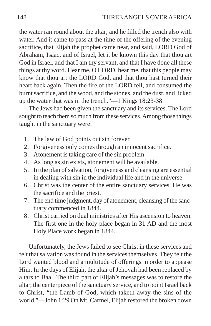the water ran round about the altar; and he filled the trench also with water. And it came to pass at the time of the offering of the evening sacrifice, that Elijah the prophet came near, and said, LORD God of Abraham, Isaac, and of Israel, let it be known this day that thou art God in Israel, and that I am thy servant, and that I have done all these things at thy word. Hear me, O LORD, hear me, that this people may know that thou art the LORD God, and that thou hast turned their heart back again. Then the fire of the LORD fell, and consumed the burnt sacrifice, and the wood, and the stones, and the dust, and licked up the water that was in the trench."—1 Kings 18:23-38

The Jews had been given the sanctuary and its services. The Lord sought to teach them so much from these services. Among those things taught in the sanctuary were:

- 1. The law of God points out sin forever.
- 2. Forgiveness only comes through an innocent sacrifice.
- 3. Atonement is taking care of the sin problem.
- 4. As long as sin exists, atonement will be available.
- 5. In the plan of salvation, forgiveness and cleansing are essential in dealing with sin in the individual life and in the universe.
- 6. Christ was the center of the entire sanctuary services. He was the sacrifice and the priest.
- 7. The end time judgment, day of atonement, cleansing of the sanctuary commenced in 1844.
- 8. Christ carried on dual ministries after His ascension to heaven. The first one in the holy place began in 31 AD and the most Holy Place work began in 1844.

Unfortunately, the Jews failed to see Christ in these services and felt that salvation was found in the services themselves. They felt the Lord wanted blood and a multitude of offerings in order to appease Him. In the days of Elijah, the altar of Jehovah had been replaced by altars to Baal. The third part of Elijah's messages was to restore the altar, the centerpiece of the sanctuary service, and to point Israel back to Christ, "the Lamb of God, which taketh away the sins of the world."—John 1:29 On Mt. Carmel, Elijah restored the broken down